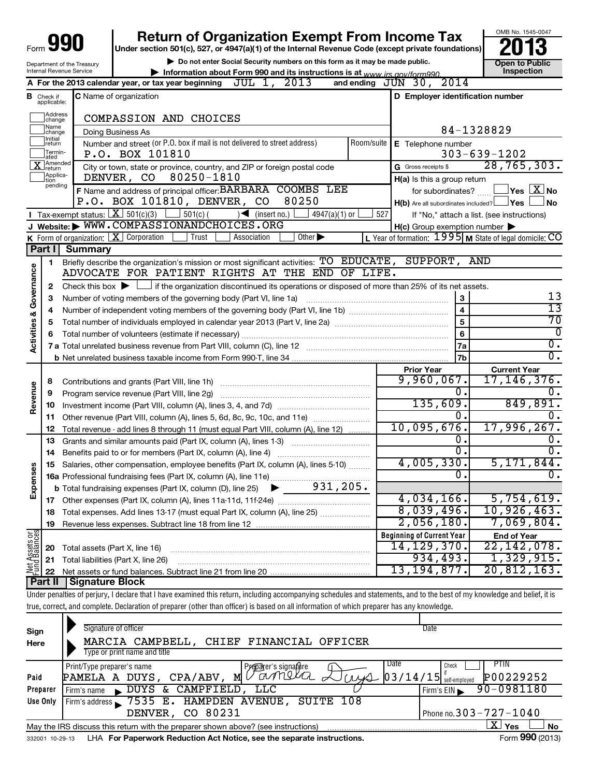|                                    |                                  |                                | <b>Return of Organization Exempt From Income Tax</b>                                                                                                                       |            |                                                           | OMB No. 1545-0047                                         |  |  |  |  |
|------------------------------------|----------------------------------|--------------------------------|----------------------------------------------------------------------------------------------------------------------------------------------------------------------------|------------|-----------------------------------------------------------|-----------------------------------------------------------|--|--|--|--|
| Form                               |                                  |                                | Under section 501(c), 527, or 4947(a)(1) of the Internal Revenue Code (except private foundations)                                                                         |            |                                                           |                                                           |  |  |  |  |
| Department of the Treasury         |                                  |                                | Do not enter Social Security numbers on this form as it may be made public.                                                                                                |            |                                                           | <b>Open to Public</b>                                     |  |  |  |  |
|                                    |                                  | Internal Revenue Service       | Information about Form 990 and its instructions is at www irs gov/form990                                                                                                  |            |                                                           | Inspection                                                |  |  |  |  |
|                                    |                                  |                                | A For the 2013 calendar year, or tax year beginning $JUL$ 1, $2013$                                                                                                        |            | 2014<br>and ending $JUN$ 30,                              |                                                           |  |  |  |  |
|                                    | <b>B</b> Check if<br>applicable: |                                | <b>C</b> Name of organization                                                                                                                                              |            | D Employer identification number                          |                                                           |  |  |  |  |
|                                    | Address<br> change               |                                | COMPASSION AND CHOICES                                                                                                                                                     |            |                                                           |                                                           |  |  |  |  |
|                                    | 1Name<br> change                 |                                | Doing Business As                                                                                                                                                          |            |                                                           | 84-1328829                                                |  |  |  |  |
|                                    | Initial<br> return               |                                | Number and street (or P.O. box if mail is not delivered to street address)                                                                                                 | Room/suite | E Telephone number                                        |                                                           |  |  |  |  |
|                                    | Termin-<br>ated                  |                                | P.O. BOX 101810                                                                                                                                                            |            |                                                           | $303 - 639 - 1202$                                        |  |  |  |  |
|                                    | <b>TAmended</b><br>Jreturn       |                                | City or town, state or province, country, and ZIP or foreign postal code                                                                                                   |            | G Gross receipts \$                                       | 28, 765, 303.                                             |  |  |  |  |
|                                    | Applica-<br>tion                 |                                | DENVER, CO 80250-1810                                                                                                                                                      |            | H(a) Is this a group return                               |                                                           |  |  |  |  |
|                                    | pending                          |                                | F Name and address of principal officer: BARBARA COOMBS LEE                                                                                                                |            |                                                           | for subordinates? $\Box \Box$ Yes $\boxed{\mathbf{X}}$ No |  |  |  |  |
|                                    |                                  |                                | P.O. BOX 101810, DENVER, CO<br>80250                                                                                                                                       |            | $H(b)$ Are all subordinates included? $\Box$ Yes $\Box$   | J No                                                      |  |  |  |  |
|                                    |                                  |                                | <b>I</b> Tax-exempt status: $X \ 501(c)(3)$ $1 \ 501(c)$<br>$\rightarrow$ (insert no.) $\Box$<br>4947(a)(1) or                                                             | 527        |                                                           | If "No," attach a list. (see instructions)                |  |  |  |  |
|                                    |                                  |                                | J Website: WWW.COMPASSIONANDCHOICES.ORG                                                                                                                                    |            | $H(c)$ Group exemption number $\blacktriangleright$       |                                                           |  |  |  |  |
|                                    |                                  |                                | <b>K</b> Form of organization: $X$ Corporation $\Box$ Trust<br>Other $\blacktriangleright$<br>Association                                                                  |            | L Year of formation: $1995$ M State of legal domicile: CO |                                                           |  |  |  |  |
|                                    | Part I                           | <b>Summary</b>                 |                                                                                                                                                                            |            |                                                           |                                                           |  |  |  |  |
|                                    | 1.                               |                                | Briefly describe the organization's mission or most significant activities: TO EDUCATE, SUPPORT, AND                                                                       |            |                                                           |                                                           |  |  |  |  |
|                                    |                                  |                                | ADVOCATE FOR PATIENT RIGHTS AT THE END OF LIFE.                                                                                                                            |            |                                                           |                                                           |  |  |  |  |
|                                    | 2                                |                                | Check this box $\blacktriangleright$ $\Box$ if the organization discontinued its operations or disposed of more than 25% of its net assets.                                |            |                                                           |                                                           |  |  |  |  |
|                                    | 3                                |                                | Number of voting members of the governing body (Part VI, line 1a)                                                                                                          |            | З                                                         | 13                                                        |  |  |  |  |
|                                    | 4                                |                                |                                                                                                                                                                            |            | $\overline{\mathbf{4}}$                                   | 13                                                        |  |  |  |  |
| <b>Activities &amp; Governance</b> | 5                                |                                |                                                                                                                                                                            |            | 5                                                         | 70                                                        |  |  |  |  |
|                                    | 6                                |                                |                                                                                                                                                                            |            | 6                                                         | 0<br>$\overline{0}$ .                                     |  |  |  |  |
|                                    |                                  |                                |                                                                                                                                                                            |            | 7a                                                        | $\overline{0}$ .                                          |  |  |  |  |
|                                    |                                  |                                |                                                                                                                                                                            |            | 7b                                                        |                                                           |  |  |  |  |
|                                    |                                  |                                |                                                                                                                                                                            |            | <b>Prior Year</b><br>9,960,067.                           | <b>Current Year</b><br>17, 146, 376.                      |  |  |  |  |
|                                    | 8<br>9                           |                                |                                                                                                                                                                            |            | 0.                                                        | 0.                                                        |  |  |  |  |
| Revenue                            |                                  |                                | Program service revenue (Part VIII, line 2g)                                                                                                                               |            | 135,609.                                                  | 849,891.                                                  |  |  |  |  |
|                                    | 10<br>11                         |                                | Other revenue (Part VIII, column (A), lines 5, 6d, 8c, 9c, 10c, and 11e)                                                                                                   |            | 0.                                                        | 0.                                                        |  |  |  |  |
|                                    | 12                               |                                | Total revenue - add lines 8 through 11 (must equal Part VIII, column (A), line 12)                                                                                         |            | 10,095,676.                                               | 17,996,267.                                               |  |  |  |  |
|                                    | 13                               |                                | Grants and similar amounts paid (Part IX, column (A), lines 1-3)                                                                                                           |            | О.                                                        | υ.                                                        |  |  |  |  |
|                                    | 14                               |                                | $\overline{0}$ .<br>Benefits paid to or for members (Part IX, column (A), line 4)                                                                                          |            |                                                           | $\overline{0}$ .                                          |  |  |  |  |
|                                    | 15                               |                                | Salaries, other compensation, employee benefits (Part IX, column (A), lines 5-10)                                                                                          |            | 4,005,330.                                                | 5, 171, 844.                                              |  |  |  |  |
|                                    |                                  |                                |                                                                                                                                                                            |            | Ο.                                                        | 0.                                                        |  |  |  |  |
| Expens                             |                                  |                                |                                                                                                                                                                            |            |                                                           |                                                           |  |  |  |  |
|                                    | 17                               |                                |                                                                                                                                                                            |            | 4,034,166.                                                | 5,754,619.                                                |  |  |  |  |
|                                    | 18                               |                                | Total expenses. Add lines 13-17 (must equal Part IX, column (A), line 25)                                                                                                  |            | 8,039,496.                                                | 10,926,463.                                               |  |  |  |  |
|                                    | 19                               |                                |                                                                                                                                                                            |            | 2,056,180.                                                | 7,069,804.                                                |  |  |  |  |
|                                    |                                  |                                |                                                                                                                                                                            |            | <b>Beginning of Current Year</b>                          | <b>End of Year</b>                                        |  |  |  |  |
| Net Assets or                      | 20                               | Total assets (Part X, line 16) |                                                                                                                                                                            |            | 14,129,370.                                               | 22,142,078.                                               |  |  |  |  |
|                                    | 21                               |                                | Total liabilities (Part X, line 26)                                                                                                                                        |            | 934,493.                                                  | 1,329,915.                                                |  |  |  |  |
|                                    | 22                               |                                |                                                                                                                                                                            |            | 13, 194, 877.                                             | 20,812,163.                                               |  |  |  |  |
|                                    | Part II                          | Signature Block                |                                                                                                                                                                            |            |                                                           |                                                           |  |  |  |  |
|                                    |                                  |                                | Under penalties of perjury, I declare that I have examined this return, including accompanying schedules and statements, and to the best of my knowledge and belief, it is |            |                                                           |                                                           |  |  |  |  |
|                                    |                                  |                                | true, correct, and complete. Declaration of preparer (other than officer) is based on all information of which preparer has any knowledge.                                 |            |                                                           |                                                           |  |  |  |  |

| Sign<br>Here | Signature of officer<br>MARCIA CAMPBELL, CHIEF FINANCIAL OFFICER<br>ype or print name and title                           | Date                                                                   |  |  |  |  |  |
|--------------|---------------------------------------------------------------------------------------------------------------------------|------------------------------------------------------------------------|--|--|--|--|--|
| Paid         | Date<br>Print/Type preparer's name<br>Preparer's signature<br>Vamela L<br>ــــــوسريرا<br>м<br>CPA/ABV,<br>PAMELA A DUYS, | <b>PTIN</b><br>Check<br>P00229252<br>$\sim$ 03/14/15 $ $ self-employed |  |  |  |  |  |
| Preparer     | CAMPFIELD, LLC<br>DUYS &<br>Firm's name                                                                                   | 90-0981180<br>Firm's $EIN$                                             |  |  |  |  |  |
| Use Only     | Firm's address $\sim$ 7535 E. HAMPDEN AVENUE,<br>SUITE 108                                                                |                                                                        |  |  |  |  |  |
|              | DENVER, CO 80231                                                                                                          | Phone no. 303 - 727 - 1040                                             |  |  |  |  |  |
|              | May the IRS discuss this return with the preparer shown above? (see instructions)                                         | ΧI<br>Yes<br>No                                                        |  |  |  |  |  |
|              | Form 990 (2013)<br>LHA For Paperwork Reduction Act Notice, see the separate instructions.<br>332001 10-29-13              |                                                                        |  |  |  |  |  |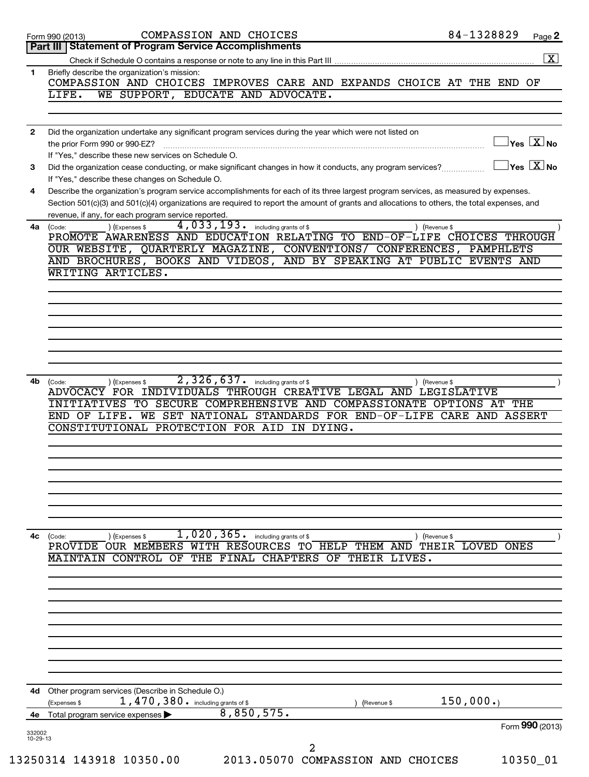|              | COMPASSION AND CHOICES<br>Form 990 (2013)                                                                                                                                                                                                                                                                                                                    | 84-1328829                                  | Page 2               |
|--------------|--------------------------------------------------------------------------------------------------------------------------------------------------------------------------------------------------------------------------------------------------------------------------------------------------------------------------------------------------------------|---------------------------------------------|----------------------|
|              | Part III   Statement of Program Service Accomplishments                                                                                                                                                                                                                                                                                                      |                                             | $\boxed{\textbf{X}}$ |
| $\mathbf{1}$ | Briefly describe the organization's mission:                                                                                                                                                                                                                                                                                                                 |                                             |                      |
|              | COMPASSION AND CHOICES IMPROVES CARE AND EXPANDS CHOICE AT THE END OF<br>WE SUPPORT, EDUCATE AND ADVOCATE.<br>LIFE.                                                                                                                                                                                                                                          |                                             |                      |
|              |                                                                                                                                                                                                                                                                                                                                                              |                                             |                      |
| $\mathbf{2}$ | Did the organization undertake any significant program services during the year which were not listed on<br>the prior Form 990 or 990-EZ?<br>If "Yes," describe these new services on Schedule O.                                                                                                                                                            | $Yes$ $Xno$                                 |                      |
| 3            | Did the organization cease conducting, or make significant changes in how it conducts, any program services?                                                                                                                                                                                                                                                 | $\vert$ Yes $\vert$ $\rm X$ $\vert$ No $\;$ |                      |
| 4            | If "Yes," describe these changes on Schedule O.<br>Describe the organization's program service accomplishments for each of its three largest program services, as measured by expenses.<br>Section 501(c)(3) and 501(c)(4) organizations are required to report the amount of grants and allocations to others, the total expenses, and                      |                                             |                      |
|              | revenue, if any, for each program service reported.<br>4,033,193.                                                                                                                                                                                                                                                                                            |                                             |                      |
| 4a l         | including grants of \$<br>(Code:<br>) (Expenses \$<br>) (Revenue \$<br>PROMOTE AWARENESS AND EDUCATION RELATING TO END-OF-LIFE CHOICES THROUGH<br>OUR WEBSITE, QUARTERLY MAGAZINE, CONVENTIONS/ CONFERENCES, PAMPHLETS<br>AND BROCHURES, BOOKS AND VIDEOS, AND BY SPEAKING AT PUBLIC EVENTS AND                                                              |                                             |                      |
|              | WRITING ARTICLES.                                                                                                                                                                                                                                                                                                                                            |                                             |                      |
|              |                                                                                                                                                                                                                                                                                                                                                              |                                             |                      |
|              |                                                                                                                                                                                                                                                                                                                                                              |                                             |                      |
|              |                                                                                                                                                                                                                                                                                                                                                              |                                             |                      |
|              |                                                                                                                                                                                                                                                                                                                                                              |                                             |                      |
|              |                                                                                                                                                                                                                                                                                                                                                              |                                             |                      |
| 4b           | 2,326,637.<br>including grants of \$<br>(Code:<br>(Expenses \$<br>) (Revenue \$<br>ADVOCACY FOR INDIVIDUALS THROUGH CREATIVE LEGAL AND LEGISLATIVE<br>TO SECURE COMPREHENSIVE AND COMPASSIONATE OPTIONS AT THE<br>INITIATIVES<br>WE SET NATIONAL STANDARDS FOR END-OF-LIFE CARE AND ASSERT<br>END OF LIFE.<br>CONSTITUTIONAL PROTECTION FOR AID<br>IN DYING. |                                             |                      |
|              |                                                                                                                                                                                                                                                                                                                                                              |                                             |                      |
|              |                                                                                                                                                                                                                                                                                                                                                              |                                             |                      |
|              |                                                                                                                                                                                                                                                                                                                                                              |                                             |                      |
| 4с           | 1,020,365. including grants of \$<br>(Code:<br>(Expenses \$<br>(Revenue \$<br>PROVIDE OUR MEMBERS WITH RESOURCES TO HELP THEM AND<br>MAINTAIN CONTROL OF<br>THE FINAL CHAPTERS<br>OF THEIR LIVES.                                                                                                                                                            | THEIR LOVED ONES                            |                      |
|              |                                                                                                                                                                                                                                                                                                                                                              |                                             |                      |
|              |                                                                                                                                                                                                                                                                                                                                                              |                                             |                      |
|              |                                                                                                                                                                                                                                                                                                                                                              |                                             |                      |
| 4d -         | Other program services (Describe in Schedule O.)                                                                                                                                                                                                                                                                                                             |                                             |                      |
|              | 1,470,380. including grants of \$<br>(Expenses \$<br>(Revenue \$<br>8,850,575.                                                                                                                                                                                                                                                                               | 150,000.                                    |                      |
| 4е           | Total program service expenses                                                                                                                                                                                                                                                                                                                               |                                             |                      |
| 332002       |                                                                                                                                                                                                                                                                                                                                                              | Form 990 (2013)                             |                      |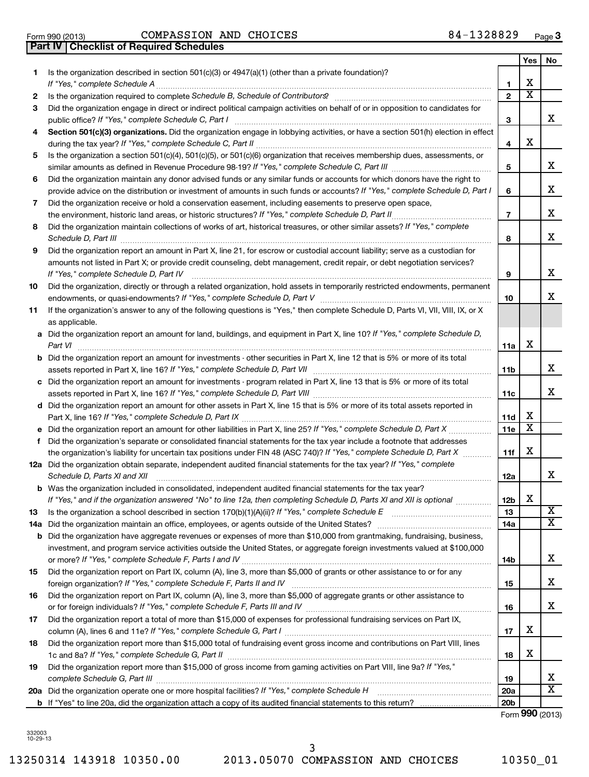| <b>Part IV   Checklist of Required Schedules</b> |
|--------------------------------------------------|
|                                                  |
|                                                  |
|                                                  |

Form 990 (2013)  $\sim$  COMPASSION AND CHOICES  $84-1328829$  Page

|    |                                                                                                                                                    |                 | Yes                     | No                         |
|----|----------------------------------------------------------------------------------------------------------------------------------------------------|-----------------|-------------------------|----------------------------|
| 1. | Is the organization described in section 501(c)(3) or 4947(a)(1) (other than a private foundation)?<br>If "Yes," complete Schedule A               | 1               | х                       |                            |
| 2  |                                                                                                                                                    | $\mathbf{2}$    | $\overline{\textbf{x}}$ |                            |
| 3  | Did the organization engage in direct or indirect political campaign activities on behalf of or in opposition to candidates for                    |                 |                         |                            |
|    | public office? If "Yes," complete Schedule C, Part I                                                                                               | 3               |                         | x.                         |
| 4  | Section 501(c)(3) organizations. Did the organization engage in lobbying activities, or have a section 501(h) election in effect                   |                 |                         |                            |
|    |                                                                                                                                                    | 4               | х                       |                            |
| 5  | Is the organization a section 501(c)(4), 501(c)(5), or 501(c)(6) organization that receives membership dues, assessments, or                       |                 |                         |                            |
|    |                                                                                                                                                    | 5               |                         | x                          |
| 6  | Did the organization maintain any donor advised funds or any similar funds or accounts for which donors have the right to                          |                 |                         |                            |
|    | provide advice on the distribution or investment of amounts in such funds or accounts? If "Yes," complete Schedule D, Part I                       | 6               |                         | x                          |
| 7  | Did the organization receive or hold a conservation easement, including easements to preserve open space,                                          |                 |                         |                            |
|    |                                                                                                                                                    | $\overline{7}$  |                         | х                          |
| 8  | Did the organization maintain collections of works of art, historical treasures, or other similar assets? If "Yes," complete                       |                 |                         |                            |
|    | Schedule D, Part III <b>William Commission Commission Commission</b> Commission Commission Commission                                              | 8               |                         | x                          |
| 9  | Did the organization report an amount in Part X, line 21, for escrow or custodial account liability; serve as a custodian for                      |                 |                         |                            |
|    | amounts not listed in Part X; or provide credit counseling, debt management, credit repair, or debt negotiation services?                          |                 |                         |                            |
|    | If "Yes," complete Schedule D, Part IV                                                                                                             | 9               |                         | x                          |
| 10 | Did the organization, directly or through a related organization, hold assets in temporarily restricted endowments, permanent                      |                 |                         | x                          |
|    |                                                                                                                                                    | 10              |                         |                            |
| 11 | If the organization's answer to any of the following questions is "Yes," then complete Schedule D, Parts VI, VII, VIII, IX, or X<br>as applicable. |                 |                         |                            |
|    | a Did the organization report an amount for land, buildings, and equipment in Part X, line 10? If "Yes," complete Schedule D,                      |                 |                         |                            |
|    | Part VI                                                                                                                                            | 11a             | х                       |                            |
|    | <b>b</b> Did the organization report an amount for investments - other securities in Part X, line 12 that is 5% or more of its total               |                 |                         |                            |
|    |                                                                                                                                                    | 11b             |                         | x                          |
|    | c Did the organization report an amount for investments - program related in Part X, line 13 that is 5% or more of its total                       |                 |                         |                            |
|    |                                                                                                                                                    | 11c             |                         | x                          |
|    | d Did the organization report an amount for other assets in Part X, line 15 that is 5% or more of its total assets reported in                     |                 |                         |                            |
|    |                                                                                                                                                    | 11d             | х                       |                            |
|    |                                                                                                                                                    | 11e             | X                       |                            |
| f. | Did the organization's separate or consolidated financial statements for the tax year include a footnote that addresses                            |                 |                         |                            |
|    | the organization's liability for uncertain tax positions under FIN 48 (ASC 740)? If "Yes," complete Schedule D, Part X                             | 11f             | х                       |                            |
|    | 12a Did the organization obtain separate, independent audited financial statements for the tax year? If "Yes," complete                            |                 |                         |                            |
|    | Schedule D, Parts XI and XII                                                                                                                       | 12a             |                         | x                          |
|    | <b>b</b> Was the organization included in consolidated, independent audited financial statements for the tax year?                                 |                 | Χ                       |                            |
|    | If "Yes." and if the organization answered "No" to line 12a. then completing Schedule D. Parts XI and XII is optional                              | 12 <sub>b</sub> |                         | $\overline{\textbf{X}}$    |
| 13 |                                                                                                                                                    | 13<br>14a       |                         | X                          |
|    | <b>b</b> Did the organization have aggregate revenues or expenses of more than \$10,000 from grantmaking, fundraising, business,                   |                 |                         |                            |
|    | investment, and program service activities outside the United States, or aggregate foreign investments valued at \$100,000                         |                 |                         |                            |
|    |                                                                                                                                                    | 14b             |                         | x                          |
| 15 | Did the organization report on Part IX, column (A), line 3, more than \$5,000 of grants or other assistance to or for any                          |                 |                         |                            |
|    |                                                                                                                                                    | 15              |                         | x                          |
| 16 | Did the organization report on Part IX, column (A), line 3, more than \$5,000 of aggregate grants or other assistance to                           |                 |                         |                            |
|    |                                                                                                                                                    | 16              |                         | x                          |
| 17 | Did the organization report a total of more than \$15,000 of expenses for professional fundraising services on Part IX,                            |                 |                         |                            |
|    |                                                                                                                                                    | 17              | Χ                       |                            |
| 18 | Did the organization report more than \$15,000 total of fundraising event gross income and contributions on Part VIII, lines                       |                 |                         |                            |
|    |                                                                                                                                                    | 18              | Х                       |                            |
| 19 | Did the organization report more than \$15,000 of gross income from gaming activities on Part VIII, line 9a? If "Yes,"                             |                 |                         |                            |
|    |                                                                                                                                                    | 19              |                         | x<br>$\overline{\text{X}}$ |
|    |                                                                                                                                                    | <b>20a</b>      |                         |                            |
|    |                                                                                                                                                    | 20 <sub>b</sub> |                         |                            |

Form (2013) **990**

332003 10-29-13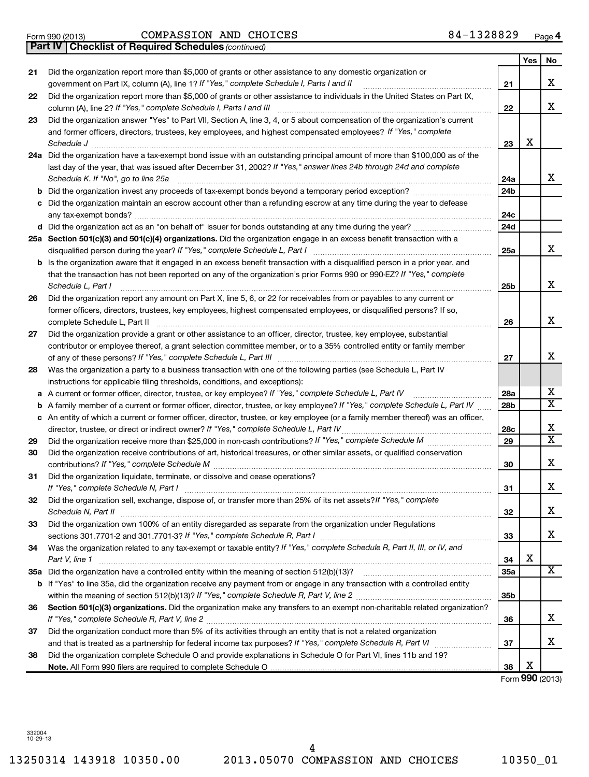13250314 143918 10350.00 2013.05070 COMPASSION AND CHOICES 10350\_01 4

#### Form 990 (2013) COMPASSION AND CHOICES 8 4-I3Z88Z9 Page COMPASSION AND CHOICES 84-1328829

|    | Part IV   Checklist of Required Schedules (continued)                                                                               |                 |                 |                         |
|----|-------------------------------------------------------------------------------------------------------------------------------------|-----------------|-----------------|-------------------------|
|    |                                                                                                                                     |                 | Yes             | No                      |
| 21 | Did the organization report more than \$5,000 of grants or other assistance to any domestic organization or                         |                 |                 |                         |
|    | government on Part IX, column (A), line 1? If "Yes," complete Schedule I, Parts I and II                                            | 21              |                 | Χ                       |
| 22 | Did the organization report more than \$5,000 of grants or other assistance to individuals in the United States on Part IX,         |                 |                 |                         |
|    | column (A), line 2? If "Yes," complete Schedule I, Parts I and III                                                                  | 22              |                 | x                       |
|    | Did the organization answer "Yes" to Part VII, Section A, line 3, 4, or 5 about compensation of the organization's current          |                 |                 |                         |
| 23 |                                                                                                                                     |                 |                 |                         |
|    | and former officers, directors, trustees, key employees, and highest compensated employees? If "Yes," complete                      |                 |                 |                         |
|    | Schedule J                                                                                                                          | 23              | х               |                         |
|    | 24a Did the organization have a tax-exempt bond issue with an outstanding principal amount of more than \$100,000 as of the         |                 |                 |                         |
|    | last day of the year, that was issued after December 31, 2002? If "Yes," answer lines 24b through 24d and complete                  |                 |                 |                         |
|    | Schedule K. If "No", go to line 25a                                                                                                 | 24a             |                 | x                       |
|    |                                                                                                                                     | 24 <sub>b</sub> |                 |                         |
|    | c Did the organization maintain an escrow account other than a refunding escrow at any time during the year to defease              |                 |                 |                         |
|    |                                                                                                                                     | 24c             |                 |                         |
|    |                                                                                                                                     | 24d             |                 |                         |
|    | 25a Section 501(c)(3) and 501(c)(4) organizations. Did the organization engage in an excess benefit transaction with a              |                 |                 |                         |
|    | disqualified person during the year? If "Yes," complete Schedule L, Part I                                                          | 25a             |                 | x                       |
|    | <b>b</b> Is the organization aware that it engaged in an excess benefit transaction with a disqualified person in a prior year, and |                 |                 |                         |
|    | that the transaction has not been reported on any of the organization's prior Forms 990 or 990-EZ? If "Yes," complete               |                 |                 |                         |
|    | Schedule L, Part I                                                                                                                  | 25b             |                 | x                       |
| 26 | Did the organization report any amount on Part X, line 5, 6, or 22 for receivables from or payables to any current or               |                 |                 |                         |
|    | former officers, directors, trustees, key employees, highest compensated employees, or disqualified persons? If so,                 |                 |                 |                         |
|    | complete Schedule L, Part II                                                                                                        | 26              |                 | X                       |
| 27 | Did the organization provide a grant or other assistance to an officer, director, trustee, key employee, substantial                |                 |                 |                         |
|    | contributor or employee thereof, a grant selection committee member, or to a 35% controlled entity or family member                 |                 |                 |                         |
|    |                                                                                                                                     | 27              |                 | X                       |
| 28 | Was the organization a party to a business transaction with one of the following parties (see Schedule L, Part IV                   |                 |                 |                         |
|    | instructions for applicable filing thresholds, conditions, and exceptions):                                                         |                 |                 |                         |
|    | A current or former officer, director, trustee, or key employee? If "Yes," complete Schedule L, Part IV                             | 28a             |                 | х                       |
|    | b A family member of a current or former officer, director, trustee, or key employee? If "Yes," complete Schedule L, Part IV        | 28b             |                 | $\overline{\textbf{X}}$ |
|    | c An entity of which a current or former officer, director, trustee, or key employee (or a family member thereof) was an officer,   |                 |                 |                         |
|    | director, trustee, or direct or indirect owner? If "Yes," complete Schedule L, Part IV                                              | 28c             |                 | х                       |
| 29 |                                                                                                                                     | 29              |                 | $\overline{\textbf{x}}$ |
| 30 | Did the organization receive contributions of art, historical treasures, or other similar assets, or qualified conservation         |                 |                 |                         |
|    |                                                                                                                                     | 30              |                 | х                       |
|    | Did the organization liquidate, terminate, or dissolve and cease operations?                                                        |                 |                 |                         |
| 31 | If "Yes," complete Schedule N, Part I                                                                                               | 31              |                 | Χ                       |
| 32 | Did the organization sell, exchange, dispose of, or transfer more than 25% of its net assets? If "Yes," complete                    |                 |                 |                         |
|    | Schedule N, Part II                                                                                                                 | 32              |                 | X                       |
| 33 | Did the organization own 100% of an entity disregarded as separate from the organization under Regulations                          |                 |                 |                         |
|    |                                                                                                                                     |                 |                 | x                       |
|    |                                                                                                                                     | 33              |                 |                         |
| 34 | Was the organization related to any tax-exempt or taxable entity? If "Yes," complete Schedule R, Part II, III, or IV, and           |                 | X               |                         |
|    | Part V, line 1                                                                                                                      | 34              |                 | X                       |
|    |                                                                                                                                     | 35a             |                 |                         |
|    | b If "Yes" to line 35a, did the organization receive any payment from or engage in any transaction with a controlled entity         |                 |                 |                         |
|    |                                                                                                                                     | 35b             |                 |                         |
| 36 | Section 501(c)(3) organizations. Did the organization make any transfers to an exempt non-charitable related organization?          |                 |                 |                         |
|    |                                                                                                                                     | 36              |                 | x                       |
| 37 | Did the organization conduct more than 5% of its activities through an entity that is not a related organization                    |                 |                 |                         |
|    |                                                                                                                                     | 37              |                 | х                       |
| 38 | Did the organization complete Schedule O and provide explanations in Schedule O for Part VI, lines 11b and 19?                      |                 |                 |                         |
|    |                                                                                                                                     | 38              | X               |                         |
|    |                                                                                                                                     |                 | Form 990 (2013) |                         |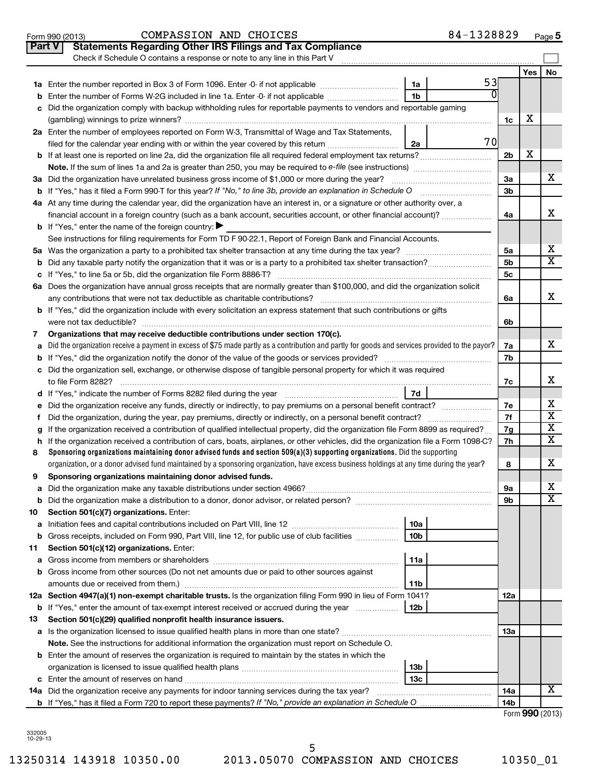|               | 84-1328829<br>COMPASSION AND CHOICES<br>Form 990 (2013)                                                                                         |                |                 | $Page$ 5                |
|---------------|-------------------------------------------------------------------------------------------------------------------------------------------------|----------------|-----------------|-------------------------|
| <b>Part V</b> | <b>Statements Regarding Other IRS Filings and Tax Compliance</b>                                                                                |                |                 |                         |
|               | Check if Schedule O contains a response or note to any line in this Part V                                                                      |                |                 |                         |
|               |                                                                                                                                                 |                | Yes             | <b>No</b>               |
|               | 53<br>1a                                                                                                                                        |                |                 |                         |
| b             | 1 <sub>b</sub><br>Enter the number of Forms W-2G included in line 1a. Enter -0- if not applicable                                               |                |                 |                         |
|               | Did the organization comply with backup withholding rules for reportable payments to vendors and reportable gaming                              |                |                 |                         |
|               |                                                                                                                                                 | 1c             | х               |                         |
|               | 2a Enter the number of employees reported on Form W-3, Transmittal of Wage and Tax Statements,                                                  |                |                 |                         |
|               | 70<br>filed for the calendar year ending with or within the year covered by this return<br>2a                                                   |                |                 |                         |
|               |                                                                                                                                                 | 2b             | х               |                         |
|               |                                                                                                                                                 |                |                 |                         |
|               | 3a Did the organization have unrelated business gross income of \$1,000 or more during the year?                                                | За             |                 | х                       |
|               |                                                                                                                                                 | 3b             |                 |                         |
|               | 4a At any time during the calendar year, did the organization have an interest in, or a signature or other authority over, a                    |                |                 |                         |
|               | financial account in a foreign country (such as a bank account, securities account, or other financial account)?                                | 4a             |                 | х                       |
|               | <b>b</b> If "Yes," enter the name of the foreign country: $\blacktriangleright$                                                                 |                |                 |                         |
|               | See instructions for filing requirements for Form TD F 90-22.1, Report of Foreign Bank and Financial Accounts.                                  |                |                 |                         |
|               |                                                                                                                                                 | 5а             |                 | х                       |
|               |                                                                                                                                                 | 5 <sub>b</sub> |                 | X                       |
|               |                                                                                                                                                 | 5c             |                 |                         |
|               | 6a Does the organization have annual gross receipts that are normally greater than \$100,000, and did the organization solicit                  |                |                 |                         |
|               |                                                                                                                                                 | 6a             |                 | x                       |
|               | <b>b</b> If "Yes," did the organization include with every solicitation an express statement that such contributions or gifts                   |                |                 |                         |
|               |                                                                                                                                                 | 6b             |                 |                         |
| 7             | Organizations that may receive deductible contributions under section 170(c).                                                                   |                |                 |                         |
| a             | Did the organization receive a payment in excess of \$75 made partly as a contribution and partly for goods and services provided to the payor? | 7a             |                 | х                       |
|               |                                                                                                                                                 | 7b             |                 |                         |
|               | c Did the organization sell, exchange, or otherwise dispose of tangible personal property for which it was required                             | 7c             |                 | х                       |
|               | <b>7d</b>                                                                                                                                       |                |                 |                         |
| е             | Did the organization receive any funds, directly or indirectly, to pay premiums on a personal benefit contract?                                 | 7е             |                 | х                       |
|               |                                                                                                                                                 | 7f             |                 | $\overline{\textbf{x}}$ |
|               | If the organization received a contribution of qualified intellectual property, did the organization file Form 8899 as required?                | 7g             |                 | X                       |
| h.            | If the organization received a contribution of cars, boats, airplanes, or other vehicles, did the organization file a Form 1098-C?              | 7h             |                 | х                       |
| 8             | Sponsoring organizations maintaining donor advised funds and section 509(a)(3) supporting organizations. Did the supporting                     |                |                 |                         |
|               | organization, or a donor advised fund maintained by a sponsoring organization, have excess business holdings at any time during the year?       | 8              |                 | х                       |
|               | Sponsoring organizations maintaining donor advised funds.                                                                                       |                |                 |                         |
| а             |                                                                                                                                                 | 9а             |                 | x                       |
| b             | Did the organization make a distribution to a donor, donor advisor, or related person? [[[[[[[[[[[[[[[[[[[[[[                                   | 9b             |                 | х                       |
| 10            | Section 501(c)(7) organizations. Enter:                                                                                                         |                |                 |                         |
| а             | 10a                                                                                                                                             |                |                 |                         |
| b             | Gross receipts, included on Form 990, Part VIII, line 12, for public use of club facilities<br>10 <sub>b</sub>                                  |                |                 |                         |
| 11            | Section 501(c)(12) organizations. Enter:                                                                                                        |                |                 |                         |
| а             | 11a                                                                                                                                             |                |                 |                         |
|               | b Gross income from other sources (Do not net amounts due or paid to other sources against                                                      |                |                 |                         |
|               | amounts due or received from them.)<br>11b                                                                                                      |                |                 |                         |
|               | 12a Section 4947(a)(1) non-exempt charitable trusts. Is the organization filing Form 990 in lieu of Form 1041?                                  | 12a            |                 |                         |
|               | <b>b</b> If "Yes," enter the amount of tax-exempt interest received or accrued during the year<br>12b                                           |                |                 |                         |
| 13            | Section 501(c)(29) qualified nonprofit health insurance issuers.                                                                                |                |                 |                         |
|               | a Is the organization licensed to issue qualified health plans in more than one state?                                                          | 13a            |                 |                         |
|               | Note. See the instructions for additional information the organization must report on Schedule O.                                               |                |                 |                         |
|               | <b>b</b> Enter the amount of reserves the organization is required to maintain by the states in which the                                       |                |                 |                         |
|               | 13 <sub>b</sub>                                                                                                                                 |                |                 |                         |
|               | 13 <sub>c</sub>                                                                                                                                 |                |                 |                         |
|               | 14a Did the organization receive any payments for indoor tanning services during the tax year?                                                  | 14a            |                 | х                       |
|               | <b>b</b> If "Yes," has it filed a Form 720 to report these payments? If "No," provide an explanation in Schedule O                              | 14b            | Form 990 (2013) |                         |
|               |                                                                                                                                                 |                |                 |                         |

332005 10-29-13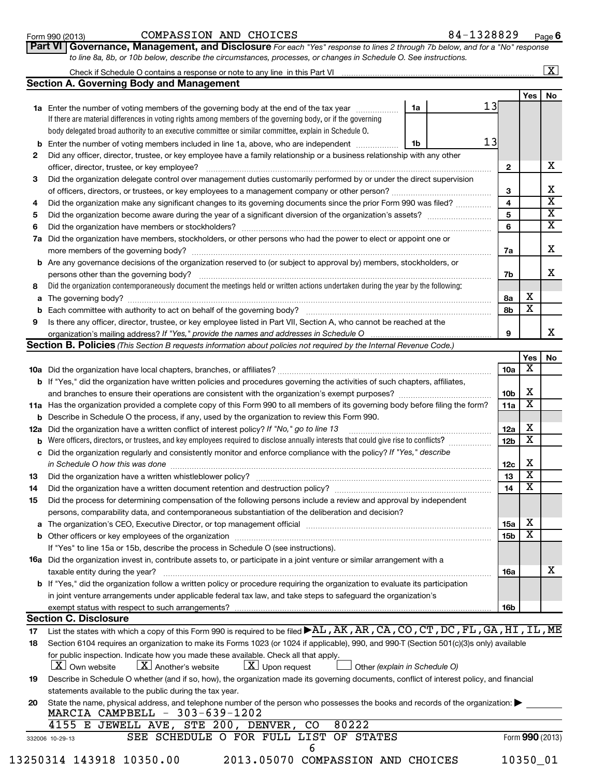| <u>Form 990 (2013)</u> |  |
|------------------------|--|
|------------------------|--|

# Form 990 (2013)  $\sim$  COMPASSION AND CHOICES  $84-1328829$  Page

**6**

| 1 UIIII JJJ 140 IUI | ______________________                                                                                                      | ---------- | . . au |
|---------------------|-----------------------------------------------------------------------------------------------------------------------------|------------|--------|
|                     | Part VI Governance, Management, and Disclosure For each "Yes" response to lines 2 through 7b below, and for a "No" response |            |        |
|                     | to line 8a, 8b, or 10b below, describe the circumstances, processes, or changes in Schedule O. See instructions.            |            |        |

|              | Check if Schedule O contains a response or note to any line in this Part VI                                                                                                   |                         |                         | $\overline{\mathbf{x}}$ |
|--------------|-------------------------------------------------------------------------------------------------------------------------------------------------------------------------------|-------------------------|-------------------------|-------------------------|
|              | Section A. Governing Body and Management                                                                                                                                      |                         |                         |                         |
|              |                                                                                                                                                                               |                         | Yes                     | No                      |
|              | 13<br>1a<br><b>1a</b> Enter the number of voting members of the governing body at the end of the tax year                                                                     |                         |                         |                         |
|              | If there are material differences in voting rights among members of the governing body, or if the governing                                                                   |                         |                         |                         |
|              | body delegated broad authority to an executive committee or similar committee, explain in Schedule O.                                                                         |                         |                         |                         |
| b            | 13<br>Enter the number of voting members included in line 1a, above, who are independent<br>1b                                                                                |                         |                         |                         |
| $\mathbf{2}$ | Did any officer, director, trustee, or key employee have a family relationship or a business relationship with any other                                                      |                         |                         |                         |
|              | officer, director, trustee, or key employee?                                                                                                                                  | $\mathbf{2}$            |                         | x.                      |
| 3            | Did the organization delegate control over management duties customarily performed by or under the direct supervision                                                         |                         |                         |                         |
|              |                                                                                                                                                                               | 3                       |                         | x                       |
| 4            | Did the organization make any significant changes to its governing documents since the prior Form 990 was filed?                                                              | $\overline{\mathbf{4}}$ |                         | $\overline{\text{x}}$   |
| 5            |                                                                                                                                                                               | 5                       |                         | $\overline{\textbf{x}}$ |
| 6            |                                                                                                                                                                               | 6                       |                         | $\overline{\mathbf{x}}$ |
| 7а           | Did the organization have members, stockholders, or other persons who had the power to elect or appoint one or                                                                |                         |                         |                         |
|              |                                                                                                                                                                               | 7a                      |                         | x                       |
|              | <b>b</b> Are any governance decisions of the organization reserved to (or subject to approval by) members, stockholders, or                                                   |                         |                         |                         |
|              | persons other than the governing body?                                                                                                                                        | 7b                      |                         | x                       |
| 8            | Did the organization contemporaneously document the meetings held or written actions undertaken during the year by the following:                                             |                         |                         |                         |
| a            |                                                                                                                                                                               | 8a                      | х                       |                         |
| b            |                                                                                                                                                                               | 8b                      | $\overline{\mathtt{x}}$ |                         |
| 9            | Is there any officer, director, trustee, or key employee listed in Part VII, Section A, who cannot be reached at the                                                          |                         |                         |                         |
|              | organization's mailing address? If "Yes," provide the names and addresses in Schedule O                                                                                       | 9                       |                         | x                       |
|              | Section B. Policies (This Section B requests information about policies not required by the Internal Revenue Code.)                                                           |                         |                         |                         |
|              |                                                                                                                                                                               |                         | Yes<br>х                | No                      |
|              |                                                                                                                                                                               | 10a                     |                         |                         |
|              | <b>b</b> If "Yes," did the organization have written policies and procedures governing the activities of such chapters, affiliates,                                           | 10 <sub>b</sub>         | X                       |                         |
|              | 11a Has the organization provided a complete copy of this Form 990 to all members of its governing body before filing the form?                                               | 11a                     | $\overline{\text{x}}$   |                         |
| b            | Describe in Schedule O the process, if any, used by the organization to review this Form 990.                                                                                 |                         |                         |                         |
| 12a          | Did the organization have a written conflict of interest policy? If "No," go to line 13                                                                                       | 12a                     | х                       |                         |
| b            | Were officers, directors, or trustees, and key employees required to disclose annually interests that could give rise to conflicts?                                           | 12 <sub>b</sub>         | $\overline{\textbf{x}}$ |                         |
| с            | Did the organization regularly and consistently monitor and enforce compliance with the policy? If "Yes," describe                                                            |                         |                         |                         |
|              | in Schedule O how this was done                                                                                                                                               | 12c                     | X                       |                         |
| 13           |                                                                                                                                                                               | 13                      | $\overline{\textbf{x}}$ |                         |
| 14           | Did the organization have a written document retention and destruction policy? [11] manufaction in the organization have a written document retention and destruction policy? | 14                      | $\overline{\textbf{x}}$ |                         |
| 15           | Did the process for determining compensation of the following persons include a review and approval by independent                                                            |                         |                         |                         |
|              | persons, comparability data, and contemporaneous substantiation of the deliberation and decision?                                                                             |                         |                         |                         |
| a            | The organization's CEO, Executive Director, or top management official manufacture content content of the organization's CEO, Executive Director, or top management official  | 15a                     | х                       |                         |
| b            |                                                                                                                                                                               | 15 <sub>b</sub>         | $\overline{\textbf{x}}$ |                         |
|              | If "Yes" to line 15a or 15b, describe the process in Schedule O (see instructions).                                                                                           |                         |                         |                         |
|              | 16a Did the organization invest in, contribute assets to, or participate in a joint venture or similar arrangement with a                                                     |                         |                         |                         |
|              |                                                                                                                                                                               | 16a                     |                         | x                       |

| exempt status with respect to such arrangements?                                                                                      | <b>16b</b> |
|---------------------------------------------------------------------------------------------------------------------------------------|------------|
| in joint venture arrangements under applicable federal tax law, and take steps to safeguard the organization's                        |            |
| <b>b</b> If "Yes," did the organization follow a written policy or procedure requiring the organization to evaluate its participation |            |

# **Section C. Disclosure**

| 17 | List the states with which a copy of this Form 990 is required to be filed $\blacktriangleright$ AL, AK, AR, CA, CO, CT, DC, FL, GA, HI, IL, ME                                                                                                               |
|----|---------------------------------------------------------------------------------------------------------------------------------------------------------------------------------------------------------------------------------------------------------------|
| 18 | Section 6104 requires an organization to make its Forms 1023 (or 1024 if applicable), 990, and 990-T (Section 501(c)(3)s only) available                                                                                                                      |
|    | for public inspection. Indicate how you made these available. Check all that apply.<br>$\boxed{\textbf{X}}$ Own website $\boxed{\textbf{X}}$ Another's website $\boxed{\textbf{X}}$ Upon request $\boxed{\phantom{\textbf{X}}}$ Other (explain in Schedule O) |
| 19 | Describe in Schedule O whether (and if so, how), the organization made its governing documents, conflict of interest policy, and financial                                                                                                                    |
|    | statements available to the public during the tax year.                                                                                                                                                                                                       |
| 20 | State the name, physical address, and telephone number of the person who possesses the books and records of the organization:<br>MARCIA CAMPBELL $-303-639-1202$                                                                                              |
|    | 4155 E JEWELL AVE, STE 200, DENVER, CO<br>80222                                                                                                                                                                                                               |
|    | SEE SCHEDULE O FOR<br>FULL<br>LIST<br><b>STATES</b><br>OF<br>Form 990 (2013)<br>332006 10-29-13                                                                                                                                                               |
|    |                                                                                                                                                                                                                                                               |

| 13250314 143918 10350.00 | 2013.05070 COMPASSION AND CHOICES | 10350 01 |
|--------------------------|-----------------------------------|----------|
|--------------------------|-----------------------------------|----------|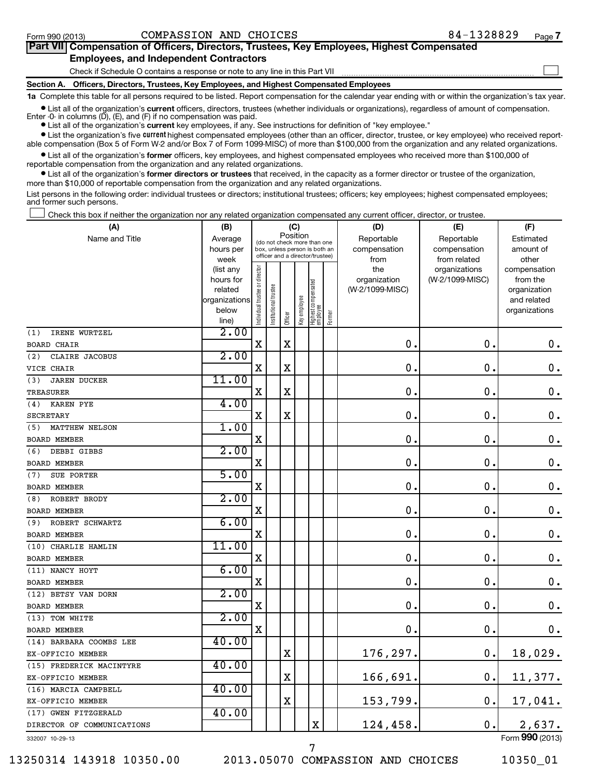#### Form 990 (2013)  $\sim$  COMPASSION AND CHOICES  $84-1328829$  Page

| Part VII Compensation of Officers, Directors, Trustees, Key Employees, Highest Compensated                                                               |
|----------------------------------------------------------------------------------------------------------------------------------------------------------|
| <b>Employees, and Independent Contractors</b>                                                                                                            |
| Check if Schedule O contains a response or note to any line in this Part VII                                                                             |
| Section A. Officers, Directors, Trustees, Key Employees, and Highest Compensated Employees                                                               |
| 1a Complete this table for all persons required to be listed. Report compensation for the calendar year ending with or within the organization's tax yea |

**•** List all of the organization's current officers, directors, trustees (whether individuals or organizations), regardless of amount of compensation.

Enter -0- in columns  $(D)$ ,  $(E)$ , and  $(F)$  if no compensation was paid.

**•** List all of the organization's **current** key employees, if any. See instructions for definition of "key employee."

**•** List the organization's five *current* highest compensated employees (other than an officer, director, trustee, or key employee) who received reportable compensation (Box 5 of Form W-2 and/or Box 7 of Form 1099-MISC) of more than \$100,000 from the organization and any related organizations.

 $\bullet$  List all of the organization's former officers, key employees, and highest compensated employees who received more than \$100,000 of reportable compensation from the organization and any related organizations.

**•** List all of the organization's former directors or trustees that received, in the capacity as a former director or trustee of the organization, more than \$10,000 of reportable compensation from the organization and any related organizations.

List persons in the following order: individual trustees or directors; institutional trustees; officers; key employees; highest compensated employees; and former such persons.

Check this box if neither the organization nor any related organization compensated any current officer, director, or trustee.  $\pm$ 

| (A)                        | (B)                      | (C)                            |                                                                                                 |             |              |                                 |        | (D)             | (E)             | (F)                         |  |  |
|----------------------------|--------------------------|--------------------------------|-------------------------------------------------------------------------------------------------|-------------|--------------|---------------------------------|--------|-----------------|-----------------|-----------------------------|--|--|
| Name and Title             | Average                  |                                |                                                                                                 |             | Position     |                                 |        | Reportable      | Reportable      | Estimated                   |  |  |
|                            | hours per                |                                | (do not check more than one<br>box, unless person is both an<br>officer and a director/trustee) |             |              |                                 |        | compensation    | compensation    | amount of                   |  |  |
|                            | week                     |                                |                                                                                                 |             |              |                                 |        | from            | from related    | other                       |  |  |
|                            | (list any                |                                |                                                                                                 |             |              |                                 |        | the             | organizations   | compensation                |  |  |
|                            | hours for                |                                |                                                                                                 |             |              |                                 |        | organization    | (W-2/1099-MISC) | from the                    |  |  |
|                            | related<br>organizations |                                |                                                                                                 |             |              |                                 |        | (W-2/1099-MISC) |                 | organization<br>and related |  |  |
|                            | below                    |                                |                                                                                                 |             |              |                                 |        |                 |                 | organizations               |  |  |
|                            | line)                    | Individual trustee or director | Institutional trustee                                                                           | Officer     | Key employee | Highest compensated<br>employee | Former |                 |                 |                             |  |  |
| IRENE WURTZEL<br>(1)       | 2.00                     |                                |                                                                                                 |             |              |                                 |        |                 |                 |                             |  |  |
| <b>BOARD CHAIR</b>         |                          | $\mathbf X$                    |                                                                                                 | X           |              |                                 |        | 0.              | $\mathbf 0$     | 0.                          |  |  |
| CLAIRE JACOBUS<br>(2)      | 2.00                     |                                |                                                                                                 |             |              |                                 |        |                 |                 |                             |  |  |
| VICE CHAIR                 |                          | X                              |                                                                                                 | X           |              |                                 |        | $\mathbf 0$ .   | 0               | $\mathbf 0$ .               |  |  |
| (3)<br><b>JAREN DUCKER</b> | 11.00                    |                                |                                                                                                 |             |              |                                 |        |                 |                 |                             |  |  |
| TREASURER                  |                          | X                              |                                                                                                 | X           |              |                                 |        | $\mathbf 0$ .   | 0               | $\mathbf 0$ .               |  |  |
| (4)<br><b>KAREN PYE</b>    | 4.00                     |                                |                                                                                                 |             |              |                                 |        |                 |                 |                             |  |  |
| <b>SECRETARY</b>           |                          | $\mathbf X$                    |                                                                                                 | X           |              |                                 |        | $\mathbf 0$ .   | $\mathbf 0$     | $\mathbf 0$ .               |  |  |
| MATTHEW NELSON<br>(5)      | 1.00                     |                                |                                                                                                 |             |              |                                 |        |                 |                 |                             |  |  |
| <b>BOARD MEMBER</b>        |                          | X                              |                                                                                                 |             |              |                                 |        | $\mathbf 0$ .   | 0               | 0.                          |  |  |
| (6)<br>DEBBI GIBBS         | 2.00                     |                                |                                                                                                 |             |              |                                 |        |                 |                 |                             |  |  |
| <b>BOARD MEMBER</b>        |                          | X                              |                                                                                                 |             |              |                                 |        | $\mathbf 0$ .   | $\mathbf 0$     | $\mathbf 0$ .               |  |  |
| SUE PORTER<br>(7)          | 5.00                     |                                |                                                                                                 |             |              |                                 |        |                 |                 |                             |  |  |
| <b>BOARD MEMBER</b>        |                          | X                              |                                                                                                 |             |              |                                 |        | $\mathbf 0$ .   | 0               | $\mathbf 0$ .               |  |  |
| ROBERT BRODY<br>(8)        | 2.00                     |                                |                                                                                                 |             |              |                                 |        |                 |                 |                             |  |  |
| <b>BOARD MEMBER</b>        |                          | $\mathbf X$                    |                                                                                                 |             |              |                                 |        | 0.              | $\mathbf 0$ .   | $\mathbf 0$ .               |  |  |
| ROBERT SCHWARTZ<br>(9)     | 6.00                     |                                |                                                                                                 |             |              |                                 |        |                 |                 |                             |  |  |
| <b>BOARD MEMBER</b>        |                          | $\mathbf X$                    |                                                                                                 |             |              |                                 |        | $\mathbf 0$ .   | $\mathbf 0$     | $\mathbf 0$ .               |  |  |
| (10) CHARLIE HAMLIN        | 11.00                    |                                |                                                                                                 |             |              |                                 |        |                 |                 |                             |  |  |
| BOARD MEMBER               |                          | X                              |                                                                                                 |             |              |                                 |        | $\mathbf 0$ .   | 0               | $\mathbf 0$ .               |  |  |
| (11) NANCY HOYT            | 6.00                     |                                |                                                                                                 |             |              |                                 |        |                 |                 |                             |  |  |
| <b>BOARD MEMBER</b>        |                          | X                              |                                                                                                 |             |              |                                 |        | $\mathbf 0$ .   | $\mathbf 0$     | $\mathbf 0$ .               |  |  |
| (12) BETSY VAN DORN        | 2.00                     |                                |                                                                                                 |             |              |                                 |        |                 |                 |                             |  |  |
| <b>BOARD MEMBER</b>        |                          | X                              |                                                                                                 |             |              |                                 |        | $\mathbf 0$ .   | $\mathbf 0$     | $\mathbf 0$ .               |  |  |
| (13) TOM WHITE             | 2.00                     |                                |                                                                                                 |             |              |                                 |        |                 |                 |                             |  |  |
| BOARD MEMBER               |                          | $\mathbf X$                    |                                                                                                 |             |              |                                 |        | $\mathbf 0$ .   | $\pmb{0}$       | 0.                          |  |  |
| (14) BARBARA COOMBS LEE    | 40.00                    |                                |                                                                                                 |             |              |                                 |        |                 |                 |                             |  |  |
| EX-OFFICIO MEMBER          |                          |                                |                                                                                                 | X           |              |                                 |        | 176,297.        | $\mathbf 0$     | 18,029.                     |  |  |
| (15) FREDERICK MACINTYRE   | 40.00                    |                                |                                                                                                 |             |              |                                 |        |                 |                 |                             |  |  |
| EX-OFFICIO MEMBER          |                          |                                |                                                                                                 | $\mathbf X$ |              |                                 |        | 166,691.        | $\mathbf 0$     | 11,377.                     |  |  |
| (16) MARCIA CAMPBELL       | 40.00                    |                                |                                                                                                 |             |              |                                 |        |                 |                 |                             |  |  |
| EX-OFFICIO MEMBER          |                          |                                |                                                                                                 | X           |              |                                 |        | 153,799.        | 0.              | 17,041.                     |  |  |
| (17) GWEN FITZGERALD       | 40.00                    |                                |                                                                                                 |             |              |                                 |        |                 |                 |                             |  |  |
| DIRECTOR OF COMMUNICATIONS |                          |                                |                                                                                                 |             |              | X                               |        | 124,458.        | 0.              | 2,637.                      |  |  |
|                            |                          |                                |                                                                                                 |             |              |                                 |        |                 |                 | $F_{2}$ 000 (0010)          |  |  |

332007 10-29-13

13250314 143918 10350.00 2013.05070 COMPASSION AND CHOICES 10350\_01

7

Form (2013) **990**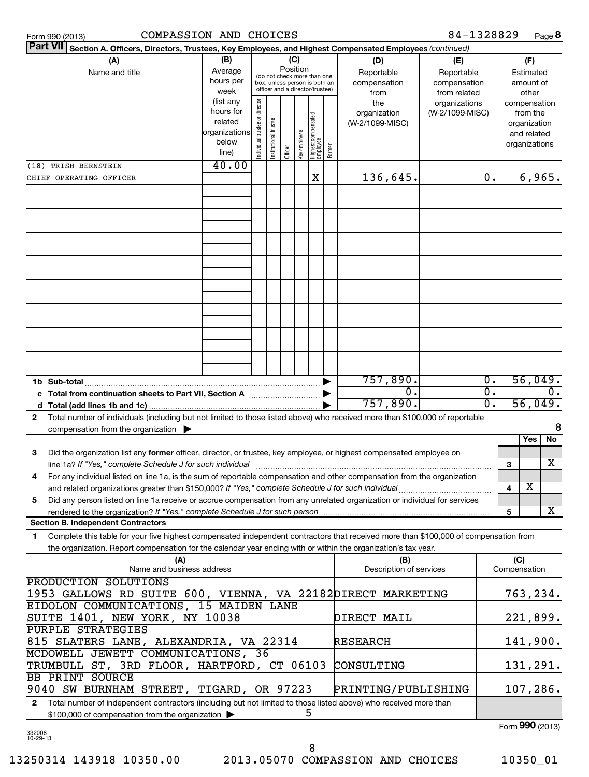| <b>Part VII</b><br>Section A. Officers, Directors, Trustees, Key Employees, and Highest Compensated Employees (continued)                    |                                                         |                                |                       |           |              |                                                                  |        |                                |                              |                    |                     |                              |
|----------------------------------------------------------------------------------------------------------------------------------------------|---------------------------------------------------------|--------------------------------|-----------------------|-----------|--------------|------------------------------------------------------------------|--------|--------------------------------|------------------------------|--------------------|---------------------|------------------------------|
| (A)                                                                                                                                          | (D)<br>(E)                                              |                                |                       | (F)       |              |                                                                  |        |                                |                              |                    |                     |                              |
| Name and title                                                                                                                               | Reportable<br>Reportable<br>(do not check more than one |                                |                       | Estimated |              |                                                                  |        |                                |                              |                    |                     |                              |
|                                                                                                                                              | hours per<br>week                                       |                                |                       |           |              | box, unless person is both an<br>officer and a director/trustee) |        | compensation<br>from           | compensation<br>from related | amount of<br>other |                     |                              |
|                                                                                                                                              | (list any                                               |                                |                       |           |              |                                                                  |        | the                            | organizations                |                    |                     | compensation                 |
|                                                                                                                                              | hours for                                               |                                |                       |           |              |                                                                  |        | organization                   | (W-2/1099-MISC)              |                    |                     | from the                     |
|                                                                                                                                              | related<br>organizations                                |                                |                       |           |              |                                                                  |        | (W-2/1099-MISC)                |                              |                    |                     | organization                 |
|                                                                                                                                              | below                                                   |                                |                       |           |              |                                                                  |        |                                |                              |                    |                     | and related<br>organizations |
|                                                                                                                                              | line)                                                   | Individual trustee or director | Institutional trustee | Officer   | Key employee | Highest compensated<br>employee                                  | Former |                                |                              |                    |                     |                              |
| (18) TRISH BERNSTEIN                                                                                                                         | 40.00                                                   |                                |                       |           |              |                                                                  |        |                                |                              |                    |                     |                              |
| CHIEF OPERATING OFFICER                                                                                                                      |                                                         |                                |                       |           |              | X                                                                |        | 136,645.                       |                              | 0.                 |                     | 6,965.                       |
|                                                                                                                                              |                                                         |                                |                       |           |              |                                                                  |        |                                |                              |                    |                     |                              |
|                                                                                                                                              |                                                         |                                |                       |           |              |                                                                  |        |                                |                              |                    |                     |                              |
|                                                                                                                                              |                                                         |                                |                       |           |              |                                                                  |        |                                |                              |                    |                     |                              |
|                                                                                                                                              |                                                         |                                |                       |           |              |                                                                  |        |                                |                              |                    |                     |                              |
|                                                                                                                                              |                                                         |                                |                       |           |              |                                                                  |        |                                |                              |                    |                     |                              |
|                                                                                                                                              |                                                         |                                |                       |           |              |                                                                  |        |                                |                              |                    |                     |                              |
|                                                                                                                                              |                                                         |                                |                       |           |              |                                                                  |        |                                |                              |                    |                     |                              |
|                                                                                                                                              |                                                         |                                |                       |           |              |                                                                  |        |                                |                              |                    |                     |                              |
|                                                                                                                                              |                                                         |                                |                       |           |              |                                                                  |        |                                |                              |                    |                     |                              |
|                                                                                                                                              |                                                         |                                |                       |           |              |                                                                  |        |                                |                              |                    |                     |                              |
|                                                                                                                                              |                                                         |                                |                       |           |              |                                                                  |        |                                |                              |                    |                     |                              |
|                                                                                                                                              |                                                         |                                |                       |           |              |                                                                  |        |                                |                              |                    |                     |                              |
|                                                                                                                                              |                                                         |                                |                       |           |              |                                                                  |        |                                |                              |                    |                     |                              |
|                                                                                                                                              |                                                         |                                |                       |           |              |                                                                  |        |                                |                              |                    |                     |                              |
|                                                                                                                                              |                                                         |                                |                       |           |              |                                                                  |        |                                |                              |                    |                     |                              |
| 1b Sub-total                                                                                                                                 |                                                         |                                |                       |           |              |                                                                  |        | 757,890.                       |                              | $\overline{0}$ .   |                     | 56,049.                      |
| c Total from continuation sheets to Part VII, Section A <b>manual</b> Total Trum                                                             |                                                         |                                |                       |           |              |                                                                  |        | $\overline{0}$                 |                              | σ.                 |                     | $\overline{0}$ .             |
| d                                                                                                                                            |                                                         |                                |                       |           |              |                                                                  |        | 757,890.                       |                              | $\overline{0}$ .   |                     | 56,049.                      |
| Total number of individuals (including but not limited to those listed above) who received more than \$100,000 of reportable<br>$\mathbf{2}$ |                                                         |                                |                       |           |              |                                                                  |        |                                |                              |                    |                     | 8                            |
| compensation from the organization                                                                                                           |                                                         |                                |                       |           |              |                                                                  |        |                                |                              |                    |                     | <b>No</b><br>Yes             |
| Did the organization list any former officer, director, or trustee, key employee, or highest compensated employee on<br>3                    |                                                         |                                |                       |           |              |                                                                  |        |                                |                              |                    |                     |                              |
| line 1a? If "Yes," complete Schedule J for such individual                                                                                   |                                                         |                                |                       |           |              |                                                                  |        |                                |                              |                    | 3                   | x                            |
| For any individual listed on line 1a, is the sum of reportable compensation and other compensation from the organization<br>4                |                                                         |                                |                       |           |              |                                                                  |        |                                |                              |                    |                     |                              |
| and related organizations greater than \$150,000? If "Yes," complete Schedule J for such individual                                          |                                                         |                                |                       |           |              |                                                                  |        |                                |                              |                    | 4                   | X                            |
| Did any person listed on line 1a receive or accrue compensation from any unrelated organization or individual for services<br>5              |                                                         |                                |                       |           |              |                                                                  |        |                                |                              |                    |                     |                              |
| rendered to the organization? If "Yes," complete Schedule J for such person                                                                  |                                                         |                                |                       |           |              |                                                                  |        |                                |                              |                    | 5                   | x                            |
| <b>Section B. Independent Contractors</b>                                                                                                    |                                                         |                                |                       |           |              |                                                                  |        |                                |                              |                    |                     |                              |
| Complete this table for your five highest compensated independent contractors that received more than \$100,000 of compensation from<br>1.   |                                                         |                                |                       |           |              |                                                                  |        |                                |                              |                    |                     |                              |
| the organization. Report compensation for the calendar year ending with or within the organization's tax year.                               |                                                         |                                |                       |           |              |                                                                  |        |                                |                              |                    |                     |                              |
|                                                                                                                                              | (A)<br>Name and business address                        |                                |                       |           |              |                                                                  |        | (B)<br>Description of services |                              |                    | (C)<br>Compensation |                              |
| PRODUCTION SOLUTIONS                                                                                                                         |                                                         |                                |                       |           |              |                                                                  |        |                                |                              |                    |                     |                              |
| 1953 GALLOWS RD SUITE 600, VIENNA, VA 22182 DIRECT MARKETING                                                                                 |                                                         |                                |                       |           |              |                                                                  |        |                                |                              |                    |                     | 763,234.                     |
| EIDOLON COMMUNICATIONS, 15 MAIDEN LANE                                                                                                       |                                                         |                                |                       |           |              |                                                                  |        |                                |                              |                    |                     |                              |
| SUITE 1401, NEW YORK, NY 10038                                                                                                               |                                                         |                                |                       |           |              |                                                                  |        | DIRECT MAIL                    |                              |                    |                     | 221,899.                     |
| PURPLE STRATEGIES                                                                                                                            |                                                         |                                |                       |           |              |                                                                  |        |                                |                              |                    |                     |                              |
| 815 SLATERS LANE, ALEXANDRIA, VA 22314                                                                                                       |                                                         |                                |                       |           |              |                                                                  |        | RESEARCH                       |                              |                    |                     | 141,900.                     |
| MCDOWELL JEWETT COMMUNICATIONS, 36                                                                                                           |                                                         |                                |                       |           |              |                                                                  |        |                                |                              |                    |                     |                              |
| TRUMBULL ST, 3RD FLOOR, HARTFORD, CT 06103                                                                                                   |                                                         |                                |                       |           |              |                                                                  |        | CONSULTING                     |                              |                    |                     | 131,291.                     |
| BB PRINT SOURCE                                                                                                                              |                                                         |                                |                       |           |              |                                                                  |        |                                |                              |                    |                     |                              |
| 9040 SW BURNHAM STREET, TIGARD, OR 97223                                                                                                     |                                                         |                                |                       |           |              |                                                                  |        | PRINTING/PUBLISHING            |                              |                    |                     | 107,286.                     |
| Total number of independent contractors (including but not limited to those listed above) who received more than<br>$\mathbf{2}$             |                                                         |                                |                       |           |              |                                                                  |        |                                |                              |                    |                     |                              |
| 5<br>\$100,000 of compensation from the organization                                                                                         |                                                         |                                |                       |           |              |                                                                  |        |                                |                              |                    |                     | $\mathbf{on}$                |

332008 10-29-13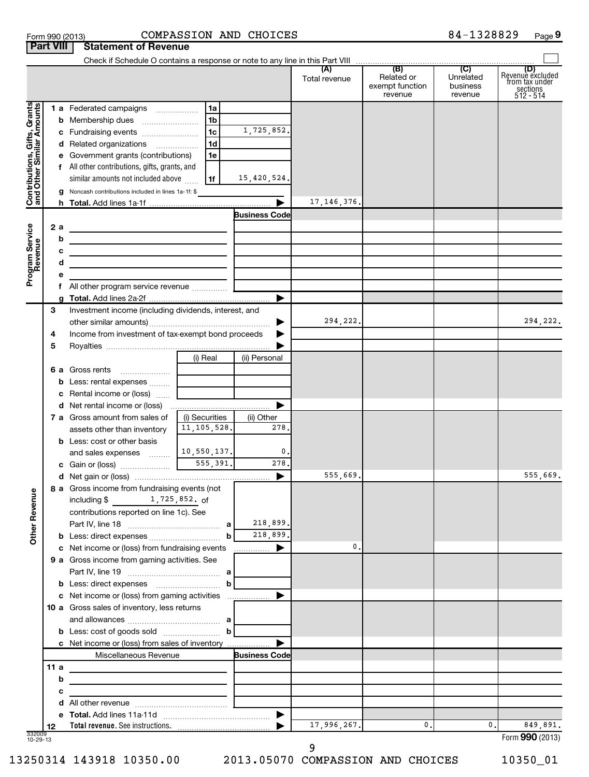|                                                           | <b>Part VIII</b> |   | <b>Statement of Revenue</b>                                                                                            |                |                       |               |                                          |                                  |                                                                      |
|-----------------------------------------------------------|------------------|---|------------------------------------------------------------------------------------------------------------------------|----------------|-----------------------|---------------|------------------------------------------|----------------------------------|----------------------------------------------------------------------|
|                                                           |                  |   |                                                                                                                        |                |                       | Total revenue | Related or<br>exempt function<br>revenue | Unrelated<br>business<br>revenue | (D)<br>Revenue excluded<br>from tax under<br>sections<br>$512 - 514$ |
|                                                           |                  |   | 1 a Federated campaigns                                                                                                | 1a             |                       |               |                                          |                                  |                                                                      |
| Contributions, Gifts, Grants<br>and Other Similar Amounts |                  |   |                                                                                                                        | 1 <sub>b</sub> |                       |               |                                          |                                  |                                                                      |
|                                                           |                  |   | c Fundraising events                                                                                                   | l 1c           | 1,725,852.            |               |                                          |                                  |                                                                      |
|                                                           |                  |   | d Related organizations                                                                                                | 1 <sub>d</sub> |                       |               |                                          |                                  |                                                                      |
|                                                           |                  |   | e Government grants (contributions)                                                                                    | 1e             |                       |               |                                          |                                  |                                                                      |
|                                                           |                  |   | f All other contributions, gifts, grants, and                                                                          |                |                       |               |                                          |                                  |                                                                      |
|                                                           |                  |   | similar amounts not included above                                                                                     | 1f             | 15,420,524.           |               |                                          |                                  |                                                                      |
|                                                           |                  |   | Noncash contributions included in lines 1a-1f: \$                                                                      |                |                       |               |                                          |                                  |                                                                      |
|                                                           |                  |   |                                                                                                                        |                | $\blacktriangleright$ | 17, 146, 376. |                                          |                                  |                                                                      |
|                                                           |                  |   |                                                                                                                        |                | <b>Business Code</b>  |               |                                          |                                  |                                                                      |
|                                                           | 2 a              | b | <u> 1980 - Johann Barn, mars an t-Amerikaansk politiker (</u>                                                          |                |                       |               |                                          |                                  |                                                                      |
|                                                           |                  | с | <u> 1989 - Johann Stein, marwolaethau a bhann an t-Albann an t-Albann an t-Albann an t-Albann an t-Albann an t-Alb</u> |                |                       |               |                                          |                                  |                                                                      |
|                                                           |                  | d | <u> 1989 - Johann Barbara, martin amerikan basar dan berasal dalam basar dalam basar dalam basar dalam basar dala</u>  |                |                       |               |                                          |                                  |                                                                      |
| Program Service<br>Revenue                                |                  | е |                                                                                                                        |                |                       |               |                                          |                                  |                                                                      |
|                                                           |                  |   |                                                                                                                        |                |                       |               |                                          |                                  |                                                                      |
|                                                           |                  |   |                                                                                                                        |                | ▶                     |               |                                          |                                  |                                                                      |
|                                                           | 3                |   | Investment income (including dividends, interest, and                                                                  |                |                       |               |                                          |                                  |                                                                      |
|                                                           |                  |   |                                                                                                                        |                | ▶                     | 294,222.      |                                          |                                  | 294,222.                                                             |
|                                                           | 4                |   | Income from investment of tax-exempt bond proceeds                                                                     |                |                       |               |                                          |                                  |                                                                      |
|                                                           | 5                |   |                                                                                                                        |                |                       |               |                                          |                                  |                                                                      |
|                                                           |                  |   |                                                                                                                        | (i) Real       | (ii) Personal         |               |                                          |                                  |                                                                      |
|                                                           |                  |   | 6 a Gross rents<br><b>b</b> Less: rental expenses                                                                      |                |                       |               |                                          |                                  |                                                                      |
|                                                           |                  |   | c Rental income or (loss)                                                                                              |                |                       |               |                                          |                                  |                                                                      |
|                                                           |                  |   |                                                                                                                        |                | ▶                     |               |                                          |                                  |                                                                      |
|                                                           |                  |   | 7 a Gross amount from sales of                                                                                         | (i) Securities | (ii) Other            |               |                                          |                                  |                                                                      |
|                                                           |                  |   | assets other than inventory                                                                                            | 11, 105, 528.  | 278.                  |               |                                          |                                  |                                                                      |
|                                                           |                  |   | <b>b</b> Less: cost or other basis                                                                                     |                |                       |               |                                          |                                  |                                                                      |
|                                                           |                  |   | and sales expenses                                                                                                     | 10,550,137.    | 0.                    |               |                                          |                                  |                                                                      |
|                                                           |                  |   |                                                                                                                        | 555,391.       | 278.                  |               |                                          |                                  |                                                                      |
|                                                           |                  |   |                                                                                                                        |                | ▶                     | 555,669.      |                                          |                                  | 555,669.                                                             |
|                                                           |                  |   | 8 a Gross income from fundraising events (not<br>1,725,852. of                                                         |                |                       |               |                                          |                                  |                                                                      |
| <b>Other Revenue</b>                                      |                  |   | including \$<br>contributions reported on line 1c). See                                                                |                |                       |               |                                          |                                  |                                                                      |
|                                                           |                  |   |                                                                                                                        |                | 218,899.              |               |                                          |                                  |                                                                      |
|                                                           |                  |   |                                                                                                                        | $\mathbf b$    | 218,899.              |               |                                          |                                  |                                                                      |
|                                                           |                  |   | c Net income or (loss) from fundraising events                                                                         |                | ▶<br>.                | 0.            |                                          |                                  |                                                                      |
|                                                           |                  |   | 9 a Gross income from gaming activities. See                                                                           |                |                       |               |                                          |                                  |                                                                      |
|                                                           |                  |   |                                                                                                                        |                |                       |               |                                          |                                  |                                                                      |
|                                                           |                  |   |                                                                                                                        | b              |                       |               |                                          |                                  |                                                                      |
|                                                           |                  |   | c Net income or (loss) from gaming activities                                                                          |                | ▶                     |               |                                          |                                  |                                                                      |
|                                                           |                  |   | 10 a Gross sales of inventory, less returns                                                                            |                |                       |               |                                          |                                  |                                                                      |
|                                                           |                  |   |                                                                                                                        |                |                       |               |                                          |                                  |                                                                      |
|                                                           |                  |   | c Net income or (loss) from sales of inventory                                                                         |                |                       |               |                                          |                                  |                                                                      |
|                                                           |                  |   | Miscellaneous Revenue                                                                                                  |                | <b>Business Code</b>  |               |                                          |                                  |                                                                      |
|                                                           | 11 a             |   | the control of the control of the control of the control of the control of                                             |                |                       |               |                                          |                                  |                                                                      |
|                                                           |                  | b |                                                                                                                        |                |                       |               |                                          |                                  |                                                                      |
|                                                           |                  | с | <u> 1989 - Johann Barbara, martxa alemaniar a</u>                                                                      |                |                       |               |                                          |                                  |                                                                      |
|                                                           |                  |   |                                                                                                                        |                |                       |               |                                          |                                  |                                                                      |
|                                                           |                  |   |                                                                                                                        |                |                       |               |                                          |                                  |                                                                      |
|                                                           | 12               |   |                                                                                                                        |                |                       | 17,996,267.   | 0.                                       | 0.                               | 849,891.                                                             |
| 332009<br>10-29-13                                        |                  |   |                                                                                                                        |                |                       | 9             |                                          |                                  | Form 990 (2013)                                                      |

Form 990 (2013) COMPASSION AND CHOICES 8 4-1328829 Page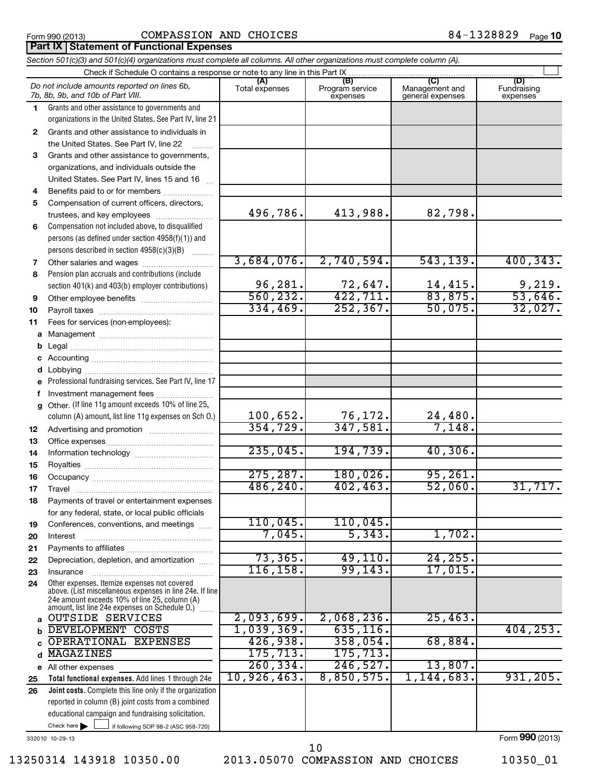**Part IX Statement of Functional Expenses** 

# Form 990 (2013)  $\qquad \qquad \text{COMPASSION AND CHOICES} \qquad \qquad \text{84--1328829} \qquad \text{Page}$

84-1328829 Page 10

|              | Section 501(c)(3) and 501(c)(4) organizations must complete all columns. All other organizations must complete column (A).                                |                |                             |                                    |                         |
|--------------|-----------------------------------------------------------------------------------------------------------------------------------------------------------|----------------|-----------------------------|------------------------------------|-------------------------|
|              | Check if Schedule O contains a response or note to any line in this Part IX                                                                               | (A)            | (B)                         | $\overline{\text{(C)}}$            | (D)                     |
|              | Do not include amounts reported on lines 6b,<br>7b, 8b, 9b, and 10b of Part VIII.                                                                         | Total expenses | Program service<br>expenses | Management and<br>general expenses | Fundraising<br>expenses |
| 1.           | Grants and other assistance to governments and                                                                                                            |                |                             |                                    |                         |
|              | organizations in the United States. See Part IV, line 21                                                                                                  |                |                             |                                    |                         |
| $\mathbf{2}$ | Grants and other assistance to individuals in                                                                                                             |                |                             |                                    |                         |
|              | the United States. See Part IV, line 22                                                                                                                   |                |                             |                                    |                         |
| 3            | Grants and other assistance to governments,                                                                                                               |                |                             |                                    |                         |
|              | organizations, and individuals outside the                                                                                                                |                |                             |                                    |                         |
|              | United States. See Part IV, lines 15 and 16                                                                                                               |                |                             |                                    |                         |
| 4            | Benefits paid to or for members                                                                                                                           |                |                             |                                    |                         |
| 5            | Compensation of current officers, directors,                                                                                                              |                |                             |                                    |                         |
|              | trustees, and key employees                                                                                                                               | 496,786.       | 413,988.                    | 82,798.                            |                         |
| 6            | Compensation not included above, to disqualified                                                                                                          |                |                             |                                    |                         |
|              | persons (as defined under section 4958(f)(1)) and                                                                                                         |                |                             |                                    |                         |
|              | persons described in section 4958(c)(3)(B)                                                                                                                |                |                             |                                    |                         |
| 7            | Other salaries and wages                                                                                                                                  | 3,684,076.     | 2,740,594.                  | 543, 139.                          | 400, 343.               |
| 8            | Pension plan accruals and contributions (include                                                                                                          |                |                             |                                    |                         |
|              | section 401(k) and 403(b) employer contributions)                                                                                                         | 96,281.        | 72,647.                     | $\frac{14,415}{83,875}$            | $\frac{9,219}{53,646}$  |
| 9            |                                                                                                                                                           | 560, 232.      | 422, 711.                   |                                    |                         |
| 10           |                                                                                                                                                           | 334,469.       | 252, 367.                   | 50,075.                            | 32,027.                 |
| 11           | Fees for services (non-employees):                                                                                                                        |                |                             |                                    |                         |
| a            |                                                                                                                                                           |                |                             |                                    |                         |
|              |                                                                                                                                                           |                |                             |                                    |                         |
| с            |                                                                                                                                                           |                |                             |                                    |                         |
| d            |                                                                                                                                                           |                |                             |                                    |                         |
| e            | Professional fundraising services. See Part IV, line 17                                                                                                   |                |                             |                                    |                         |
| f            | Investment management fees                                                                                                                                |                |                             |                                    |                         |
| g            | Other. (If line 11g amount exceeds 10% of line 25,                                                                                                        |                |                             |                                    |                         |
|              | column (A) amount, list line 11g expenses on Sch O.)                                                                                                      | 100,652.       | 76,172.                     | 24,480.                            |                         |
| 12           |                                                                                                                                                           | 354, 729.      | 347,581.                    | 7,148.                             |                         |
| 13           |                                                                                                                                                           |                |                             |                                    |                         |
| 14           |                                                                                                                                                           | 235,045.       | 194,739.                    | 40,306.                            |                         |
| 15           |                                                                                                                                                           |                |                             |                                    |                         |
| 16           |                                                                                                                                                           | 275, 287.      | 180,026.                    | 95, 261.                           |                         |
| 17           |                                                                                                                                                           | 486, 240.      | 402, 463.                   | 52,060.                            | 31,717.                 |
| 18           | Payments of travel or entertainment expenses                                                                                                              |                |                             |                                    |                         |
|              | for any federal, state, or local public officials                                                                                                         |                |                             |                                    |                         |
| 19           | Conferences, conventions, and meetings                                                                                                                    | 110,045.       | 110,045.                    |                                    |                         |
| 20           | Interest                                                                                                                                                  | 7,045.         | 5,343.                      | 1,702.                             |                         |
| 21           |                                                                                                                                                           |                |                             |                                    |                         |
| 22           | Depreciation, depletion, and amortization                                                                                                                 | 73, 365.       | 49, 110.                    | 24, 255.                           |                         |
| 23           | Insurance                                                                                                                                                 | 116, 158.      | 99, 143.                    | 17,015.                            |                         |
| 24           | Other expenses. Itemize expenses not covered<br>above. (List miscellaneous expenses in line 24e. If line<br>24e amount exceeds 10% of line 25, column (A) |                |                             |                                    |                         |
|              | amount, list line 24e expenses on Schedule O.)<br><b>OUTSIDE SERVICES</b>                                                                                 | 2,093,699.     | 2,068,236.                  | 25,463.                            |                         |
| a            | <b>DEVELOPMENT</b><br>COSTS                                                                                                                               | 1,039,369.     | 635, 116.                   |                                    | 404, 253.               |
| b            | OPERATIONAL<br><b>EXPENSES</b>                                                                                                                            | 426,938.       | 358,054.                    | 68,884.                            |                         |
| c            | <b>MAGAZINES</b>                                                                                                                                          | 175, 713.      | 175, 713.                   |                                    |                         |
| d            |                                                                                                                                                           | 260, 334.      | 246,527.                    | 13,807.                            |                         |
|              | e All other expenses<br>Total functional expenses. Add lines 1 through 24e                                                                                | 10,926,463.    | 8,850,575.                  | 1,144,683.                         | 931, 205.               |
| 25           | Joint costs. Complete this line only if the organization                                                                                                  |                |                             |                                    |                         |
| 26           | reported in column (B) joint costs from a combined                                                                                                        |                |                             |                                    |                         |
|              | educational campaign and fundraising solicitation.                                                                                                        |                |                             |                                    |                         |
|              | Check here $\blacktriangleright$                                                                                                                          |                |                             |                                    |                         |
|              | if following SOP 98-2 (ASC 958-720)                                                                                                                       |                |                             |                                    | Form 990 (2013)         |
|              | 332010 10-29-13                                                                                                                                           |                |                             |                                    |                         |

13250314 143918 10350.00 2013.05070 COMPASSION AND CHOICES 10350\_01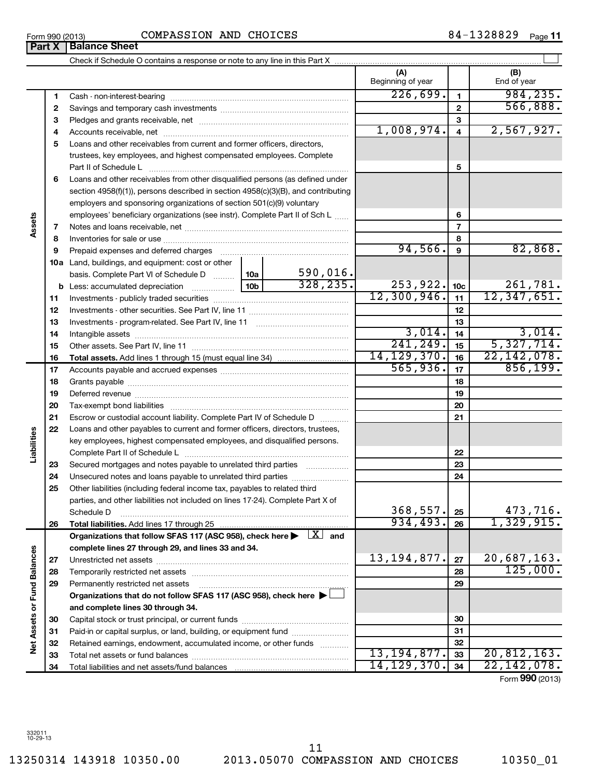13250314 143918 10350.00 2013.05070 COMPASSION AND CHOICES 10350\_01 11

Form 990 (2013)  $\qquad \qquad \qquad \text{COMPASSION AND CHOICES} \qquad \qquad \qquad \qquad \text{84--1328829} \qquad \qquad \text{Page}}$ 

**(A) (B) 1 2 3 4 5 6 7 8 9 10 a** Land, buildings, and equipment: cost or other **11 12 13 14 15 16 17 18 19 20 21 22 23 24 25 26 27 28 29 30 31 32 33 1 2 3 4 5 6 7 8 9 10c 11 12 13 14 15 16 17 18 19 20 21 22 23 24 25 26 b** Less: accumulated depreciation \_\_\_\_\_\_\_\_\_\_\_\_\_\_| 10b basis. Complete Part VI of Schedule D www. 10a **Total assets.**  Add lines 1 through 15 (must equal line 34) **Total liabilities.**  Add lines 17 through 25 **Organizations that follow SFAS 117 (ASC 958), check here**  $\blacktriangleright$  $\boxed{ \text{X} }$  **and complete lines 27 through 29, and lines 33 and 34. 27 28 29 Organizations that do not follow SFAS 117 (ASC 958), check here** | † **and complete lines 30 through 34. 30 31 32 33** Beginning of year  $\parallel$  | End of year Cash - non-interest-bearing ~~~~~~~~~~~~~~~~~~~~~~~~~ Savings and temporary cash investments ~~~~~~~~~~~~~~~~~~ Pledges and grants receivable, net ~~~~~~~~~~~~~~~~~~~~~ Accounts receivable, net ~~~~~~~~~~~~~~~~~~~~~~~~~~ Loans and other receivables from current and former officers, directors, trustees, key employees, and highest compensated employees. Complete Part II of Schedule L ~~~~~~~~~~~~~~~~~~~~~~~~~~~~ Loans and other receivables from other disqualified persons (as defined under section 4958(f)(1)), persons described in section 4958(c)(3)(B), and contributing employers and sponsoring organizations of section 501(c)(9) voluntary employees' beneficiary organizations (see instr). Complete Part II of Sch L ...... Notes and loans receivable, net ~~~~~~~~~~~~~~~~~~~~~~~ Inventories for sale or use ~~~~~~~~~~~~~~~~~~~~~~~~~~ Prepaid expenses and deferred charges ~~~~~~~~~~~~~~~~~~ Investments - publicly traded securities ~~~~~~~~~~~~~~~~~~~ Investments - other securities. See Part IV, line 11 ~~~~~~~~~~~~~~ Investments - program-related. See Part IV, line 11 ~~~~~~~~~~~~~ Intangible assets ~~~~~~~~~~~~~~~~~~~~~~~~~~~~~~ Other assets. See Part IV, line 11 ~~~~~~~~~~~~~~~~~~~~~~ Accounts payable and accrued expenses ~~~~~~~~~~~~~~~~~~ Grants payable ~~~~~~~~~~~~~~~~~~~~~~~~~~~~~~~ Deferred revenue **communications and the contract of the contract of the Deferred** revenues Tax-exempt bond liabilities ~~~~~~~~~~~~~~~~~~~~~~~~~ Escrow or custodial account liability. Complete Part IV of Schedule D ........... Loans and other payables to current and former officers, directors, trustees, key employees, highest compensated employees, and disqualified persons. Complete Part II of Schedule L ~~~~~~~~~~~~~~~~~~~~~~~ Secured mortgages and notes payable to unrelated third parties Unsecured notes and loans payable to unrelated third parties  $\ldots$ ............... Other liabilities (including federal income tax, payables to related third parties, and other liabilities not included on lines 17-24). Complete Part X of Schedule D Unrestricted net assets ~~~~~~~~~~~~~~~~~~~~~~~~~~~ Temporarily restricted net assets ~~~~~~~~~~~~~~~~~~~~~~ Permanently restricted net assets ~~~~~~~~~~~~~~~~~~~~~ Capital stock or trust principal, or current funds ~~~~~~~~~~~~~~~ Paid-in or capital surplus, or land, building, or equipment fund ...................... Retained earnings, endowment, accumulated income, or other funds ............ Total net assets or fund balances ~~~~~~~~~~~~~~~~~~~~~~  $226,699.$  1 984,235. 566,888. 1,008,974. 2,567,927.  $94,566$ .  $9$   $82,868$ . 590,016.  $328,235.$  253,922.  $1_{10c}$  261,781.  $12,300,946.$   $11$   $12,347,651$ . 3,014. 3,014.  $241, 249.$   $15$   $5, 327, 714.$ 14,129,370. 22,142,078.  $565,936.$   $17$  856,199.  $368,557.$   $25$  473,716.  $934,493.$   $_{26}$  1,329,915. 13,194,877. 20,687,163. 125,000. 13,194,877. 20,812,163.

 $\left| \begin{array}{c} \end{array} \right|$ 

Form (2013) **990**

**34**

14,129,370. 22,142,078.

**Assets**

**Liabilities**

Check if Schedule O contains a response or note to any line in this Part X **Part X** | **Balance Sheet** 

332011 10-29-13

**34**

Total liabilities and net assets/fund balances

**Net Assets or Fund Balances**

**Net Assets or Fund Balances**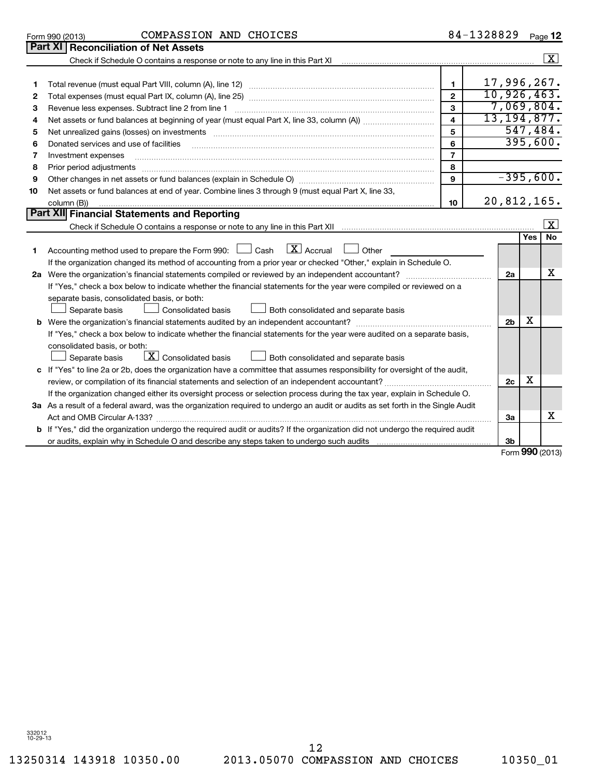**1 2**

**Part XI | Reconciliation of Net Assets** 

| з  | Revenue less expenses. Subtract line 2 from line 1                                                                                                                                                                                  | 3              |                |            | 7,069,804.              |  |  |  |
|----|-------------------------------------------------------------------------------------------------------------------------------------------------------------------------------------------------------------------------------------|----------------|----------------|------------|-------------------------|--|--|--|
| 4  | 13, 194, 877.<br>$\overline{\mathbf{4}}$                                                                                                                                                                                            |                |                |            |                         |  |  |  |
| 5  | 5<br>Net unrealized gains (losses) on investments [11] matter contracts and the state of the state of the state of the state of the state of the state of the state of the state of the state of the state of the state of the stat |                |                |            |                         |  |  |  |
| 6  | Donated services and use of facilities                                                                                                                                                                                              | 6              |                |            | 395,600.                |  |  |  |
| 7  | Investment expenses                                                                                                                                                                                                                 | $\overline{7}$ |                |            |                         |  |  |  |
| 8  | Prior period adjustments                                                                                                                                                                                                            | 8              |                |            |                         |  |  |  |
| 9  | Other changes in net assets or fund balances (explain in Schedule O) manufactured controller than the controller                                                                                                                    | 9              |                |            | $-395,600.$             |  |  |  |
| 10 | Net assets or fund balances at end of year. Combine lines 3 through 9 (must equal Part X, line 33,                                                                                                                                  |                |                |            |                         |  |  |  |
|    | column (B))                                                                                                                                                                                                                         | 10             | 20,812,165.    |            |                         |  |  |  |
|    | Part XII Financial Statements and Reporting                                                                                                                                                                                         |                |                |            |                         |  |  |  |
|    |                                                                                                                                                                                                                                     |                |                |            | $\overline{\mathbf{x}}$ |  |  |  |
|    |                                                                                                                                                                                                                                     |                |                | <b>Yes</b> | <b>No</b>               |  |  |  |
| 1  | $\lfloor x \rfloor$ Accrual<br>Accounting method used to prepare the Form 990: [130] Cash<br>Other                                                                                                                                  |                |                |            |                         |  |  |  |
|    | If the organization changed its method of accounting from a prior year or checked "Other," explain in Schedule O.                                                                                                                   |                |                |            |                         |  |  |  |
|    | 2a Were the organization's financial statements compiled or reviewed by an independent accountant?                                                                                                                                  |                |                |            |                         |  |  |  |
|    | If "Yes," check a box below to indicate whether the financial statements for the year were compiled or reviewed on a                                                                                                                |                |                |            |                         |  |  |  |
|    | separate basis, consolidated basis, or both:                                                                                                                                                                                        |                |                |            |                         |  |  |  |
|    | Consolidated basis<br>Both consolidated and separate basis<br>Separate basis                                                                                                                                                        |                |                |            |                         |  |  |  |
|    |                                                                                                                                                                                                                                     |                |                |            |                         |  |  |  |
|    | If "Yes," check a box below to indicate whether the financial statements for the year were audited on a separate basis,                                                                                                             |                |                |            |                         |  |  |  |
|    | consolidated basis, or both:                                                                                                                                                                                                        |                |                |            |                         |  |  |  |
|    | $\boxed{\mathbf{X}}$ Consolidated basis<br>Both consolidated and separate basis<br>Separate basis                                                                                                                                   |                |                |            |                         |  |  |  |
|    | c If "Yes" to line 2a or 2b, does the organization have a committee that assumes responsibility for oversight of the audit,                                                                                                         |                |                | х          |                         |  |  |  |
|    |                                                                                                                                                                                                                                     |                |                |            |                         |  |  |  |
|    | If the organization changed either its oversight process or selection process during the tax year, explain in Schedule O.                                                                                                           |                |                |            |                         |  |  |  |
|    | 3a As a result of a federal award, was the organization required to undergo an audit or audits as set forth in the Single Audit                                                                                                     |                |                |            |                         |  |  |  |
|    |                                                                                                                                                                                                                                     |                | За             |            | x                       |  |  |  |
|    | b If "Yes," did the organization undergo the required audit or audits? If the organization did not undergo the required audit                                                                                                       |                |                |            |                         |  |  |  |
|    | or audits, explain why in Schedule O and describe any steps taken to undergo such audits manufactured university                                                                                                                    |                | 3 <sub>b</sub> |            |                         |  |  |  |
|    |                                                                                                                                                                                                                                     |                |                |            | Form 990 (2013)         |  |  |  |
|    |                                                                                                                                                                                                                                     |                |                |            |                         |  |  |  |

Check if Schedule O contains a response or note to any line in this Part XI

Total revenue (must equal Part VIII, column (A), line 12) ~~~~~~~~~~~~~~~~~~~~~~~~~~ Total expenses (must equal Part IX, column (A), line 25) ~~~~~~~~~~~~~~~~~~~~~~~~~~ 17,996,267. 10,926,463.

 $\lfloor x \rfloor$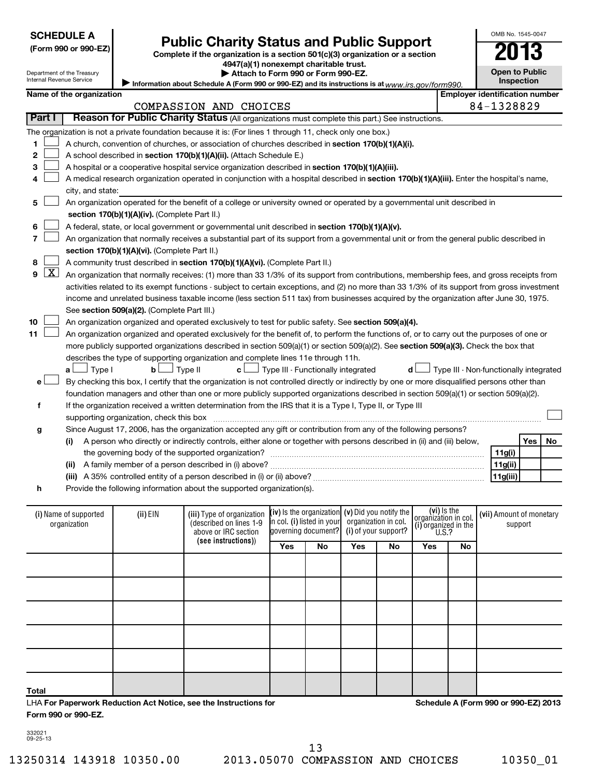| <b>SCHEDULE A</b> |  |
|-------------------|--|
|-------------------|--|

| (Form 990 or 990-EZ |
|---------------------|
|---------------------|

# Form 990 or 990-EZ)<br>
Complete if the organization is a section 501(c)(3) organization or a section<br> **Public Charity Status and Public Support**

**4947(a)(1) nonexempt charitable trust. | Attach to Form 990 or Form 990-EZ.**  **Open to Public**

OMB No. 1545-0047

**Inspection**

Department of the Treasury Internal Revenue Service

| niemai Revenue Service |                                                                                                                                            |                                               | Information about Schedule A (Form 990 or 990-EZ) and its instructions is at $www.irs.gov/form990$                                                                                                                                         |                                                   |    |                      |     |                                              |                                        |  | <b>Inspection</b>                     |            |    |  |
|------------------------|--------------------------------------------------------------------------------------------------------------------------------------------|-----------------------------------------------|--------------------------------------------------------------------------------------------------------------------------------------------------------------------------------------------------------------------------------------------|---------------------------------------------------|----|----------------------|-----|----------------------------------------------|----------------------------------------|--|---------------------------------------|------------|----|--|
|                        | Name of the organization                                                                                                                   |                                               |                                                                                                                                                                                                                                            |                                                   |    |                      |     |                                              |                                        |  | <b>Employer identification number</b> |            |    |  |
|                        |                                                                                                                                            |                                               | COMPASSION AND CHOICES                                                                                                                                                                                                                     |                                                   |    |                      |     |                                              |                                        |  | 84-1328829                            |            |    |  |
| Part I                 | Reason for Public Charity Status (All organizations must complete this part.) See instructions.                                            |                                               |                                                                                                                                                                                                                                            |                                                   |    |                      |     |                                              |                                        |  |                                       |            |    |  |
|                        |                                                                                                                                            |                                               | The organization is not a private foundation because it is: (For lines 1 through 11, check only one box.)                                                                                                                                  |                                                   |    |                      |     |                                              |                                        |  |                                       |            |    |  |
| 1                      | A church, convention of churches, or association of churches described in section 170(b)(1)(A)(i).                                         |                                               |                                                                                                                                                                                                                                            |                                                   |    |                      |     |                                              |                                        |  |                                       |            |    |  |
| 2                      | A school described in section 170(b)(1)(A)(ii). (Attach Schedule E.)                                                                       |                                               |                                                                                                                                                                                                                                            |                                                   |    |                      |     |                                              |                                        |  |                                       |            |    |  |
| 3                      | A hospital or a cooperative hospital service organization described in section 170(b)(1)(A)(iii).                                          |                                               |                                                                                                                                                                                                                                            |                                                   |    |                      |     |                                              |                                        |  |                                       |            |    |  |
| 4                      | A medical research organization operated in conjunction with a hospital described in section 170(b)(1)(A)(iii). Enter the hospital's name, |                                               |                                                                                                                                                                                                                                            |                                                   |    |                      |     |                                              |                                        |  |                                       |            |    |  |
|                        | city, and state:                                                                                                                           |                                               |                                                                                                                                                                                                                                            |                                                   |    |                      |     |                                              |                                        |  |                                       |            |    |  |
| 5                      | An organization operated for the benefit of a college or university owned or operated by a governmental unit described in                  |                                               |                                                                                                                                                                                                                                            |                                                   |    |                      |     |                                              |                                        |  |                                       |            |    |  |
|                        |                                                                                                                                            | section 170(b)(1)(A)(iv). (Complete Part II.) |                                                                                                                                                                                                                                            |                                                   |    |                      |     |                                              |                                        |  |                                       |            |    |  |
| 6                      |                                                                                                                                            |                                               | A federal, state, or local government or governmental unit described in section 170(b)(1)(A)(v).                                                                                                                                           |                                                   |    |                      |     |                                              |                                        |  |                                       |            |    |  |
| 7                      |                                                                                                                                            |                                               | An organization that normally receives a substantial part of its support from a governmental unit or from the general public described in                                                                                                  |                                                   |    |                      |     |                                              |                                        |  |                                       |            |    |  |
|                        |                                                                                                                                            | section 170(b)(1)(A)(vi). (Complete Part II.) |                                                                                                                                                                                                                                            |                                                   |    |                      |     |                                              |                                        |  |                                       |            |    |  |
| 8                      |                                                                                                                                            |                                               | A community trust described in section 170(b)(1)(A)(vi). (Complete Part II.)                                                                                                                                                               |                                                   |    |                      |     |                                              |                                        |  |                                       |            |    |  |
| $\mathbf{X}$<br>9      |                                                                                                                                            |                                               | An organization that normally receives: (1) more than 33 1/3% of its support from contributions, membership fees, and gross receipts from                                                                                                  |                                                   |    |                      |     |                                              |                                        |  |                                       |            |    |  |
|                        |                                                                                                                                            |                                               | activities related to its exempt functions - subject to certain exceptions, and (2) no more than 33 1/3% of its support from gross investment                                                                                              |                                                   |    |                      |     |                                              |                                        |  |                                       |            |    |  |
|                        |                                                                                                                                            |                                               | income and unrelated business taxable income (less section 511 tax) from businesses acquired by the organization after June 30, 1975.                                                                                                      |                                                   |    |                      |     |                                              |                                        |  |                                       |            |    |  |
|                        |                                                                                                                                            | See section 509(a)(2). (Complete Part III.)   |                                                                                                                                                                                                                                            |                                                   |    |                      |     |                                              |                                        |  |                                       |            |    |  |
| 10                     |                                                                                                                                            |                                               | An organization organized and operated exclusively to test for public safety. See section 509(a)(4).                                                                                                                                       |                                                   |    |                      |     |                                              |                                        |  |                                       |            |    |  |
| 11                     |                                                                                                                                            |                                               | An organization organized and operated exclusively for the benefit of, to perform the functions of, or to carry out the purposes of one or                                                                                                 |                                                   |    |                      |     |                                              |                                        |  |                                       |            |    |  |
|                        |                                                                                                                                            |                                               | more publicly supported organizations described in section 509(a)(1) or section 509(a)(2). See section 509(a)(3). Check the box that                                                                                                       |                                                   |    |                      |     |                                              |                                        |  |                                       |            |    |  |
|                        |                                                                                                                                            |                                               | describes the type of supporting organization and complete lines 11e through 11h.                                                                                                                                                          |                                                   |    |                      |     |                                              |                                        |  |                                       |            |    |  |
|                        | $\perp$ Type I<br>a L                                                                                                                      | b <sub>l</sub>                                | 」Type II<br>$c \perp$                                                                                                                                                                                                                      | $\perp$ Type III - Functionally integrated        |    |                      | d l |                                              | Type III - Non-functionally integrated |  |                                       |            |    |  |
| е                      |                                                                                                                                            |                                               | By checking this box, I certify that the organization is not controlled directly or indirectly by one or more disqualified persons other than                                                                                              |                                                   |    |                      |     |                                              |                                        |  |                                       |            |    |  |
|                        |                                                                                                                                            |                                               | foundation managers and other than one or more publicly supported organizations described in section 509(a)(1) or section 509(a)(2).                                                                                                       |                                                   |    |                      |     |                                              |                                        |  |                                       |            |    |  |
| f                      |                                                                                                                                            |                                               | If the organization received a written determination from the IRS that it is a Type I, Type II, or Type III                                                                                                                                |                                                   |    |                      |     |                                              |                                        |  |                                       |            |    |  |
|                        |                                                                                                                                            |                                               |                                                                                                                                                                                                                                            |                                                   |    |                      |     |                                              |                                        |  |                                       |            |    |  |
| g                      |                                                                                                                                            |                                               | Since August 17, 2006, has the organization accepted any gift or contribution from any of the following persons?<br>A person who directly or indirectly controls, either alone or together with persons described in (ii) and (iii) below, |                                                   |    |                      |     |                                              |                                        |  |                                       | <b>Yes</b> | No |  |
|                        | (i)                                                                                                                                        |                                               | the governing body of the supported organization?                                                                                                                                                                                          |                                                   |    |                      |     |                                              |                                        |  | 11g(i)                                |            |    |  |
|                        |                                                                                                                                            |                                               |                                                                                                                                                                                                                                            |                                                   |    |                      |     |                                              |                                        |  | 11g(ii)                               |            |    |  |
|                        |                                                                                                                                            |                                               |                                                                                                                                                                                                                                            |                                                   |    |                      |     |                                              |                                        |  | 11g(iii)                              |            |    |  |
| h                      |                                                                                                                                            |                                               | Provide the following information about the supported organization(s).                                                                                                                                                                     |                                                   |    |                      |     |                                              |                                        |  |                                       |            |    |  |
|                        |                                                                                                                                            |                                               |                                                                                                                                                                                                                                            |                                                   |    |                      |     |                                              |                                        |  |                                       |            |    |  |
|                        | (i) Name of supported                                                                                                                      | (ii) EIN                                      | (iii) Type of organization                                                                                                                                                                                                                 | (iv) is the organization $(v)$ Did you notify the |    |                      |     | (vi) is the                                  |                                        |  | (vii) Amount of monetary              |            |    |  |
|                        | organization                                                                                                                               |                                               | (described on lines 1-9                                                                                                                                                                                                                    | in col. (i) listed in your                        |    | organization in col. |     | organizátion in col.<br>(i) organized in the |                                        |  |                                       | support    |    |  |
|                        |                                                                                                                                            |                                               | above or IRC section                                                                                                                                                                                                                       | governing document?                               |    | (i) of your support? |     | U.S.?                                        |                                        |  |                                       |            |    |  |
|                        |                                                                                                                                            |                                               | (see instructions))                                                                                                                                                                                                                        | Yes                                               | No | Yes                  | No  | Yes                                          | No                                     |  |                                       |            |    |  |
|                        |                                                                                                                                            |                                               |                                                                                                                                                                                                                                            |                                                   |    |                      |     |                                              |                                        |  |                                       |            |    |  |
|                        |                                                                                                                                            |                                               |                                                                                                                                                                                                                                            |                                                   |    |                      |     |                                              |                                        |  |                                       |            |    |  |
|                        |                                                                                                                                            |                                               |                                                                                                                                                                                                                                            |                                                   |    |                      |     |                                              |                                        |  |                                       |            |    |  |

332021 09-25-13

**Form 990 or 990-EZ.**

**Total**

LHA **For Paperwork Reduction Act Notice, see the Instructions for** 

# 13250314 143918 10350.00 2013.05070 COMPASSION AND CHOICES 10350\_01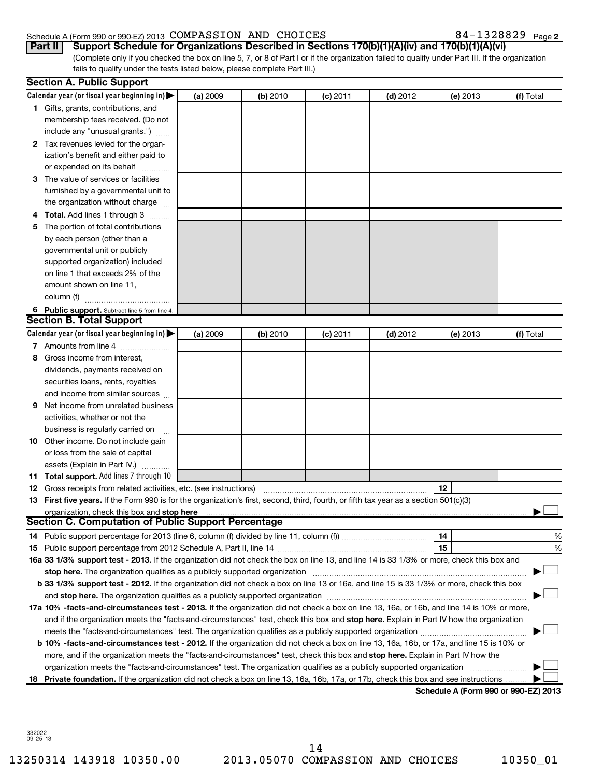#### Schedule A (Form 990 or 990-EZ) 2013 Page COMPASSION AND CHOICES 84-1328829

|  |  |  |  |  |  |  |  |  | 84-1328829 Page 2 |
|--|--|--|--|--|--|--|--|--|-------------------|
|--|--|--|--|--|--|--|--|--|-------------------|

| Part II Support Schedule for Organizations Described in Sections 170(b)(1)(A)(iv) and 170(b)(1)(A)(vi)                                          |
|-------------------------------------------------------------------------------------------------------------------------------------------------|
| (Complete only if you checked the box on line 5, 7, or 8 of Part I or if the organization failed to qualify under Part III. If the organization |
| fails to qualify under the tests listed below, please complete Part III.)                                                                       |

|    | <b>Section A. Public Support</b>                                                                                                                                                                                                                                                           |          |          |            |            |                                      |           |
|----|--------------------------------------------------------------------------------------------------------------------------------------------------------------------------------------------------------------------------------------------------------------------------------------------|----------|----------|------------|------------|--------------------------------------|-----------|
|    | Calendar year (or fiscal year beginning in) $\blacktriangleright$                                                                                                                                                                                                                          | (a) 2009 | (b) 2010 | (c) 2011   | $(d)$ 2012 | (e) 2013                             | (f) Total |
|    | 1 Gifts, grants, contributions, and                                                                                                                                                                                                                                                        |          |          |            |            |                                      |           |
|    | membership fees received. (Do not                                                                                                                                                                                                                                                          |          |          |            |            |                                      |           |
|    | include any "unusual grants.")                                                                                                                                                                                                                                                             |          |          |            |            |                                      |           |
|    | 2 Tax revenues levied for the organ-                                                                                                                                                                                                                                                       |          |          |            |            |                                      |           |
|    | ization's benefit and either paid to                                                                                                                                                                                                                                                       |          |          |            |            |                                      |           |
|    | or expended on its behalf                                                                                                                                                                                                                                                                  |          |          |            |            |                                      |           |
|    | 3 The value of services or facilities                                                                                                                                                                                                                                                      |          |          |            |            |                                      |           |
|    | furnished by a governmental unit to                                                                                                                                                                                                                                                        |          |          |            |            |                                      |           |
|    | the organization without charge                                                                                                                                                                                                                                                            |          |          |            |            |                                      |           |
|    | 4 Total. Add lines 1 through 3                                                                                                                                                                                                                                                             |          |          |            |            |                                      |           |
| 5  | The portion of total contributions                                                                                                                                                                                                                                                         |          |          |            |            |                                      |           |
|    | by each person (other than a                                                                                                                                                                                                                                                               |          |          |            |            |                                      |           |
|    | governmental unit or publicly                                                                                                                                                                                                                                                              |          |          |            |            |                                      |           |
|    | supported organization) included                                                                                                                                                                                                                                                           |          |          |            |            |                                      |           |
|    | on line 1 that exceeds 2% of the                                                                                                                                                                                                                                                           |          |          |            |            |                                      |           |
|    | amount shown on line 11,                                                                                                                                                                                                                                                                   |          |          |            |            |                                      |           |
|    | column (f)<br>.                                                                                                                                                                                                                                                                            |          |          |            |            |                                      |           |
|    | 6 Public support. Subtract line 5 from line 4.                                                                                                                                                                                                                                             |          |          |            |            |                                      |           |
|    | <b>Section B. Total Support</b>                                                                                                                                                                                                                                                            |          |          |            |            |                                      |           |
|    | Calendar year (or fiscal year beginning in) $\blacktriangleright$                                                                                                                                                                                                                          | (a) 2009 | (b) 2010 | $(c)$ 2011 | $(d)$ 2012 | (e) 2013                             | (f) Total |
|    | 7 Amounts from line 4                                                                                                                                                                                                                                                                      |          |          |            |            |                                      |           |
| 8  | Gross income from interest,                                                                                                                                                                                                                                                                |          |          |            |            |                                      |           |
|    | dividends, payments received on                                                                                                                                                                                                                                                            |          |          |            |            |                                      |           |
|    | securities loans, rents, royalties                                                                                                                                                                                                                                                         |          |          |            |            |                                      |           |
|    | and income from similar sources                                                                                                                                                                                                                                                            |          |          |            |            |                                      |           |
| 9  | Net income from unrelated business                                                                                                                                                                                                                                                         |          |          |            |            |                                      |           |
|    | activities, whether or not the                                                                                                                                                                                                                                                             |          |          |            |            |                                      |           |
|    | business is regularly carried on                                                                                                                                                                                                                                                           |          |          |            |            |                                      |           |
| 10 | Other income. Do not include gain                                                                                                                                                                                                                                                          |          |          |            |            |                                      |           |
|    | or loss from the sale of capital                                                                                                                                                                                                                                                           |          |          |            |            |                                      |           |
|    | assets (Explain in Part IV.)                                                                                                                                                                                                                                                               |          |          |            |            |                                      |           |
|    | <b>11 Total support.</b> Add lines 7 through 10                                                                                                                                                                                                                                            |          |          |            |            |                                      |           |
| 12 | Gross receipts from related activities, etc. (see instructions)                                                                                                                                                                                                                            |          |          |            |            | 12                                   |           |
|    | 13 First five years. If the Form 990 is for the organization's first, second, third, fourth, or fifth tax year as a section 501(c)(3)                                                                                                                                                      |          |          |            |            |                                      |           |
|    | organization, check this box and stop here <b>construction and construction</b> control and construction of the box and stop here construction and construction of the state of the state of the state of the state of the state of<br>Section C. Computation of Public Support Percentage |          |          |            |            |                                      |           |
|    |                                                                                                                                                                                                                                                                                            |          |          |            |            | 14                                   |           |
|    |                                                                                                                                                                                                                                                                                            |          |          |            |            | 15                                   | %         |
|    | 16a 33 1/3% support test - 2013. If the organization did not check the box on line 13, and line 14 is 33 1/3% or more, check this box and                                                                                                                                                  |          |          |            |            |                                      | %         |
|    | stop here. The organization qualifies as a publicly supported organization                                                                                                                                                                                                                 |          |          |            |            |                                      |           |
|    | b 33 1/3% support test - 2012. If the organization did not check a box on line 13 or 16a, and line 15 is 33 1/3% or more, check this box                                                                                                                                                   |          |          |            |            |                                      |           |
|    |                                                                                                                                                                                                                                                                                            |          |          |            |            |                                      |           |
|    | 17a 10% -facts-and-circumstances test - 2013. If the organization did not check a box on line 13, 16a, or 16b, and line 14 is 10% or more,                                                                                                                                                 |          |          |            |            |                                      |           |
|    | and if the organization meets the "facts-and-circumstances" test, check this box and stop here. Explain in Part IV how the organization                                                                                                                                                    |          |          |            |            |                                      |           |
|    |                                                                                                                                                                                                                                                                                            |          |          |            |            |                                      |           |
|    | b 10% -facts-and-circumstances test - 2012. If the organization did not check a box on line 13, 16a, 16b, or 17a, and line 15 is 10% or                                                                                                                                                    |          |          |            |            |                                      |           |
|    | more, and if the organization meets the "facts-and-circumstances" test, check this box and <b>stop here.</b> Explain in Part IV how the                                                                                                                                                    |          |          |            |            |                                      |           |
|    | organization meets the "facts-and-circumstances" test. The organization qualifies as a publicly supported organization                                                                                                                                                                     |          |          |            |            |                                      |           |
| 18 | Private foundation. If the organization did not check a box on line 13, 16a, 16b, 17a, or 17b, check this box and see instructions                                                                                                                                                         |          |          |            |            |                                      |           |
|    |                                                                                                                                                                                                                                                                                            |          |          |            |            | Schedule A (Form 990 or 990-EZ) 2013 |           |
|    |                                                                                                                                                                                                                                                                                            |          |          |            |            |                                      |           |

332022 09-25-13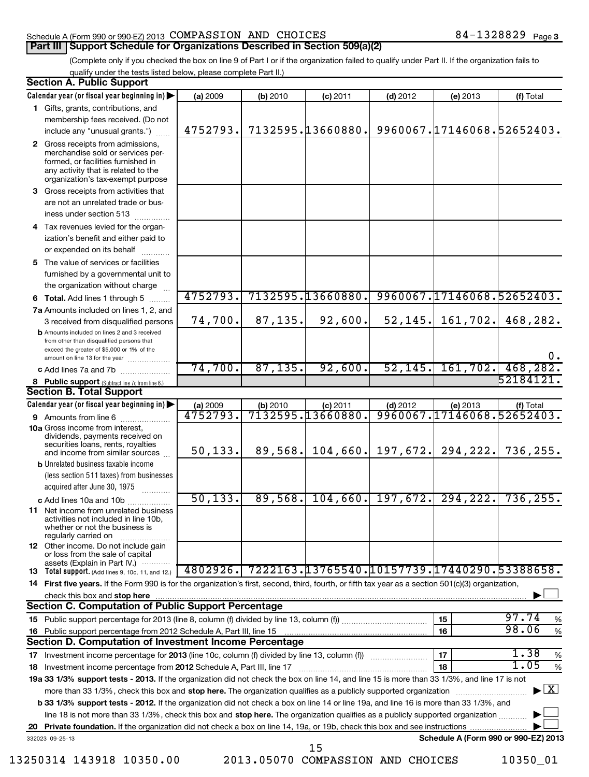#### Schedule A (Form 990 or 990-EZ) 2013  $\texttt{COMPASSION}$   $\texttt{AND}$   $\texttt{CHOICES}$   $\texttt{84-1328829}$   $\texttt{Page}$ **Part III | Support Schedule for Organizations Described in Section 509(a)(2)**

(Complete only if you checked the box on line 9 of Part I or if the organization failed to qualify under Part II. If the organization fails to qualify under the tests listed below, please complete Part II.)

| <b>Section A. Public Support</b>                                                                                                                                                         |          |          |                                              |                        |                               |                                          |
|------------------------------------------------------------------------------------------------------------------------------------------------------------------------------------------|----------|----------|----------------------------------------------|------------------------|-------------------------------|------------------------------------------|
| Calendar year (or fiscal year beginning in)                                                                                                                                              | (a) 2009 | (b) 2010 | $(c)$ 2011                                   | $(d)$ 2012             | (e) 2013                      | (f) Total                                |
| 1 Gifts, grants, contributions, and                                                                                                                                                      |          |          |                                              |                        |                               |                                          |
| membership fees received. (Do not<br>include any "unusual grants.")                                                                                                                      | 4752793. |          | 7132595.13660880.                            |                        |                               | 9960067.17146068.52652403.               |
|                                                                                                                                                                                          |          |          |                                              |                        |                               |                                          |
| 2 Gross receipts from admissions,<br>merchandise sold or services per-<br>formed, or facilities furnished in<br>any activity that is related to the<br>organization's tax-exempt purpose |          |          |                                              |                        |                               |                                          |
| 3 Gross receipts from activities that<br>are not an unrelated trade or bus-                                                                                                              |          |          |                                              |                        |                               |                                          |
| iness under section 513                                                                                                                                                                  |          |          |                                              |                        |                               |                                          |
| 4 Tax revenues levied for the organ-<br>ization's benefit and either paid to<br>or expended on its behalf                                                                                |          |          |                                              |                        |                               |                                          |
| 5 The value of services or facilities<br>furnished by a governmental unit to<br>the organization without charge                                                                          |          |          |                                              |                        |                               |                                          |
| 6 Total. Add lines 1 through 5                                                                                                                                                           | 4752793. |          | 7132595.13660880.                            |                        |                               | 9960067.17146068.52652403.               |
| 7a Amounts included on lines 1, 2, and                                                                                                                                                   |          |          |                                              |                        |                               |                                          |
| 3 received from disqualified persons<br><b>b</b> Amounts included on lines 2 and 3 received<br>from other than disqualified persons that                                                 | 74,700.  | 87, 135. | 92,600.                                      |                        | $52, 145.$ 161, 702.          | 468,282.                                 |
| exceed the greater of \$5,000 or 1% of the<br>amount on line 13 for the year                                                                                                             |          |          |                                              |                        |                               | 0.                                       |
| c Add lines 7a and 7b                                                                                                                                                                    | 74,700.  | 87, 135. | 92,600.                                      | 52, 145.               |                               | $161, 702.$ 468, 282.                    |
| 8 Public support (Subtract line 7c from line 6.)                                                                                                                                         |          |          |                                              |                        |                               | 52184121.                                |
| <b>Section B. Total Support</b>                                                                                                                                                          |          |          |                                              |                        |                               |                                          |
| Calendar year (or fiscal year beginning in)                                                                                                                                              | (a) 2009 | (b) 2010 | $(c)$ 2011                                   | $(d)$ 2012             | (e) 2013                      | (f) Total                                |
| 9 Amounts from line 6                                                                                                                                                                    | 4752793. |          | 7132595.13660880.                            |                        |                               | 9960067.17146068.52652403.               |
| <b>10a</b> Gross income from interest,<br>dividends, payments received on<br>securities loans, rents, royalties<br>and income from similar sources                                       | 50, 133. | 89,568.  |                                              |                        | $104,660$ , 197,672. 294,222. | 736,255.                                 |
| <b>b</b> Unrelated business taxable income<br>(less section 511 taxes) from businesses<br>acquired after June 30, 1975                                                                   |          |          |                                              |                        |                               |                                          |
| c Add lines 10a and 10b                                                                                                                                                                  | 50, 133. | 89,568.  |                                              | $104, 660$ , 197, 672. | 294, 222.                     | 736, 255.                                |
| <b>11</b> Net income from unrelated business<br>activities not included in line 10b<br>whether or not the business is<br>regularly carried on                                            |          |          |                                              |                        |                               |                                          |
| 12 Other income. Do not include gain<br>or loss from the sale of capital<br>assets (Explain in Part IV.)                                                                                 |          |          |                                              |                        |                               |                                          |
| 13 Total support. (Add lines 9, 10c, 11, and 12.)                                                                                                                                        | 4802926. |          | 7222163.13765540.10157739.17440290.53388658. |                        |                               |                                          |
| 14 First five years. If the Form 990 is for the organization's first, second, third, fourth, or fifth tax year as a section 501(c)(3) organization,                                      |          |          |                                              |                        |                               |                                          |
| check this box and stop here www.altamana.com/management/community/intervention-community-community-community-<br><b>Section C. Computation of Public Support Percentage</b>             |          |          |                                              |                        |                               |                                          |
|                                                                                                                                                                                          |          |          |                                              |                        | 15                            | 97.74<br>%                               |
|                                                                                                                                                                                          |          |          |                                              |                        | 16                            | 98.06<br>$\%$                            |
| Section D. Computation of Investment Income Percentage                                                                                                                                   |          |          |                                              |                        |                               |                                          |
|                                                                                                                                                                                          |          |          |                                              |                        | 17                            | 1.38<br>%                                |
|                                                                                                                                                                                          |          |          |                                              |                        | 18                            | 1.05<br>%                                |
| 19a 33 1/3% support tests - 2013. If the organization did not check the box on line 14, and line 15 is more than 33 1/3%, and line 17 is not                                             |          |          |                                              |                        |                               |                                          |
| more than 33 1/3%, check this box and stop here. The organization qualifies as a publicly supported organization <i>marrouum</i> match                                                   |          |          |                                              |                        |                               | $\blacktriangleright$ $\boxed{\text{X}}$ |
| <b>b 33 1/3% support tests - 2012.</b> If the organization did not check a box on line 14 or line 19a, and line 16 is more than 33 1/3%, and                                             |          |          |                                              |                        |                               |                                          |
| line 18 is not more than 33 1/3%, check this box and stop here. The organization qualifies as a publicly supported organization                                                          |          |          |                                              |                        |                               |                                          |
|                                                                                                                                                                                          |          |          |                                              |                        |                               |                                          |
| 332023 09-25-13                                                                                                                                                                          |          |          |                                              |                        |                               | Schedule A (Form 990 or 990-EZ) 2013     |
|                                                                                                                                                                                          |          |          | 15                                           |                        |                               |                                          |

13250314 143918 10350.00 2013.05070 COMPASSION AND CHOICES 10350\_01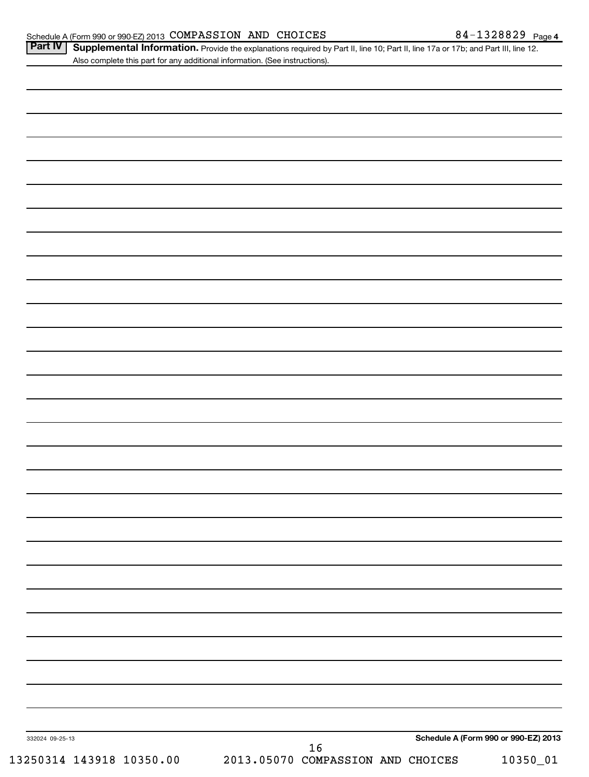| Part IV   Supplemental Information. Provide the explanations required by Part II, line 10; Part II, line 17a or 17b; and Part III, line 12 |  |
|--------------------------------------------------------------------------------------------------------------------------------------------|--|
| Also complete this part for any additional information. (See instructions).                                                                |  |

| 332024 09-25-13 | 16 | Schedule A (Form 990 or 990-EZ) 2013 |  |
|-----------------|----|--------------------------------------|--|
|                 |    |                                      |  |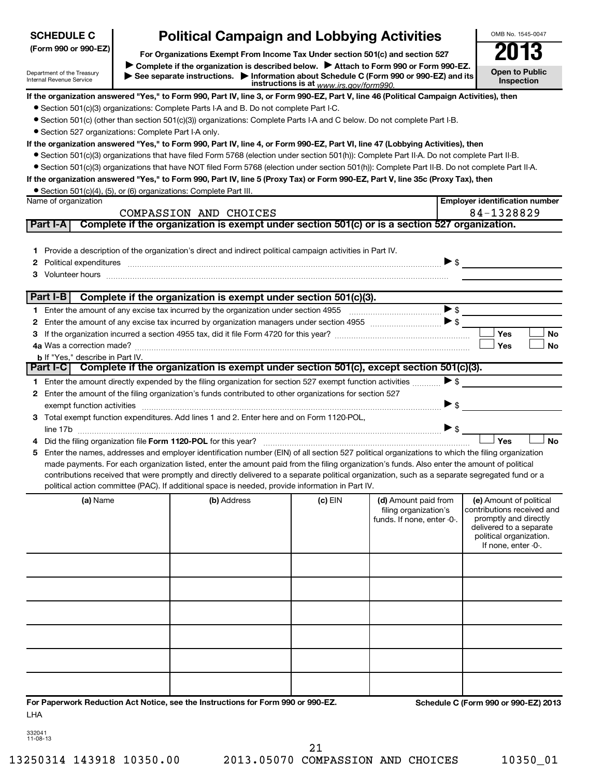| <b>SCHEDULE C</b>                                      | <b>Political Campaign and Lobbying Activities</b>                                                                                                                                                                              |                                         |                            |                          | OMB No. 1545-0047                                   |
|--------------------------------------------------------|--------------------------------------------------------------------------------------------------------------------------------------------------------------------------------------------------------------------------------|-----------------------------------------|----------------------------|--------------------------|-----------------------------------------------------|
| (Form 990 or 990-EZ)                                   | For Organizations Exempt From Income Tax Under section 501(c) and section 527                                                                                                                                                  |                                         |                            |                          | 2013                                                |
| Department of the Treasury<br>Internal Revenue Service | Complete if the organization is described below.<br>Attach to Form 990 or Form 990-EZ.<br>See separate instructions. Information about Schedule C (Form 990 or 990-EZ) and its                                                 | instructions is at www.irs.gov/form990. |                            |                          | <b>Open to Public</b><br><b>Inspection</b>          |
|                                                        | If the organization answered "Yes," to Form 990, Part IV, line 3, or Form 990-EZ, Part V, line 46 (Political Campaign Activities), then                                                                                        |                                         |                            |                          |                                                     |
|                                                        | • Section 501(c)(3) organizations: Complete Parts I-A and B. Do not complete Part I-C.                                                                                                                                         |                                         |                            |                          |                                                     |
|                                                        | • Section 501(c) (other than section 501(c)(3)) organizations: Complete Parts I-A and C below. Do not complete Part I-B.                                                                                                       |                                         |                            |                          |                                                     |
| • Section 527 organizations: Complete Part I-A only.   |                                                                                                                                                                                                                                |                                         |                            |                          |                                                     |
|                                                        | If the organization answered "Yes," to Form 990, Part IV, line 4, or Form 990-EZ, Part VI, line 47 (Lobbying Activities), then                                                                                                 |                                         |                            |                          |                                                     |
|                                                        | ● Section 501(c)(3) organizations that have filed Form 5768 (election under section 501(h)): Complete Part II-A. Do not complete Part II-B.                                                                                    |                                         |                            |                          |                                                     |
|                                                        | • Section 501(c)(3) organizations that have NOT filed Form 5768 (election under section 501(h)): Complete Part II-B. Do not complete Part II-A.                                                                                |                                         |                            |                          |                                                     |
|                                                        | If the organization answered "Yes," to Form 990, Part IV, line 5 (Proxy Tax) or Form 990-EZ, Part V, line 35c (Proxy Tax), then                                                                                                |                                         |                            |                          |                                                     |
|                                                        | • Section 501(c)(4), (5), or (6) organizations: Complete Part III.                                                                                                                                                             |                                         |                            |                          |                                                     |
| Name of organization                                   |                                                                                                                                                                                                                                |                                         |                            |                          | <b>Employer identification number</b><br>84-1328829 |
| Part I-A                                               | COMPASSION AND CHOICES<br>Complete if the organization is exempt under section 501(c) or is a section 527 organization.                                                                                                        |                                         |                            |                          |                                                     |
|                                                        |                                                                                                                                                                                                                                |                                         |                            |                          |                                                     |
|                                                        | 1 Provide a description of the organization's direct and indirect political campaign activities in Part IV.                                                                                                                    |                                         |                            |                          |                                                     |
| 2                                                      |                                                                                                                                                                                                                                |                                         |                            | $\triangleright$ \$      |                                                     |
|                                                        | Volunteer hours with the content of the content of the content of the content of the content of the content of the content of the content of the content of the content of the content of the content of the content of the co |                                         |                            |                          |                                                     |
|                                                        |                                                                                                                                                                                                                                |                                         |                            |                          |                                                     |
| Part I-B                                               | Complete if the organization is exempt under section 501(c)(3).                                                                                                                                                                |                                         |                            |                          |                                                     |
|                                                        |                                                                                                                                                                                                                                |                                         |                            | >                        |                                                     |
| 2                                                      |                                                                                                                                                                                                                                |                                         |                            |                          |                                                     |
| З                                                      |                                                                                                                                                                                                                                |                                         |                            |                          | Yes<br>No                                           |
|                                                        |                                                                                                                                                                                                                                |                                         |                            |                          | Yes<br>No                                           |
| <b>b</b> If "Yes," describe in Part IV.                |                                                                                                                                                                                                                                |                                         |                            |                          |                                                     |
|                                                        | Part I-C   Complete if the organization is exempt under section 501(c), except section 501(c)(3).                                                                                                                              |                                         |                            |                          |                                                     |
|                                                        | 1 Enter the amount directly expended by the filing organization for section 527 exempt function activities                                                                                                                     |                                         |                            | >                        |                                                     |
|                                                        | 2 Enter the amount of the filing organization's funds contributed to other organizations for section 527                                                                                                                       |                                         |                            |                          |                                                     |
|                                                        |                                                                                                                                                                                                                                |                                         |                            | $\blacktriangleright$ \$ |                                                     |
|                                                        | 3 Total exempt function expenditures. Add lines 1 and 2. Enter here and on Form 1120-POL,                                                                                                                                      |                                         |                            |                          |                                                     |
|                                                        |                                                                                                                                                                                                                                |                                         |                            |                          | Yes<br>No                                           |
|                                                        | Enter the names, addresses and employer identification number (EIN) of all section 527 political organizations to which the filing organization                                                                                |                                         |                            |                          |                                                     |
|                                                        | made payments. For each organization listed, enter the amount paid from the filing organization's funds. Also enter the amount of political                                                                                    |                                         |                            |                          |                                                     |
|                                                        | contributions received that were promptly and directly delivered to a separate political organization, such as a separate segregated fund or a                                                                                 |                                         |                            |                          |                                                     |
|                                                        | political action committee (PAC). If additional space is needed, provide information in Part IV.                                                                                                                               |                                         |                            |                          |                                                     |
| (a) Name                                               | (b) Address                                                                                                                                                                                                                    | (c) EIN                                 | (d) Amount paid from       |                          | (e) Amount of political                             |
|                                                        |                                                                                                                                                                                                                                |                                         | filing organization's      |                          | contributions received and                          |
|                                                        |                                                                                                                                                                                                                                |                                         | funds. If none, enter -0-. |                          | promptly and directly<br>delivered to a separate    |
|                                                        |                                                                                                                                                                                                                                |                                         |                            |                          | political organization.                             |
|                                                        |                                                                                                                                                                                                                                |                                         |                            |                          | If none, enter -0-.                                 |
|                                                        |                                                                                                                                                                                                                                |                                         |                            |                          |                                                     |
|                                                        |                                                                                                                                                                                                                                |                                         |                            |                          |                                                     |
|                                                        |                                                                                                                                                                                                                                |                                         |                            |                          |                                                     |
|                                                        |                                                                                                                                                                                                                                |                                         |                            |                          |                                                     |
|                                                        |                                                                                                                                                                                                                                |                                         |                            |                          |                                                     |
|                                                        |                                                                                                                                                                                                                                |                                         |                            |                          |                                                     |
|                                                        |                                                                                                                                                                                                                                |                                         |                            |                          |                                                     |
|                                                        |                                                                                                                                                                                                                                |                                         |                            |                          |                                                     |
|                                                        |                                                                                                                                                                                                                                |                                         |                            |                          |                                                     |
|                                                        |                                                                                                                                                                                                                                |                                         |                            |                          |                                                     |
|                                                        |                                                                                                                                                                                                                                |                                         |                            |                          |                                                     |
|                                                        | For Paperwork Reduction Act Notice, see the Instructions for Form 990 or 990-EZ.                                                                                                                                               |                                         |                            |                          | Schedule C (Form 990 or 990-EZ) 2013                |
| LHA                                                    |                                                                                                                                                                                                                                |                                         |                            |                          |                                                     |

332041 11-08-13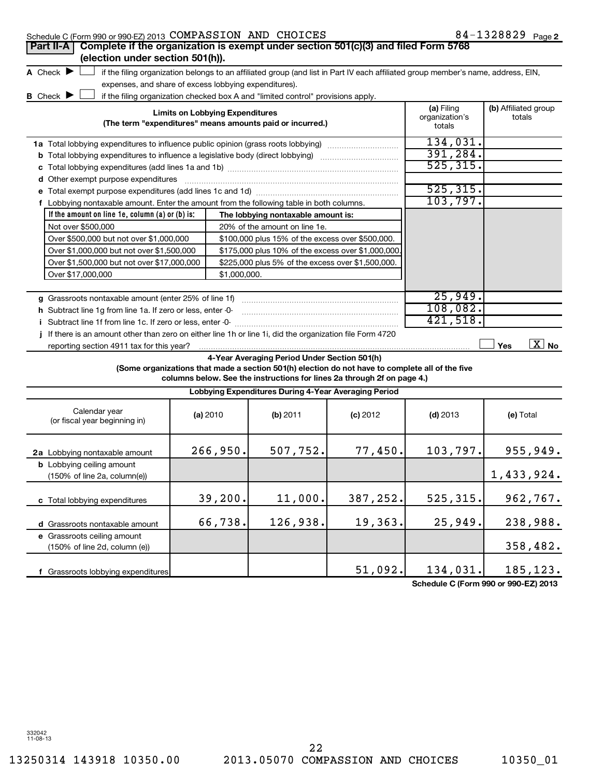| Schedule C (Form 990 or 990-EZ) 2013 COMPASSION AND CHOICES                                                     |                                                       |                                                                                  |                                                                                                                                   |                                        | 84-1328829 Page 2              |
|-----------------------------------------------------------------------------------------------------------------|-------------------------------------------------------|----------------------------------------------------------------------------------|-----------------------------------------------------------------------------------------------------------------------------------|----------------------------------------|--------------------------------|
| Complete if the organization is exempt under section 501(c)(3) and filed Form 5768<br><b>Part II-A</b>          |                                                       |                                                                                  |                                                                                                                                   |                                        |                                |
| (election under section 501(h)).                                                                                |                                                       |                                                                                  |                                                                                                                                   |                                        |                                |
| A Check $\blacktriangleright$                                                                                   |                                                       |                                                                                  | if the filing organization belongs to an affiliated group (and list in Part IV each affiliated group member's name, address, EIN, |                                        |                                |
|                                                                                                                 | expenses, and share of excess lobbying expenditures). |                                                                                  |                                                                                                                                   |                                        |                                |
| B Check D                                                                                                       |                                                       | if the filing organization checked box A and "limited control" provisions apply. |                                                                                                                                   |                                        |                                |
|                                                                                                                 | <b>Limits on Lobbying Expenditures</b>                | (The term "expenditures" means amounts paid or incurred.)                        |                                                                                                                                   | (a) Filing<br>organization's<br>totals | (b) Affiliated group<br>totals |
| <b>1a</b> Total lobbying expenditures to influence public opinion (grass roots lobbying)                        |                                                       |                                                                                  |                                                                                                                                   | 134,031.                               |                                |
| <b>b</b> Total lobbying expenditures to influence a legislative body (direct lobbying) <i>managerecommunion</i> | 391,284.                                              |                                                                                  |                                                                                                                                   |                                        |                                |
|                                                                                                                 |                                                       |                                                                                  |                                                                                                                                   | 525, 315.                              |                                |
| <b>d</b> Other exempt purpose expenditures                                                                      |                                                       |                                                                                  |                                                                                                                                   |                                        |                                |
|                                                                                                                 |                                                       |                                                                                  |                                                                                                                                   | 525, 315.                              |                                |
| f Lobbying nontaxable amount. Enter the amount from the following table in both columns.                        |                                                       |                                                                                  | 103,797.                                                                                                                          |                                        |                                |
| If the amount on line 1e, column $(a)$ or $(b)$ is:                                                             |                                                       | The lobbying nontaxable amount is:                                               |                                                                                                                                   |                                        |                                |
| Not over \$500,000                                                                                              |                                                       | 20% of the amount on line 1e.                                                    |                                                                                                                                   |                                        |                                |
| Over \$500,000 but not over \$1,000,000                                                                         |                                                       | \$100,000 plus 15% of the excess over \$500,000.                                 |                                                                                                                                   |                                        |                                |
| Over \$1,000,000 but not over \$1,500,000                                                                       |                                                       | \$175,000 plus 10% of the excess over \$1,000,000                                |                                                                                                                                   |                                        |                                |
| Over \$1,500,000 but not over \$17,000,000                                                                      |                                                       | \$225,000 plus 5% of the excess over \$1,500,000.                                |                                                                                                                                   |                                        |                                |
| Over \$17,000,000                                                                                               | \$1,000,000.                                          |                                                                                  |                                                                                                                                   |                                        |                                |
|                                                                                                                 |                                                       |                                                                                  |                                                                                                                                   |                                        |                                |
| g Grassroots nontaxable amount (enter 25% of line 1f)                                                           |                                                       |                                                                                  |                                                                                                                                   | 25,949.                                |                                |
| h Subtract line 1g from line 1a. If zero or less, enter -0-                                                     |                                                       |                                                                                  |                                                                                                                                   | 108,082.                               |                                |
| i Subtract line 1f from line 1c. If zero or less, enter -0-                                                     |                                                       |                                                                                  |                                                                                                                                   | 421,518.                               |                                |
| j If there is an amount other than zero on either line 1h or line 1i, did the organization file Form 4720       |                                                       |                                                                                  |                                                                                                                                   |                                        |                                |
| reporting section 4911 tax for this year?                                                                       |                                                       |                                                                                  |                                                                                                                                   |                                        | $\boxed{\text{X}}$ No<br>Yes   |
|                                                                                                                 |                                                       | 4-Year Averaging Period Under Section 501(h)                                     | (Some organizations that made a section 501(h) election do not have to complete all of the five                                   |                                        |                                |
|                                                                                                                 |                                                       |                                                                                  | columns below. See the instructions for lines 2a through 2f on page 4.)                                                           |                                        |                                |
|                                                                                                                 |                                                       | Lobbying Expenditures During 4-Year Averaging Period                             |                                                                                                                                   |                                        |                                |
| Calendar year<br>(or fiscal year beginning in)                                                                  | (a) 2010                                              | (b) 2011                                                                         | $(c)$ 2012                                                                                                                        | $(d)$ 2013                             | (e) Total                      |
| 2a Lobbying nontaxable amount                                                                                   | 266,950.                                              | 507,752.                                                                         | 77,450.                                                                                                                           | 103, 797.                              | 955,949.                       |
| <b>b</b> Lobbying ceiling amount<br>(150% of line 2a, column(e))                                                |                                                       |                                                                                  |                                                                                                                                   |                                        | 1,433,924.                     |
| c Total lobbying expenditures                                                                                   | 39,200.                                               | 11,000.                                                                          | 387,252.                                                                                                                          | 525, 315.                              | 962,767.                       |
| d Grassroots nontaxable amount                                                                                  | 66,738.                                               | 126,938.                                                                         | 19,363.                                                                                                                           | 25,949.                                | 238,988.                       |

**e** Grassroots ceiling amount **f** Grassroots lobbying expenditures (150% of line 2d, column (e)) 51,092. 134,031. 185,123.

**Schedule C (Form 990 or 990-EZ) 2013**

332042 11-08-13

358,482.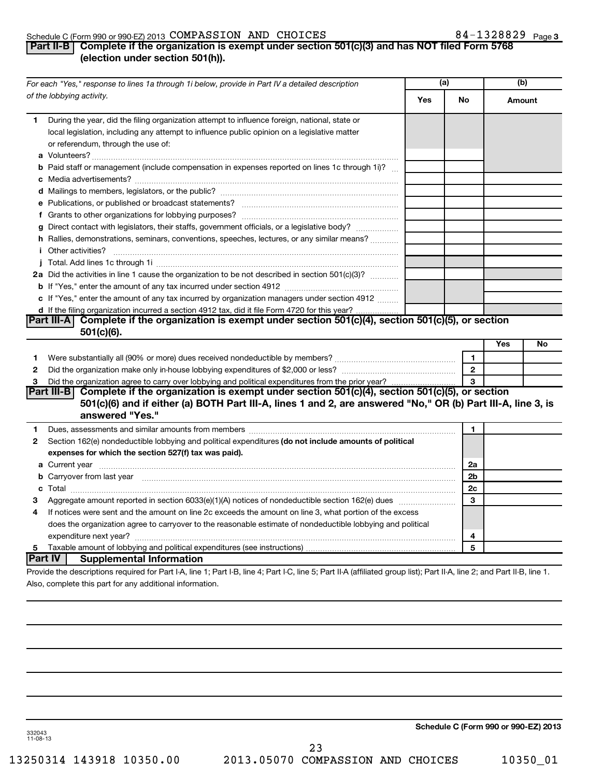# Schedule C (Form 990 or 990-EZ) 2013  $\texttt{COMPASSION}$   $\texttt{AND}$   $\texttt{CHOICES}$   $\texttt{84-1328829}$   $\texttt{Page}$

# 84-1328829 Page 3

# **Part II-B Complete if the organization is exempt under section 501(c)(3) and has NOT filed Form 5768 (election under section 501(h)).**

|    | For each "Yes," response to lines 1a through 1i below, provide in Part IV a detailed description                                                                                                                                    | (a) |                | (b)    |    |
|----|-------------------------------------------------------------------------------------------------------------------------------------------------------------------------------------------------------------------------------------|-----|----------------|--------|----|
|    | of the lobbying activity.                                                                                                                                                                                                           | Yes | No             | Amount |    |
| 1. | During the year, did the filing organization attempt to influence foreign, national, state or<br>local legislation, including any attempt to influence public opinion on a legislative matter<br>or referendum, through the use of: |     |                |        |    |
|    | <b>b</b> Paid staff or management (include compensation in expenses reported on lines 1c through 1i)?                                                                                                                               |     |                |        |    |
|    |                                                                                                                                                                                                                                     |     |                |        |    |
|    |                                                                                                                                                                                                                                     |     |                |        |    |
|    |                                                                                                                                                                                                                                     |     |                |        |    |
|    |                                                                                                                                                                                                                                     |     |                |        |    |
|    | g Direct contact with legislators, their staffs, government officials, or a legislative body?                                                                                                                                       |     |                |        |    |
|    | h Rallies, demonstrations, seminars, conventions, speeches, lectures, or any similar means?                                                                                                                                         |     |                |        |    |
|    | <i>i</i> Other activities?                                                                                                                                                                                                          |     |                |        |    |
|    |                                                                                                                                                                                                                                     |     |                |        |    |
|    | 2a Did the activities in line 1 cause the organization to be not described in section 501(c)(3)?                                                                                                                                    |     |                |        |    |
|    |                                                                                                                                                                                                                                     |     |                |        |    |
|    | c If "Yes," enter the amount of any tax incurred by organization managers under section 4912                                                                                                                                        |     |                |        |    |
|    | d If the filing organization incurred a section 4912 tax, did it file Form 4720 for this year?                                                                                                                                      |     |                |        |    |
|    | Part III-A Complete if the organization is exempt under section 501(c)(4), section 501(c)(5), or section<br>$501(c)(6)$ .                                                                                                           |     |                |        |    |
|    |                                                                                                                                                                                                                                     |     |                | Yes    | No |
| 1. |                                                                                                                                                                                                                                     |     | 1.             |        |    |
| 2  |                                                                                                                                                                                                                                     |     | $\overline{2}$ |        |    |
| 3  | Did the organization agree to carry over lobbying and political expenditures from the prior year?                                                                                                                                   |     | 3              |        |    |
|    | Part III-B Complete if the organization is exempt under section 501(c)(4), section 501(c)(5), or section                                                                                                                            |     |                |        |    |
|    | 501(c)(6) and if either (a) BOTH Part III-A, lines 1 and 2, are answered "No," OR (b) Part III-A, line 3, is                                                                                                                        |     |                |        |    |
|    | answered "Yes."                                                                                                                                                                                                                     |     |                |        |    |
| 1  |                                                                                                                                                                                                                                     |     | 1              |        |    |
| 2  | Section 162(e) nondeductible lobbying and political expenditures (do not include amounts of political                                                                                                                               |     |                |        |    |
|    | expenses for which the section 527(f) tax was paid).                                                                                                                                                                                |     |                |        |    |
|    |                                                                                                                                                                                                                                     |     | 2a             |        |    |
|    | b Carryover from last year manufactured and content to content the content of the content of the content of the content of the content of the content of the content of the content of the content of the content of the conte      |     | 2 <sub>b</sub> |        |    |
|    |                                                                                                                                                                                                                                     |     | 2c             |        |    |
| З  |                                                                                                                                                                                                                                     |     | 3              |        |    |
| 4  | If notices were sent and the amount on line 2c exceeds the amount on line 3, what portion of the excess                                                                                                                             |     |                |        |    |
|    | does the organization agree to carryover to the reasonable estimate of nondeductible lobbying and political                                                                                                                         |     |                |        |    |
|    |                                                                                                                                                                                                                                     |     | 4              |        |    |
| 5  |                                                                                                                                                                                                                                     |     | 5              |        |    |
|    | <b>Part IV</b><br><b>Supplemental Information</b>                                                                                                                                                                                   |     |                |        |    |
|    | Provide the descriptions required for Part I-A, line 1; Part I-B, line 4; Part I-C, line 5; Part II-A (affiliated group list); Part II-A, line 2; and Part II-B, line 1.                                                            |     |                |        |    |
|    | Also, complete this part for any additional information.                                                                                                                                                                            |     |                |        |    |

**Schedule C (Form 990 or 990-EZ) 2013**

332043 11-08-13

13250314 143918 10350.00 2013.05070 COMPASSION AND CHOICES 10350\_01 23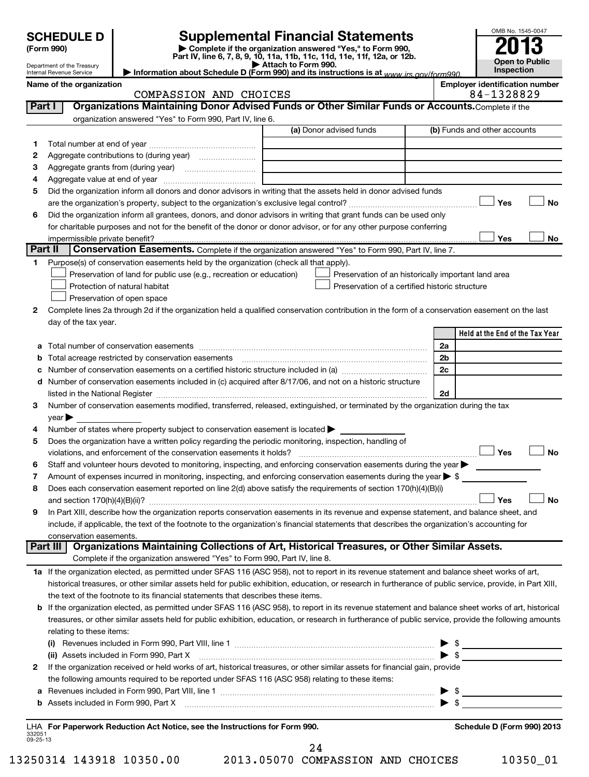# **Supplemental Financial Statements**

**(Form 990) | Complete if the organization answered "Yes," to Form 990, Part IV, line 6, 7, 8, 9, 10, 11a, 11b, 11c, 11d, 11e, 11f, 12a, or 12b.**<br>• Attach to Form 990. **| Attach to Form 990. | Information about Schedule D (Form 990) and its instructions is at**  *www.irs.gov/form990.*

| OMB No. 1545-0047     |  |  |  |  |  |
|-----------------------|--|--|--|--|--|
|                       |  |  |  |  |  |
| <b>i</b>              |  |  |  |  |  |
| <b>Open to Public</b> |  |  |  |  |  |
| Inspection            |  |  |  |  |  |

Department of the Treasury Internal Revenue Service

|  | PASSION AND CHOICES |  |
|--|---------------------|--|

Name of the organization<br> **Employer identification number**<br> **RA** = 1328829 COMPASSION AND CHOICES 84-1328829

| Part I  | --- --- -- --- ----<br>Organizations Maintaining Donor Advised Funds or Other Similar Funds or Accounts. Complete if the                                                |                                 |
|---------|-------------------------------------------------------------------------------------------------------------------------------------------------------------------------|---------------------------------|
|         | organization answered "Yes" to Form 990, Part IV, line 6.                                                                                                               |                                 |
|         | (a) Donor advised funds                                                                                                                                                 | (b) Funds and other accounts    |
| 1.      |                                                                                                                                                                         |                                 |
| 2       |                                                                                                                                                                         |                                 |
| 3       |                                                                                                                                                                         |                                 |
| 4       |                                                                                                                                                                         |                                 |
| 5       | Did the organization inform all donors and donor advisors in writing that the assets held in donor advised funds                                                        |                                 |
|         |                                                                                                                                                                         | Yes<br>No                       |
| 6       | Did the organization inform all grantees, donors, and donor advisors in writing that grant funds can be used only                                                       |                                 |
|         | for charitable purposes and not for the benefit of the donor or donor advisor, or for any other purpose conferring                                                      |                                 |
|         |                                                                                                                                                                         | Yes<br>No                       |
| Part II | Conservation Easements. Complete if the organization answered "Yes" to Form 990, Part IV, line 7.                                                                       |                                 |
| 1       | Purpose(s) of conservation easements held by the organization (check all that apply).                                                                                   |                                 |
|         | Preservation of land for public use (e.g., recreation or education)<br>Preservation of an historically important land area                                              |                                 |
|         | Preservation of a certified historic structure<br>Protection of natural habitat                                                                                         |                                 |
|         | Preservation of open space                                                                                                                                              |                                 |
| 2       | Complete lines 2a through 2d if the organization held a qualified conservation contribution in the form of a conservation easement on the last                          |                                 |
|         | day of the tax year.                                                                                                                                                    |                                 |
|         |                                                                                                                                                                         | Held at the End of the Tax Year |
| a       |                                                                                                                                                                         | 2a                              |
| b       | Total acreage restricted by conservation easements                                                                                                                      | 2b                              |
| с       | Number of conservation easements on a certified historic structure included in (a) manufacture included in (a)                                                          | 2c                              |
| d       | Number of conservation easements included in (c) acquired after 8/17/06, and not on a historic structure                                                                |                                 |
|         |                                                                                                                                                                         | 2d                              |
| 3       | Number of conservation easements modified, transferred, released, extinguished, or terminated by the organization during the tax                                        |                                 |
|         | $year \blacktriangleright$                                                                                                                                              |                                 |
| 4       | Number of states where property subject to conservation easement is located >                                                                                           |                                 |
| 5       | Does the organization have a written policy regarding the periodic monitoring, inspection, handling of                                                                  |                                 |
|         | violations, and enforcement of the conservation easements it holds?                                                                                                     | Yes<br><b>No</b>                |
| 6       | Staff and volunteer hours devoted to monitoring, inspecting, and enforcing conservation easements during the year                                                       |                                 |
| 7       | Amount of expenses incurred in monitoring, inspecting, and enforcing conservation easements during the year $\triangleright$ \$                                         |                                 |
| 8       | Does each conservation easement reported on line 2(d) above satisfy the requirements of section 170(h)(4)(B)(i)                                                         |                                 |
|         |                                                                                                                                                                         | <b>No</b><br>Yes                |
| 9       | In Part XIII, describe how the organization reports conservation easements in its revenue and expense statement, and balance sheet, and                                 |                                 |
|         | include, if applicable, the text of the footnote to the organization's financial statements that describes the organization's accounting for<br>conservation easements. |                                 |
|         | Organizations Maintaining Collections of Art, Historical Treasures, or Other Similar Assets.<br>Part III                                                                |                                 |
|         | Complete if the organization answered "Yes" to Form 990, Part IV, line 8.                                                                                               |                                 |
|         | 1a If the organization elected, as permitted under SFAS 116 (ASC 958), not to report in its revenue statement and balance sheet works of art,                           |                                 |
|         | historical treasures, or other similar assets held for public exhibition, education, or research in furtherance of public service, provide, in Part XIII,               |                                 |
|         | the text of the footnote to its financial statements that describes these items.                                                                                        |                                 |
|         | If the organization elected, as permitted under SFAS 116 (ASC 958), to report in its revenue statement and balance sheet works of art, historical                       |                                 |
|         | treasures, or other similar assets held for public exhibition, education, or research in furtherance of public service, provide the following amounts                   |                                 |
|         | relating to these items:                                                                                                                                                |                                 |
|         |                                                                                                                                                                         |                                 |
|         |                                                                                                                                                                         |                                 |
| 2       | If the organization received or held works of art, historical treasures, or other similar assets for financial gain, provide                                            |                                 |
|         | the following amounts required to be reported under SFAS 116 (ASC 958) relating to these items:                                                                         |                                 |
| а       |                                                                                                                                                                         |                                 |
| b       |                                                                                                                                                                         |                                 |
|         |                                                                                                                                                                         |                                 |
|         | LHA For Paperwork Reduction Act Notice, see the Instructions for Form 990.                                                                                              | Schedule D (Form 990) 2013      |

332051 09-25-13

13250314 143918 10350.00 2013.05070 COMPASSION AND CHOICES 10350\_01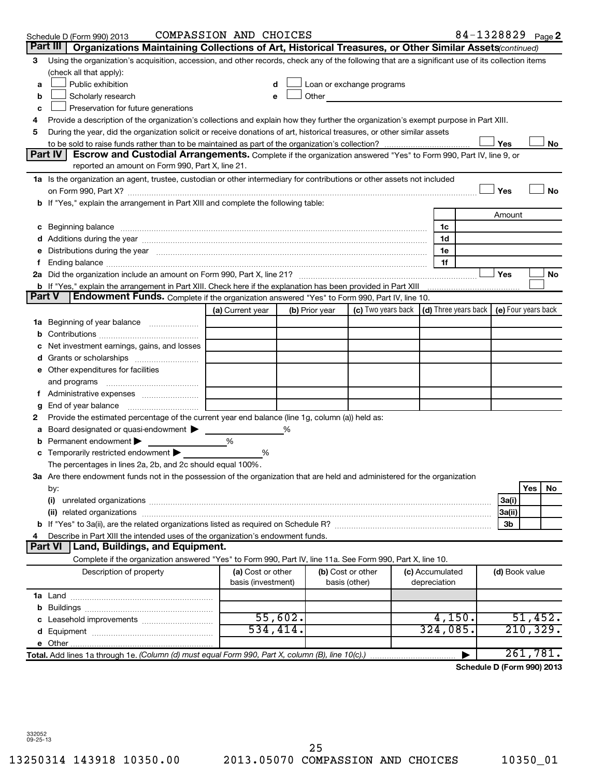|   | Schedule D (Form 990) 2013                                                                                                                                                                                                     | COMPASSION AND CHOICES |                |                           |  |                                                                             | 84-1328829 Page 2          |            |           |
|---|--------------------------------------------------------------------------------------------------------------------------------------------------------------------------------------------------------------------------------|------------------------|----------------|---------------------------|--|-----------------------------------------------------------------------------|----------------------------|------------|-----------|
|   | Part III<br>Organizations Maintaining Collections of Art, Historical Treasures, or Other Similar Assets (continued)                                                                                                            |                        |                |                           |  |                                                                             |                            |            |           |
| 3 | Using the organization's acquisition, accession, and other records, check any of the following that are a significant use of its collection items                                                                              |                        |                |                           |  |                                                                             |                            |            |           |
|   | (check all that apply):                                                                                                                                                                                                        |                        |                |                           |  |                                                                             |                            |            |           |
| a | Public exhibition                                                                                                                                                                                                              |                        |                | Loan or exchange programs |  |                                                                             |                            |            |           |
| b | Scholarly research                                                                                                                                                                                                             |                        | Other          |                           |  |                                                                             |                            |            |           |
| c | Preservation for future generations                                                                                                                                                                                            |                        |                |                           |  |                                                                             |                            |            |           |
| 4 | Provide a description of the organization's collections and explain how they further the organization's exempt purpose in Part XIII.                                                                                           |                        |                |                           |  |                                                                             |                            |            |           |
| 5 | During the year, did the organization solicit or receive donations of art, historical treasures, or other similar assets                                                                                                       |                        |                |                           |  |                                                                             |                            |            |           |
|   |                                                                                                                                                                                                                                |                        |                |                           |  |                                                                             | Yes                        |            | No        |
|   | Part IV<br><b>Escrow and Custodial Arrangements.</b> Complete if the organization answered "Yes" to Form 990, Part IV, line 9, or<br>reported an amount on Form 990, Part X, line 21.                                          |                        |                |                           |  |                                                                             |                            |            |           |
|   | 1a Is the organization an agent, trustee, custodian or other intermediary for contributions or other assets not included                                                                                                       |                        |                |                           |  |                                                                             |                            |            |           |
|   |                                                                                                                                                                                                                                |                        |                |                           |  |                                                                             | Yes                        |            | No        |
|   | b If "Yes," explain the arrangement in Part XIII and complete the following table:                                                                                                                                             |                        |                |                           |  |                                                                             |                            |            |           |
|   |                                                                                                                                                                                                                                |                        |                |                           |  |                                                                             | Amount                     |            |           |
|   | c Beginning balance measurements and the contract of the contract of the contract of the contract of the contract of the contract of the contract of the contract of the contract of the contract of the contract of the contr |                        |                |                           |  | 1c                                                                          |                            |            |           |
|   |                                                                                                                                                                                                                                |                        |                |                           |  | 1d                                                                          |                            |            |           |
|   | Distributions during the year manufactured and an account of the year manufactured and the year manufactured and the year manufactured and the year manufactured and the year manufactured and the year manufactured and the y |                        |                |                           |  | 1e                                                                          |                            |            |           |
|   |                                                                                                                                                                                                                                |                        |                |                           |  | 1f                                                                          |                            |            |           |
|   |                                                                                                                                                                                                                                |                        |                |                           |  |                                                                             | Yes                        |            | No        |
|   | b If "Yes," explain the arrangement in Part XIII. Check here if the explanation has been provided in Part XIII                                                                                                                 |                        |                |                           |  |                                                                             |                            |            |           |
|   | Endowment Funds. Complete if the organization answered "Yes" to Form 990, Part IV, line 10.<br><b>Part V</b>                                                                                                                   |                        |                |                           |  |                                                                             |                            |            |           |
|   |                                                                                                                                                                                                                                | (a) Current year       | (b) Prior year |                           |  | (c) Two years back $\vert$ (d) Three years back $\vert$ (e) Four years back |                            |            |           |
|   |                                                                                                                                                                                                                                |                        |                |                           |  |                                                                             |                            |            |           |
|   |                                                                                                                                                                                                                                |                        |                |                           |  |                                                                             |                            |            |           |
|   | Net investment earnings, gains, and losses                                                                                                                                                                                     |                        |                |                           |  |                                                                             |                            |            |           |
|   |                                                                                                                                                                                                                                |                        |                |                           |  |                                                                             |                            |            |           |
|   | e Other expenditures for facilities                                                                                                                                                                                            |                        |                |                           |  |                                                                             |                            |            |           |
|   | and programs                                                                                                                                                                                                                   |                        |                |                           |  |                                                                             |                            |            |           |
|   |                                                                                                                                                                                                                                |                        |                |                           |  |                                                                             |                            |            |           |
| g | End of year balance                                                                                                                                                                                                            |                        |                |                           |  |                                                                             |                            |            |           |
| 2 | Provide the estimated percentage of the current year end balance (line 1g, column (a)) held as:                                                                                                                                |                        |                |                           |  |                                                                             |                            |            |           |
| а | Board designated or quasi-endowment >                                                                                                                                                                                          |                        |                |                           |  |                                                                             |                            |            |           |
| b | Permanent endowment                                                                                                                                                                                                            | %                      |                |                           |  |                                                                             |                            |            |           |
|   | c Temporarily restricted endowment                                                                                                                                                                                             | %                      |                |                           |  |                                                                             |                            |            |           |
|   | The percentages in lines 2a, 2b, and 2c should equal 100%.                                                                                                                                                                     |                        |                |                           |  |                                                                             |                            |            |           |
|   | 3a Are there endowment funds not in the possession of the organization that are held and administered for the organization                                                                                                     |                        |                |                           |  |                                                                             |                            |            |           |
|   | by:                                                                                                                                                                                                                            |                        |                |                           |  |                                                                             |                            | <b>Yes</b> | No        |
|   | (i)                                                                                                                                                                                                                            |                        |                |                           |  |                                                                             | 3a(i)                      |            |           |
|   |                                                                                                                                                                                                                                |                        |                |                           |  |                                                                             | 3a(ii)                     |            |           |
|   | Describe in Part XIII the intended uses of the organization's endowment funds.                                                                                                                                                 |                        |                |                           |  |                                                                             | 3b                         |            |           |
|   | <b>Part VI</b><br>Land, Buildings, and Equipment.                                                                                                                                                                              |                        |                |                           |  |                                                                             |                            |            |           |
|   | Complete if the organization answered "Yes" to Form 990, Part IV, line 11a. See Form 990, Part X, line 10.                                                                                                                     |                        |                |                           |  |                                                                             |                            |            |           |
|   | Description of property                                                                                                                                                                                                        | (a) Cost or other      |                | (b) Cost or other         |  | (c) Accumulated                                                             | (d) Book value             |            |           |
|   |                                                                                                                                                                                                                                | basis (investment)     |                | basis (other)             |  | depreciation                                                                |                            |            |           |
|   |                                                                                                                                                                                                                                |                        |                |                           |  |                                                                             |                            |            |           |
|   |                                                                                                                                                                                                                                |                        |                |                           |  |                                                                             |                            |            |           |
|   |                                                                                                                                                                                                                                | 55,602.                |                |                           |  | 4,150.                                                                      |                            |            | 51,452.   |
|   |                                                                                                                                                                                                                                | 534, 414.              |                |                           |  | 324,085.                                                                    |                            |            | 210, 329. |
|   |                                                                                                                                                                                                                                |                        |                |                           |  |                                                                             |                            |            |           |
|   | Total. Add lines 1a through 1e. (Column (d) must equal Form 990, Part X, column (B), line 10(c).)                                                                                                                              |                        |                |                           |  |                                                                             |                            |            | 261,781.  |
|   |                                                                                                                                                                                                                                |                        |                |                           |  |                                                                             | Schedule D (Form 990) 2013 |            |           |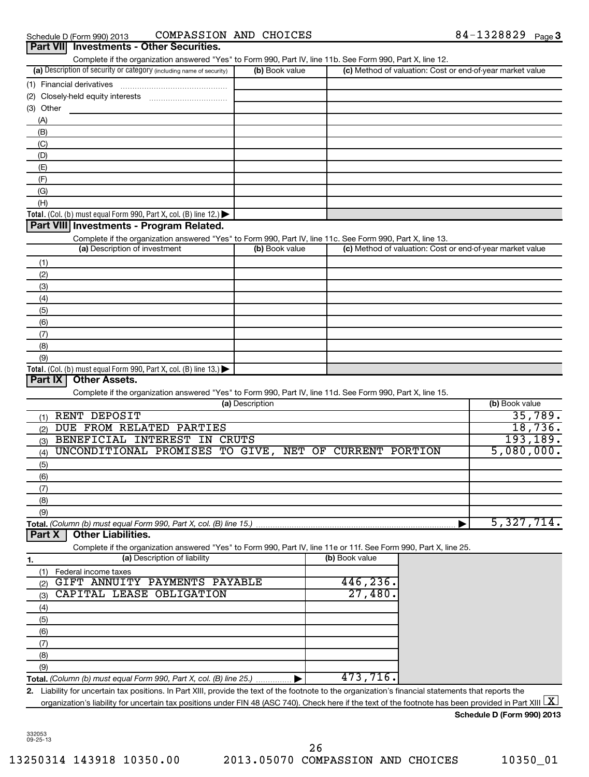Schedule D (Form 990) 2013 COMPASSION\_AND\_CHOICES 8 4-I3Z88Z9 Page COMPASSION AND CHOICES

|                                                                                                                                                                                          |                 | Complete if the organization answered "Yes" to Form 990, Part IV, line 11b. See Form 990, Part X, line 12. |                                               |
|------------------------------------------------------------------------------------------------------------------------------------------------------------------------------------------|-----------------|------------------------------------------------------------------------------------------------------------|-----------------------------------------------|
| (a) Description of security or category (including name of security)                                                                                                                     | (b) Book value  | (c) Method of valuation: Cost or end-of-year market value                                                  |                                               |
|                                                                                                                                                                                          |                 |                                                                                                            |                                               |
|                                                                                                                                                                                          |                 |                                                                                                            |                                               |
| (3) Other                                                                                                                                                                                |                 |                                                                                                            |                                               |
| (A)                                                                                                                                                                                      |                 |                                                                                                            |                                               |
| (B)                                                                                                                                                                                      |                 |                                                                                                            |                                               |
| (C)                                                                                                                                                                                      |                 |                                                                                                            |                                               |
| (D)                                                                                                                                                                                      |                 |                                                                                                            |                                               |
| (E)                                                                                                                                                                                      |                 |                                                                                                            |                                               |
|                                                                                                                                                                                          |                 |                                                                                                            |                                               |
| (F)                                                                                                                                                                                      |                 |                                                                                                            |                                               |
| (G)                                                                                                                                                                                      |                 |                                                                                                            |                                               |
| (H)                                                                                                                                                                                      |                 |                                                                                                            |                                               |
| Total. (Col. (b) must equal Form 990, Part X, col. (B) line 12.) $\blacktriangleright$                                                                                                   |                 |                                                                                                            |                                               |
| Part VIII Investments - Program Related.                                                                                                                                                 |                 |                                                                                                            |                                               |
| Complete if the organization answered "Yes" to Form 990, Part IV, line 11c. See Form 990, Part X, line 13.                                                                               |                 |                                                                                                            |                                               |
| (a) Description of investment                                                                                                                                                            | (b) Book value  | (c) Method of valuation: Cost or end-of-year market value                                                  |                                               |
| (1)                                                                                                                                                                                      |                 |                                                                                                            |                                               |
| (2)                                                                                                                                                                                      |                 |                                                                                                            |                                               |
| (3)                                                                                                                                                                                      |                 |                                                                                                            |                                               |
| (4)                                                                                                                                                                                      |                 |                                                                                                            |                                               |
| (5)                                                                                                                                                                                      |                 |                                                                                                            |                                               |
| (6)                                                                                                                                                                                      |                 |                                                                                                            |                                               |
| (7)                                                                                                                                                                                      |                 |                                                                                                            |                                               |
|                                                                                                                                                                                          |                 |                                                                                                            |                                               |
| (8)                                                                                                                                                                                      |                 |                                                                                                            |                                               |
| (9)<br>Total. (Col. (b) must equal Form 990, Part X, col. (B) line 13.) $\blacktriangleright$                                                                                            |                 |                                                                                                            |                                               |
| <b>Part IX</b><br><b>Other Assets.</b>                                                                                                                                                   |                 |                                                                                                            |                                               |
|                                                                                                                                                                                          | (a) Description | Complete if the organization answered "Yes" to Form 990, Part IV, line 11d. See Form 990, Part X, line 15. | (b) Book value                                |
| RENT DEPOSIT<br>(1)                                                                                                                                                                      |                 |                                                                                                            |                                               |
| DUE FROM RELATED PARTIES                                                                                                                                                                 |                 |                                                                                                            |                                               |
| (2)                                                                                                                                                                                      |                 |                                                                                                            |                                               |
| BENEFICIAL INTEREST IN CRUTS<br>(3)                                                                                                                                                      |                 |                                                                                                            |                                               |
| UNCONDITIONAL PROMISES TO GIVE, NET OF CURRENT PORTION<br>(4)                                                                                                                            |                 |                                                                                                            |                                               |
| (5)                                                                                                                                                                                      |                 |                                                                                                            |                                               |
| (6)                                                                                                                                                                                      |                 |                                                                                                            |                                               |
| (7)                                                                                                                                                                                      |                 |                                                                                                            |                                               |
| (8)                                                                                                                                                                                      |                 |                                                                                                            |                                               |
| (9)                                                                                                                                                                                      |                 |                                                                                                            | 35,789.<br>18,736.<br>193, 189.<br>5,080,000. |
| <b>Other Liabilities.</b><br>Part X                                                                                                                                                      |                 |                                                                                                            |                                               |
| Total. (Column (b) must equal Form 990, Part X, col. (B) line 15.).<br>Complete if the organization answered "Yes" to Form 990, Part IV, line 11e or 11f. See Form 990, Part X, line 25. |                 |                                                                                                            | 5,327,714.                                    |
| (a) Description of liability                                                                                                                                                             |                 | (b) Book value                                                                                             |                                               |
| 1.<br>Federal income taxes<br>(1)                                                                                                                                                        |                 |                                                                                                            |                                               |
| GIFT ANNUITY PAYMENTS PAYABLE<br>(2)                                                                                                                                                     |                 | 446,236.                                                                                                   |                                               |
| CAPITAL LEASE OBLIGATION<br>(3)                                                                                                                                                          |                 | 27,480.                                                                                                    |                                               |
| (4)                                                                                                                                                                                      |                 |                                                                                                            |                                               |
|                                                                                                                                                                                          |                 |                                                                                                            |                                               |
| (5)                                                                                                                                                                                      |                 |                                                                                                            |                                               |
| (6)                                                                                                                                                                                      |                 |                                                                                                            |                                               |
| (7)                                                                                                                                                                                      |                 |                                                                                                            |                                               |
| (8)                                                                                                                                                                                      |                 |                                                                                                            |                                               |
| (9)<br>Total. (Column (b) must equal Form 990, Part X, col. (B) line 25.)                                                                                                                |                 | 473,716.                                                                                                   |                                               |

**Schedule D (Form 990) 2013**

332053 09-25-13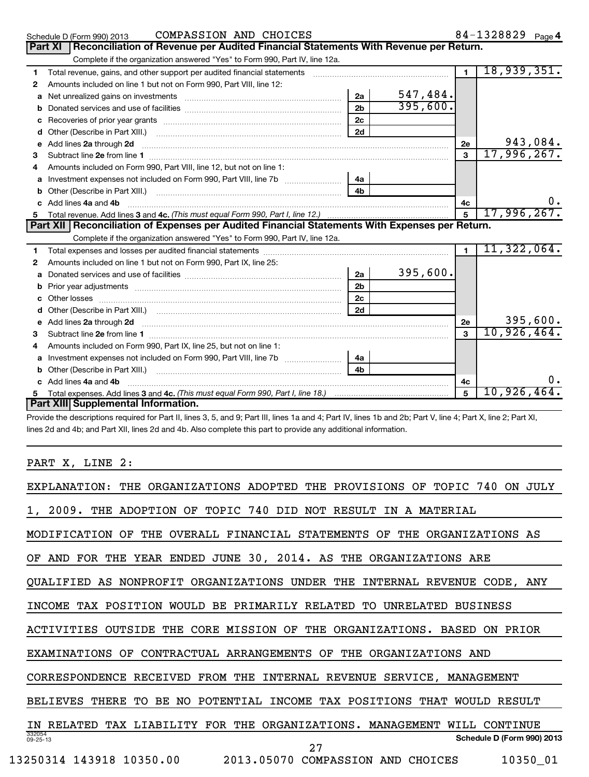|    | COMPASSION AND CHOICES<br>Schedule D (Form 990) 2013                                                                                                                                                                                |                |           |                | 84-1328829 Page 4 |          |
|----|-------------------------------------------------------------------------------------------------------------------------------------------------------------------------------------------------------------------------------------|----------------|-----------|----------------|-------------------|----------|
|    | Reconciliation of Revenue per Audited Financial Statements With Revenue per Return.<br><b>Part XI</b>                                                                                                                               |                |           |                |                   |          |
|    | Complete if the organization answered "Yes" to Form 990, Part IV, line 12a.                                                                                                                                                         |                |           |                |                   |          |
| 1  | Total revenue, gains, and other support per audited financial statements [[[[[[[[[[[[[[[[[[[[[[[[]]]]]]]]]]]]                                                                                                                       |                |           | $\blacksquare$ | 18,939,351.       |          |
| 2  | Amounts included on line 1 but not on Form 990, Part VIII, line 12:                                                                                                                                                                 |                |           |                |                   |          |
| a  | Net unrealized gains on investments [11] Martin Martin Martin Martin Martin Martin Martin Martin Martin Martin                                                                                                                      | 2a             | 547, 484. |                |                   |          |
| b  |                                                                                                                                                                                                                                     | 2 <sub>b</sub> | 395,600.  |                |                   |          |
| с  |                                                                                                                                                                                                                                     | 2 <sub>c</sub> |           |                |                   |          |
| d  |                                                                                                                                                                                                                                     | 2d             |           |                |                   |          |
| e  | Add lines 2a through 2d <b>continuum continuum contract and continuum contract a</b> through 2d continuum contract and continuum contract a term of the contract of the contract of the contract of the contract of the contract of |                |           | 2е             |                   | 943,084. |
| 3  |                                                                                                                                                                                                                                     |                |           | 3              | 17,996,267.       |          |
| 4  | Amounts included on Form 990, Part VIII, line 12, but not on line 1:                                                                                                                                                                |                |           |                |                   |          |
| a  | Investment expenses not included on Form 990, Part VIII, line 7b [100] [100] [100] [100] [100] [100] [100] [10                                                                                                                      | 4a l           |           |                |                   |          |
| b  |                                                                                                                                                                                                                                     | 4 <sub>b</sub> |           |                |                   |          |
|    | c Add lines 4a and 4b                                                                                                                                                                                                               |                |           | 4c             |                   | υ.       |
| 5. |                                                                                                                                                                                                                                     |                |           | 5              | 17,996,267.       |          |
|    | Part XII   Reconciliation of Expenses per Audited Financial Statements With Expenses per Return.                                                                                                                                    |                |           |                |                   |          |
|    | Complete if the organization answered "Yes" to Form 990, Part IV, line 12a.                                                                                                                                                         |                |           |                |                   |          |
| 1  |                                                                                                                                                                                                                                     |                |           | $\blacksquare$ | 11,322,064.       |          |
| 2  | Amounts included on line 1 but not on Form 990, Part IX, line 25:                                                                                                                                                                   |                |           |                |                   |          |
| a  |                                                                                                                                                                                                                                     | 2a             | 395,600.  |                |                   |          |
| b  |                                                                                                                                                                                                                                     | 2 <sub>b</sub> |           |                |                   |          |
|    |                                                                                                                                                                                                                                     | 2c             |           |                |                   |          |
|    | Other (Describe in Part XIII.) (COLORGIAL CONSERVISTION) (CONSERVISTION)                                                                                                                                                            | 2d             |           |                |                   |          |
| e  |                                                                                                                                                                                                                                     |                |           | 2e             |                   | 395,600. |
| 3  |                                                                                                                                                                                                                                     |                |           | $\mathbf{a}$   | 10,926,464.       |          |
| 4  | Amounts included on Form 990, Part IX, line 25, but not on line 1:                                                                                                                                                                  |                |           |                |                   |          |
| a  |                                                                                                                                                                                                                                     | 4a             |           |                |                   |          |
| b  |                                                                                                                                                                                                                                     | 4h             |           |                |                   |          |
|    | Add lines 4a and 4b                                                                                                                                                                                                                 |                |           | 4с             |                   | 0.       |
|    |                                                                                                                                                                                                                                     |                |           | 5              | 10,926,464。       |          |
|    | Part XIII Supplemental Information.                                                                                                                                                                                                 |                |           |                |                   |          |

Provide the descriptions required for Part II, lines 3, 5, and 9; Part III, lines 1a and 4; Part IV, lines 1b and 2b; Part V, line 4; Part X, line 2; Part XI, lines 2d and 4b; and Part XII, lines 2d and 4b. Also complete this part to provide any additional information.

PART X, LINE 2:

| EXPLANATION: THE ORGANIZATIONS ADOPTED THE PROVISIONS OF TOPIC 740 ON<br>JULY                  |
|------------------------------------------------------------------------------------------------|
| 2009. THE ADOPTION OF TOPIC 740 DID NOT RESULT IN A MATERIAL                                   |
| THE OVERALL FINANCIAL STATEMENTS OF THE ORGANIZATIONS AS<br>MODIFICATION<br>OF                 |
| AND FOR THE YEAR ENDED JUNE 30, 2014. AS THE ORGANIZATIONS ARE                                 |
| AS NONPROFIT ORGANIZATIONS UNDER THE<br>QUALIFIED<br>INTERNAL REVENUE CODE. ANY                |
| INCOME TAX POSITION WOULD BE PRIMARILY RELATED TO<br>UNRELATED<br><b>BUSTNESS</b>              |
| ACTIVITIES OUTSIDE THE CORE MISSION OF THE ORGANIZATIONS. BASED ON PRIOR                       |
| CONTRACTUAL ARRANGEMENTS OF THE ORGANIZATIONS AND<br>EXAMINATIONS<br>OF                        |
| CORRESPONDENCE RECEIVED FROM THE INTERNAL REVENUE SERVICE, MANAGEMENT                          |
| THERE<br>BE NO POTENTIAL<br>INCOME TAX POSITIONS THAT<br><b>BELIEVES</b><br>TO<br>WOULD RESULT |
| RELATED TAX LIABILITY FOR THE ORGANIZATIONS. MANAGEMENT<br>WILL<br>CONTINUE<br>ΙN              |
| 332054<br>Schedule D (Form 990) 2013<br>$09 - 25 - 13$<br>27                                   |
| 13250314 143918 10350.00<br>2013.05070 COMPASSION AND CHOICES<br>10350_01                      |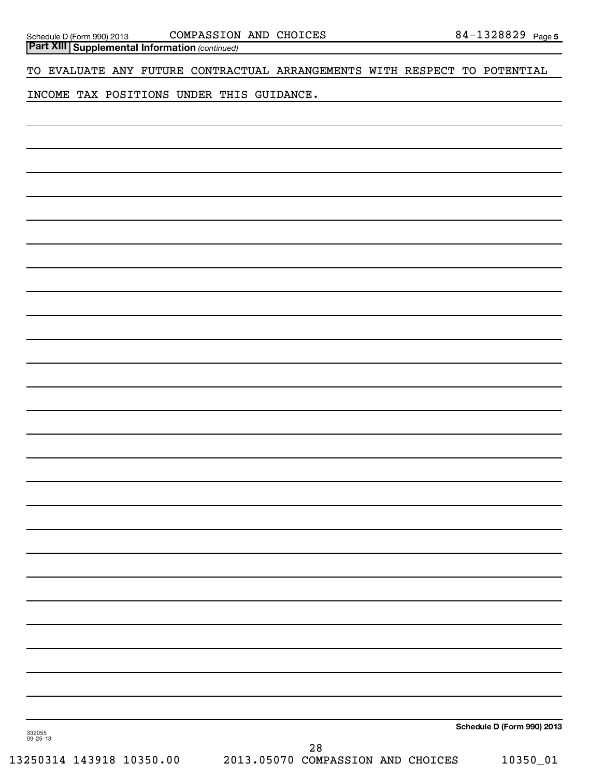**Part XIII | Supplemental Information** (continued)

TO EVALUATE ANY FUTURE CONTRACTUAL ARRANGEMENTS WITH RESPECT TO POTENTIAL

INCOME TAX POSITIONS UNDER THIS GUIDANCE.

**Schedule D (Form 990) 2013**

332055 09-25-13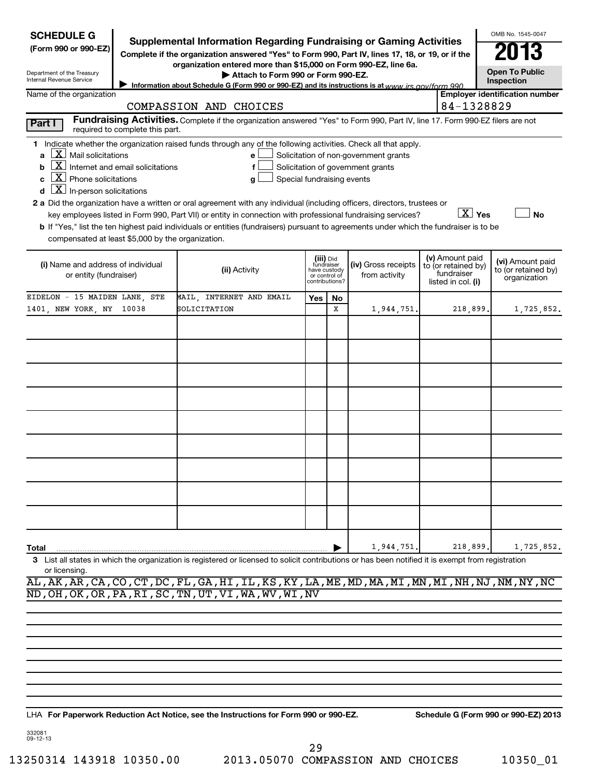| <b>SCHEDULE G</b>                                                                                                                                                                                                            |                                                                                                                                                                                                                                                                                                                                                                                                                                                                                                                                                    |            |                                                              |                                                                            |                                                                            | OMB No. 1545-0047                                       |
|------------------------------------------------------------------------------------------------------------------------------------------------------------------------------------------------------------------------------|----------------------------------------------------------------------------------------------------------------------------------------------------------------------------------------------------------------------------------------------------------------------------------------------------------------------------------------------------------------------------------------------------------------------------------------------------------------------------------------------------------------------------------------------------|------------|--------------------------------------------------------------|----------------------------------------------------------------------------|----------------------------------------------------------------------------|---------------------------------------------------------|
| (Form 990 or 990-EZ)                                                                                                                                                                                                         | Supplemental Information Regarding Fundraising or Gaming Activities<br>Complete if the organization answered "Yes" to Form 990, Part IV, lines 17, 18, or 19, or if the<br>organization entered more than \$15,000 on Form 990-EZ, line 6a.                                                                                                                                                                                                                                                                                                        |            |                                                              |                                                                            |                                                                            | 13                                                      |
| Department of the Treasury<br>Internal Revenue Service                                                                                                                                                                       | Attach to Form 990 or Form 990-EZ.<br>Information about Schedule G (Form 990 or 990-EZ) and its instructions is at www irs gov/form 990                                                                                                                                                                                                                                                                                                                                                                                                            |            |                                                              |                                                                            |                                                                            | <b>Open To Public</b><br>Inspection                     |
| Name of the organization                                                                                                                                                                                                     |                                                                                                                                                                                                                                                                                                                                                                                                                                                                                                                                                    |            |                                                              |                                                                            |                                                                            | <b>Employer identification number</b>                   |
|                                                                                                                                                                                                                              | COMPASSION AND CHOICES                                                                                                                                                                                                                                                                                                                                                                                                                                                                                                                             |            |                                                              |                                                                            | 84-1328829                                                                 |                                                         |
| Part I<br>required to complete this part.                                                                                                                                                                                    | Fundraising Activities. Complete if the organization answered "Yes" to Form 990, Part IV, line 17. Form 990-EZ filers are not                                                                                                                                                                                                                                                                                                                                                                                                                      |            |                                                              |                                                                            |                                                                            |                                                         |
| $\lfloor x \rfloor$ Mail solicitations<br>$\lfloor \underline{X} \rfloor$ Internet and email solicitations<br>$\lfloor \underline{X} \rfloor$ Phone solicitations<br>$\lfloor \underline{X} \rfloor$ In-person solicitations | 1 Indicate whether the organization raised funds through any of the following activities. Check all that apply.<br>e<br>f<br>Special fundraising events<br>g<br>2 a Did the organization have a written or oral agreement with any individual (including officers, directors, trustees or<br>key employees listed in Form 990, Part VII) or entity in connection with professional fundraising services?<br>b If "Yes," list the ten highest paid individuals or entities (fundraisers) pursuant to agreements under which the fundraiser is to be |            |                                                              | Solicitation of non-government grants<br>Solicitation of government grants | $X$ Yes                                                                    | <b>No</b>                                               |
| compensated at least \$5,000 by the organization.                                                                                                                                                                            |                                                                                                                                                                                                                                                                                                                                                                                                                                                                                                                                                    |            |                                                              |                                                                            |                                                                            |                                                         |
| (i) Name and address of individual<br>or entity (fundraiser)                                                                                                                                                                 | (ii) Activity                                                                                                                                                                                                                                                                                                                                                                                                                                                                                                                                      | fundraiser | (iii) Did<br>have custody<br>or control of<br>contributions? | (iv) Gross receipts<br>from activity                                       | (v) Amount paid<br>to (or retained by)<br>fundraiser<br>listed in col. (i) | (vi) Amount paid<br>to (or retained by)<br>organization |
| EIDELON - 15 MAIDEN LANE, STE                                                                                                                                                                                                | MAIL, INTERNET AND EMAIL                                                                                                                                                                                                                                                                                                                                                                                                                                                                                                                           | Yes        | No.                                                          |                                                                            |                                                                            |                                                         |
| 1401, NEW YORK, NY<br>10038                                                                                                                                                                                                  | SOLICITATION                                                                                                                                                                                                                                                                                                                                                                                                                                                                                                                                       |            | X                                                            | 1,944,751.                                                                 | 218,899.                                                                   | 1,725,852.                                              |
|                                                                                                                                                                                                                              |                                                                                                                                                                                                                                                                                                                                                                                                                                                                                                                                                    |            |                                                              |                                                                            |                                                                            |                                                         |
|                                                                                                                                                                                                                              |                                                                                                                                                                                                                                                                                                                                                                                                                                                                                                                                                    |            |                                                              |                                                                            |                                                                            |                                                         |
|                                                                                                                                                                                                                              |                                                                                                                                                                                                                                                                                                                                                                                                                                                                                                                                                    |            |                                                              |                                                                            |                                                                            |                                                         |
|                                                                                                                                                                                                                              |                                                                                                                                                                                                                                                                                                                                                                                                                                                                                                                                                    |            |                                                              |                                                                            |                                                                            |                                                         |
|                                                                                                                                                                                                                              |                                                                                                                                                                                                                                                                                                                                                                                                                                                                                                                                                    |            |                                                              |                                                                            |                                                                            |                                                         |
|                                                                                                                                                                                                                              |                                                                                                                                                                                                                                                                                                                                                                                                                                                                                                                                                    |            |                                                              |                                                                            |                                                                            |                                                         |
|                                                                                                                                                                                                                              |                                                                                                                                                                                                                                                                                                                                                                                                                                                                                                                                                    |            |                                                              |                                                                            |                                                                            |                                                         |
|                                                                                                                                                                                                                              |                                                                                                                                                                                                                                                                                                                                                                                                                                                                                                                                                    |            |                                                              |                                                                            |                                                                            |                                                         |
|                                                                                                                                                                                                                              |                                                                                                                                                                                                                                                                                                                                                                                                                                                                                                                                                    |            |                                                              |                                                                            |                                                                            |                                                         |
| Total                                                                                                                                                                                                                        |                                                                                                                                                                                                                                                                                                                                                                                                                                                                                                                                                    |            |                                                              | 1,944,751.                                                                 | 218,899.                                                                   | 1,725,852.                                              |
| or licensing.                                                                                                                                                                                                                | 3 List all states in which the organization is registered or licensed to solicit contributions or has been notified it is exempt from registration<br>$\overline{A}$ $\overline{A}$ $\overline{A}$ $\overline{B}$ $\overline{B}$ $\overline{C}$ $\overline{A}$ $\overline{B}$ $\overline{C}$ $\overline{C}$ $\overline{C}$ $\overline{C}$ $\overline{C}$ $\overline{C}$ $\overline{C}$ $\overline{C}$ $\overline{C}$ $\overline{C}$ $\overline{C}$ $\overline{C}$ $\overline{C}$ $\overline{C}$ $\overline{C}$ $\overline{C}$ $\overline{$         |            |                                                              |                                                                            |                                                                            |                                                         |

AL,AK,AR,CA,CO,CT,DC,FL,GA,HI,IL,KS,KY,LA,ME,MD,MA,MI,MN,MI,NH,NJ,NM,NY,NC ND,OH,OK,OR,PA,RI,SC,TN,UT,VI,WA,WV,WI,NV

**For Paperwork Reduction Act Notice, see the Instructions for Form 990 or 990-EZ. Schedule G (Form 990 or 990-EZ) 2013** LHA

332081 09-12-13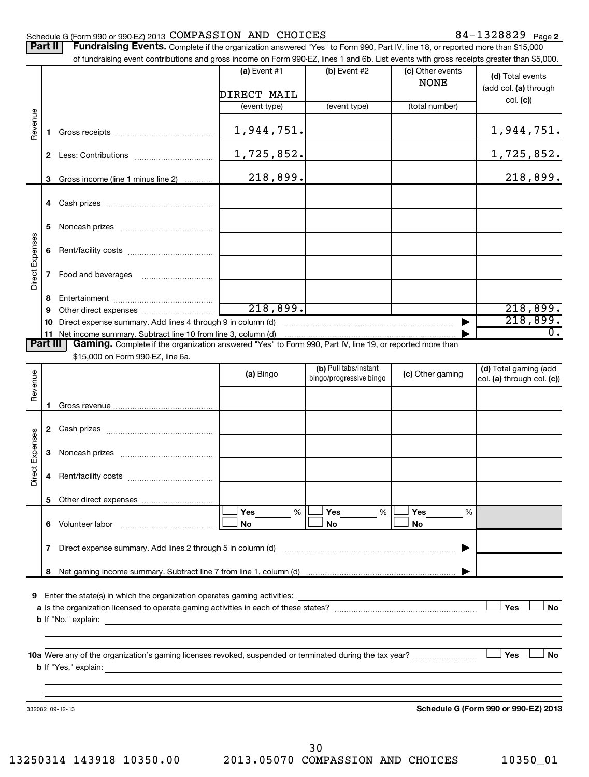# Schedule G (Form 990 or 990-EZ) 2013  $\texttt{COMPASSION}$   $\texttt{AND}$   $\texttt{CHOICES}$   $\texttt{84-1328829}$   $\texttt{Page}$

|                 | Part II | Fundraising Events. Complete if the organization answered "Yes" to Form 990, Part IV, line 18, or reported more than \$15,000             |                               |                                                  |                                 |                                                     |
|-----------------|---------|-------------------------------------------------------------------------------------------------------------------------------------------|-------------------------------|--------------------------------------------------|---------------------------------|-----------------------------------------------------|
|                 |         | of fundraising event contributions and gross income on Form 990-EZ, lines 1 and 6b. List events with gross receipts greater than \$5,000. |                               |                                                  |                                 |                                                     |
|                 |         |                                                                                                                                           | (a) Event $#1$<br>DIRECT MAIL | (b) Event #2                                     | (c) Other events<br><b>NONE</b> | (d) Total events<br>(add col. (a) through           |
|                 |         |                                                                                                                                           | (event type)                  | (event type)                                     | (total number)                  | col. (c))                                           |
|                 |         |                                                                                                                                           |                               |                                                  |                                 |                                                     |
| Revenue         | 1.      |                                                                                                                                           | 1,944,751.                    |                                                  |                                 | 1,944,751.                                          |
|                 |         |                                                                                                                                           | 1,725,852.                    |                                                  |                                 | <u>1,725,852.</u>                                   |
|                 | 3       | Gross income (line 1 minus line 2)                                                                                                        | 218,899.                      |                                                  |                                 | 218,899.                                            |
|                 |         |                                                                                                                                           |                               |                                                  |                                 |                                                     |
|                 | 5       |                                                                                                                                           |                               |                                                  |                                 |                                                     |
|                 | 6       |                                                                                                                                           |                               |                                                  |                                 |                                                     |
| Direct Expenses | 7       |                                                                                                                                           |                               |                                                  |                                 |                                                     |
|                 | 8       |                                                                                                                                           |                               |                                                  |                                 |                                                     |
|                 | 9       |                                                                                                                                           | $\overline{218,899.}$         |                                                  |                                 | 218,899.                                            |
|                 | 10      |                                                                                                                                           |                               |                                                  |                                 | 218,899.                                            |
|                 | 11      | Net income summary. Subtract line 10 from line 3, column (d) manufactured in the substitution of the summary.                             |                               |                                                  |                                 | $\overline{0}$ .                                    |
| Part III        |         | Gaming. Complete if the organization answered "Yes" to Form 990, Part IV, line 19, or reported more than                                  |                               |                                                  |                                 |                                                     |
|                 |         | \$15,000 on Form 990-EZ, line 6a.                                                                                                         |                               |                                                  |                                 |                                                     |
| Revenue         |         |                                                                                                                                           | (a) Bingo                     | (b) Pull tabs/instant<br>bingo/progressive bingo | (c) Other gaming                | (d) Total gaming (add<br>col. (a) through col. (c)) |
|                 |         |                                                                                                                                           |                               |                                                  |                                 |                                                     |
|                 |         |                                                                                                                                           |                               |                                                  |                                 |                                                     |
| Direct Expenses | 3       |                                                                                                                                           |                               |                                                  |                                 |                                                     |
|                 |         |                                                                                                                                           |                               |                                                  |                                 |                                                     |
|                 | 5       |                                                                                                                                           |                               |                                                  |                                 |                                                     |
|                 |         | 6 Volunteer labor                                                                                                                         | Yes<br>%<br>No                | Yes<br>%<br>No                                   | Yes<br>%<br>No                  |                                                     |
|                 | 7       |                                                                                                                                           |                               |                                                  |                                 |                                                     |
|                 | 8       |                                                                                                                                           |                               |                                                  |                                 |                                                     |
|                 |         | 9 Enter the state(s) in which the organization operates gaming activities:                                                                |                               |                                                  |                                 | Yes<br>No                                           |
|                 |         |                                                                                                                                           |                               |                                                  |                                 | Yes<br><b>No</b>                                    |
|                 |         | 332082 09-12-13                                                                                                                           |                               |                                                  |                                 | Schedule G (Form 990 or 990-EZ) 2013                |

**Schedule G (Form 990 or 990-EZ) 2013**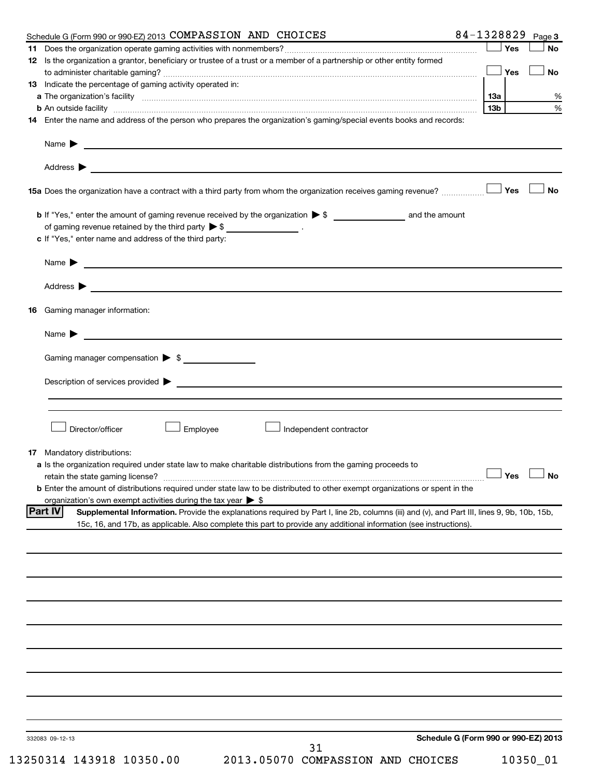| Schedule G (Form 990 or 990-EZ) 2013 COMPASSION AND CHOICES                                                                                                                                                                    | 84-1328829<br>Page 3                 |
|--------------------------------------------------------------------------------------------------------------------------------------------------------------------------------------------------------------------------------|--------------------------------------|
|                                                                                                                                                                                                                                | Yes<br><b>No</b>                     |
| 12 Is the organization a grantor, beneficiary or trustee of a trust or a member of a partnership or other entity formed                                                                                                        |                                      |
|                                                                                                                                                                                                                                | Yes<br>No                            |
| <b>13</b> Indicate the percentage of gaming activity operated in:                                                                                                                                                              |                                      |
|                                                                                                                                                                                                                                | 13а                                  |
| b An outside facility manufactured and contract and contract and contract and contract and contract and contract and contract and contract and contract and contract and contract and contract and contract and contract and c | 13 <sub>b</sub>                      |
| 14 Enter the name and address of the person who prepares the organization's gaming/special events books and records:                                                                                                           |                                      |
|                                                                                                                                                                                                                                |                                      |
|                                                                                                                                                                                                                                |                                      |
| Address $\blacktriangleright$<br><u> 1980 - Johann Stoff, amerikansk politiker (* 1900)</u>                                                                                                                                    |                                      |
| 15a Does the organization have a contract with a third party from whom the organization receives gaming revenue?                                                                                                               | <b>No</b><br>Yes                     |
| <b>b</b> If "Yes," enter the amount of gaming revenue received by the organization $\triangleright$ \$ ____________________ and the amount                                                                                     |                                      |
| of gaming revenue retained by the third party $\triangleright$ \$ ___________________.                                                                                                                                         |                                      |
| c If "Yes," enter name and address of the third party:                                                                                                                                                                         |                                      |
| Name $\blacktriangleright$ $\lrcorner$                                                                                                                                                                                         |                                      |
|                                                                                                                                                                                                                                |                                      |
| Gaming manager information:<br>16                                                                                                                                                                                              |                                      |
|                                                                                                                                                                                                                                |                                      |
|                                                                                                                                                                                                                                |                                      |
| Gaming manager compensation > \$                                                                                                                                                                                               |                                      |
|                                                                                                                                                                                                                                |                                      |
|                                                                                                                                                                                                                                |                                      |
|                                                                                                                                                                                                                                |                                      |
|                                                                                                                                                                                                                                |                                      |
| Employee<br>Director/officer<br>Independent contractor                                                                                                                                                                         |                                      |
|                                                                                                                                                                                                                                |                                      |
| Mandatory distributions:<br>17                                                                                                                                                                                                 |                                      |
| a Is the organization required under state law to make charitable distributions from the gaming proceeds to                                                                                                                    |                                      |
| retain the state gaming license? $\Box$ No                                                                                                                                                                                     |                                      |
| <b>b</b> Enter the amount of distributions required under state law to be distributed to other exempt organizations or spent in the                                                                                            |                                      |
| organization's own exempt activities during the tax year $\triangleright$ \$                                                                                                                                                   |                                      |
| <b>Part IV</b><br>Supplemental Information. Provide the explanations required by Part I, line 2b, columns (iii) and (v), and Part III, lines 9, 9b, 10b, 15b,                                                                  |                                      |
| 15c, 16, and 17b, as applicable. Also complete this part to provide any additional information (see instructions).                                                                                                             |                                      |
|                                                                                                                                                                                                                                |                                      |
|                                                                                                                                                                                                                                |                                      |
|                                                                                                                                                                                                                                |                                      |
|                                                                                                                                                                                                                                |                                      |
|                                                                                                                                                                                                                                |                                      |
|                                                                                                                                                                                                                                |                                      |
|                                                                                                                                                                                                                                |                                      |
|                                                                                                                                                                                                                                |                                      |
|                                                                                                                                                                                                                                |                                      |
|                                                                                                                                                                                                                                |                                      |
|                                                                                                                                                                                                                                |                                      |
|                                                                                                                                                                                                                                |                                      |
|                                                                                                                                                                                                                                |                                      |
|                                                                                                                                                                                                                                |                                      |
|                                                                                                                                                                                                                                |                                      |
| 332083 09-12-13                                                                                                                                                                                                                | Schedule G (Form 990 or 990-EZ) 2013 |
| 31                                                                                                                                                                                                                             |                                      |
| 2013.05070 COMPASSION AND CHOICES<br>13250314 143918 10350.00                                                                                                                                                                  | 10350_01                             |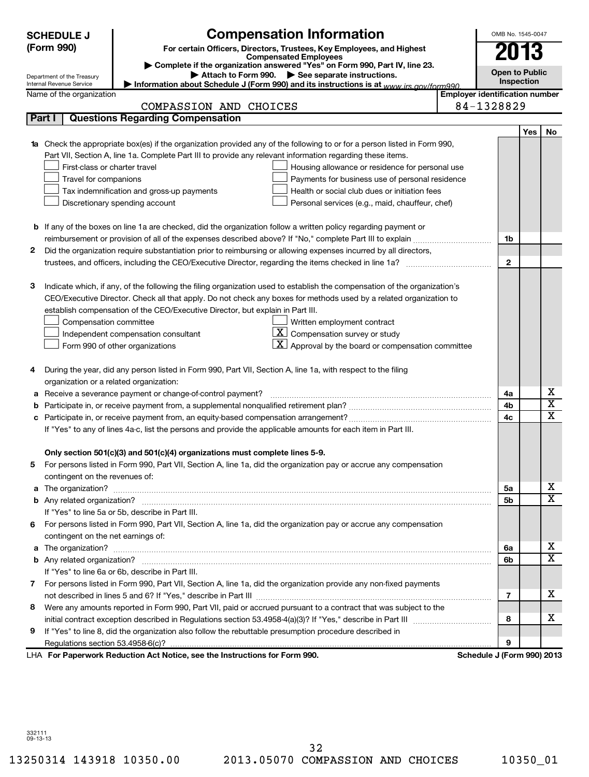| <b>SCHEDULE J</b>                  | <b>Compensation Information</b>                                                                                              | OMB No. 1545-0047                     |                       |                              |  |
|------------------------------------|------------------------------------------------------------------------------------------------------------------------------|---------------------------------------|-----------------------|------------------------------|--|
| (Form 990)                         | For certain Officers, Directors, Trustees, Key Employees, and Highest                                                        |                                       | 2013                  |                              |  |
|                                    | <b>Compensated Employees</b>                                                                                                 |                                       |                       |                              |  |
| Department of the Treasury         | Complete if the organization answered "Yes" on Form 990, Part IV, line 23.<br>Attach to Form 990. See separate instructions. |                                       | <b>Open to Public</b> |                              |  |
| Internal Revenue Service           | Information about Schedule J (Form 990) and its instructions is at www.jrs.gov/form990                                       |                                       | Inspection            |                              |  |
| Name of the organization           |                                                                                                                              | <b>Employer identification number</b> |                       |                              |  |
|                                    | COMPASSION AND CHOICES                                                                                                       | 84-1328829                            |                       |                              |  |
| Part I                             | <b>Questions Regarding Compensation</b>                                                                                      |                                       |                       |                              |  |
|                                    |                                                                                                                              |                                       | <b>Yes</b>            | No                           |  |
|                                    | 1a Check the appropriate box(es) if the organization provided any of the following to or for a person listed in Form 990,    |                                       |                       |                              |  |
|                                    | Part VII, Section A, line 1a. Complete Part III to provide any relevant information regarding these items.                   |                                       |                       |                              |  |
| First-class or charter travel      | Housing allowance or residence for personal use                                                                              |                                       |                       |                              |  |
| Travel for companions              | Payments for business use of personal residence                                                                              |                                       |                       |                              |  |
|                                    | Tax indemnification and gross-up payments<br>Health or social club dues or initiation fees                                   |                                       |                       |                              |  |
|                                    | Discretionary spending account<br>Personal services (e.g., maid, chauffeur, chef)                                            |                                       |                       |                              |  |
|                                    |                                                                                                                              |                                       |                       |                              |  |
|                                    | <b>b</b> If any of the boxes on line 1a are checked, did the organization follow a written policy regarding payment or       |                                       |                       |                              |  |
|                                    |                                                                                                                              | 1b                                    |                       |                              |  |
| 2                                  | Did the organization require substantiation prior to reimbursing or allowing expenses incurred by all directors,             |                                       |                       |                              |  |
|                                    | trustees, and officers, including the CEO/Executive Director, regarding the items checked in line 1a?                        | $\mathbf{2}$                          |                       |                              |  |
|                                    |                                                                                                                              |                                       |                       |                              |  |
| з                                  | Indicate which, if any, of the following the filing organization used to establish the compensation of the organization's    |                                       |                       |                              |  |
|                                    | CEO/Executive Director. Check all that apply. Do not check any boxes for methods used by a related organization to           |                                       |                       |                              |  |
|                                    | establish compensation of the CEO/Executive Director, but explain in Part III.                                               |                                       |                       |                              |  |
| Compensation committee             | Written employment contract                                                                                                  |                                       |                       |                              |  |
|                                    | $\mathbf{X}$ Compensation survey or study<br>Independent compensation consultant                                             |                                       |                       |                              |  |
|                                    | $\mathbf{X}$ Approval by the board or compensation committee<br>Form 990 of other organizations                              |                                       |                       |                              |  |
|                                    |                                                                                                                              |                                       |                       |                              |  |
| 4                                  | During the year, did any person listed in Form 990, Part VII, Section A, line 1a, with respect to the filing                 |                                       |                       |                              |  |
|                                    | organization or a related organization:                                                                                      |                                       |                       |                              |  |
|                                    | a Receive a severance payment or change-of-control payment?                                                                  | 4a                                    |                       | х<br>$\overline{\texttt{x}}$ |  |
| b                                  |                                                                                                                              | 4b                                    |                       | $\overline{\mathtt{x}}$      |  |
|                                    |                                                                                                                              | 4 <sub>c</sub>                        |                       |                              |  |
|                                    | If "Yes" to any of lines 4a-c, list the persons and provide the applicable amounts for each item in Part III.                |                                       |                       |                              |  |
|                                    |                                                                                                                              |                                       |                       |                              |  |
|                                    | Only section 501(c)(3) and 501(c)(4) organizations must complete lines 5-9.                                                  |                                       |                       |                              |  |
|                                    | For persons listed in Form 990, Part VII, Section A, line 1a, did the organization pay or accrue any compensation            |                                       |                       |                              |  |
| contingent on the revenues of:     |                                                                                                                              |                                       |                       | х                            |  |
|                                    |                                                                                                                              | 5a                                    |                       | $\overline{\mathbf{x}}$      |  |
|                                    |                                                                                                                              | 5b                                    |                       |                              |  |
|                                    | If "Yes" to line 5a or 5b, describe in Part III.                                                                             |                                       |                       |                              |  |
| 6.                                 | For persons listed in Form 990, Part VII, Section A, line 1a, did the organization pay or accrue any compensation            |                                       |                       |                              |  |
| contingent on the net earnings of: |                                                                                                                              |                                       |                       | х                            |  |
|                                    |                                                                                                                              | 6а<br>6b                              |                       | $\overline{\mathbf{x}}$      |  |
|                                    | If "Yes" to line 6a or 6b, describe in Part III.                                                                             |                                       |                       |                              |  |
| 7                                  | For persons listed in Form 990, Part VII, Section A, line 1a, did the organization provide any non-fixed payments            |                                       |                       |                              |  |
|                                    |                                                                                                                              | 7                                     |                       | х                            |  |
| 8                                  | Were any amounts reported in Form 990, Part VII, paid or accrued pursuant to a contract that was subject to the              |                                       |                       |                              |  |
|                                    |                                                                                                                              | 8                                     |                       | x                            |  |
| 9                                  | If "Yes" to line 8, did the organization also follow the rebuttable presumption procedure described in                       |                                       |                       |                              |  |
|                                    |                                                                                                                              | 9                                     |                       |                              |  |
|                                    | LHA For Paperwork Reduction Act Notice, see the Instructions for Form 990.                                                   | Schedule J (Form 990) 2013            |                       |                              |  |
|                                    |                                                                                                                              |                                       |                       |                              |  |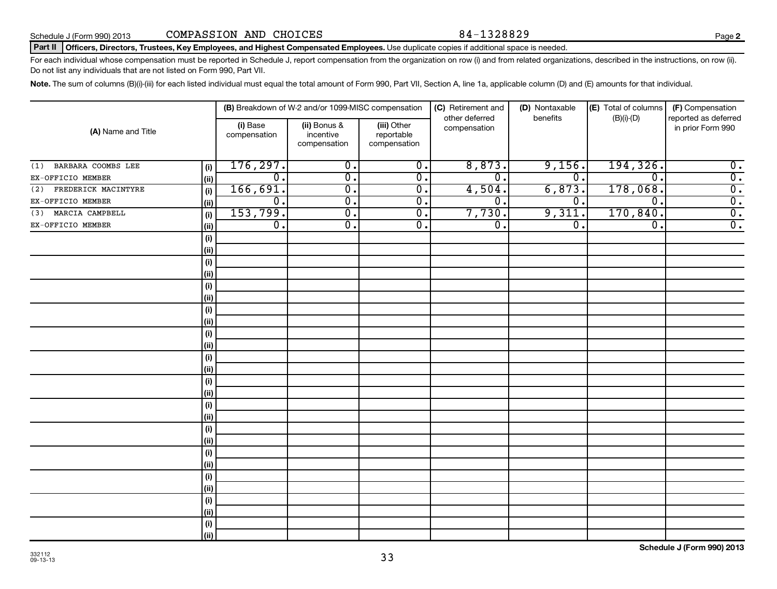# Part II | Officers, Directors, Trustees, Key Employees, and Highest Compensated Employees. Use duplicate copies if additional space is needed.

For each individual whose compensation must be reported in Schedule J, report compensation from the organization on row (i) and from related organizations, described in the instructions, on row (ii). Do not list any individuals that are not listed on Form 990, Part VII.

Note. The sum of columns (B)(i)-(iii) for each listed individual must equal the total amount of Form 990, Part VII, Section A, line 1a, applicable column (D) and (E) amounts for that individual.

|                                   | (B) Breakdown of W-2 and/or 1099-MISC compensation |                                           |                                           | (C) Retirement and<br>other deferred | (D) Nontaxable              | (E) Total of columns<br>benefits<br>$(B)(i)-(D)$ |                                           |
|-----------------------------------|----------------------------------------------------|-------------------------------------------|-------------------------------------------|--------------------------------------|-----------------------------|--------------------------------------------------|-------------------------------------------|
| (A) Name and Title                | (i) Base<br>compensation                           | (ii) Bonus &<br>incentive<br>compensation | (iii) Other<br>reportable<br>compensation | compensation                         |                             |                                                  | reported as deferred<br>in prior Form 990 |
| BARBARA COOMBS LEE<br>(1)<br>(i)  | 176, 297.                                          | $\overline{0}$ .                          | $\overline{0}$ .                          | 8,873.                               | 9,156.                      | 194,326.                                         | $\overline{0}$ .                          |
| EX-OFFICIO MEMBER<br>(ii)         | $\overline{0}$ .                                   | $\overline{\mathfrak{o}}$ .               | $\overline{0}$ .                          | $\overline{0}$                       | $\overline{\mathfrak{o}}$ . | $\overline{0}$ .                                 | $\overline{0}$ .                          |
| FREDERICK MACINTYRE<br>(i)<br>(2) | 166,691.                                           | $\overline{0}$ .                          | $\overline{\mathfrak{o}}$ .               | 4,504.                               | 6,873.                      | 178,068.                                         | $\overline{0}$ .                          |
| EX-OFFICIO MEMBER<br>(ii)         | $\overline{\mathfrak{o}}$ .                        | $\overline{0}$ .                          | $\overline{\mathfrak{o}}$ .               | $\overline{0}$                       | $\overline{\mathfrak{o}}$ . | $\overline{0}$ .                                 | $\overline{0}$ .                          |
| MARCIA CAMPBELL<br>(i)<br>(3)     | 153,799.                                           | $\overline{0}$ .                          | $\overline{\mathfrak{o}}$ .               | 7,730.                               | 9,311.                      | 170,840.                                         | $\overline{0}$ .                          |
| EX-OFFICIO MEMBER<br>(ii)         | $\overline{\mathfrak{o}}$ .                        | $\overline{0}$ .                          | $\overline{0}$ .                          | $\overline{\mathfrak{o}}$ .          | $\overline{\mathfrak{o}}$ . | $\overline{\mathfrak{o}}$ .                      | $\overline{0}$ .                          |
| (i)                               |                                                    |                                           |                                           |                                      |                             |                                                  |                                           |
| (ii)                              |                                                    |                                           |                                           |                                      |                             |                                                  |                                           |
| (i)                               |                                                    |                                           |                                           |                                      |                             |                                                  |                                           |
| (ii)                              |                                                    |                                           |                                           |                                      |                             |                                                  |                                           |
| (i)                               |                                                    |                                           |                                           |                                      |                             |                                                  |                                           |
| (ii)                              |                                                    |                                           |                                           |                                      |                             |                                                  |                                           |
| $(\sf{i})$                        |                                                    |                                           |                                           |                                      |                             |                                                  |                                           |
| (ii)                              |                                                    |                                           |                                           |                                      |                             |                                                  |                                           |
| (i)                               |                                                    |                                           |                                           |                                      |                             |                                                  |                                           |
| (ii)                              |                                                    |                                           |                                           |                                      |                             |                                                  |                                           |
| (i)                               |                                                    |                                           |                                           |                                      |                             |                                                  |                                           |
| (ii)                              |                                                    |                                           |                                           |                                      |                             |                                                  |                                           |
| $(\sf{i})$                        |                                                    |                                           |                                           |                                      |                             |                                                  |                                           |
| (ii)                              |                                                    |                                           |                                           |                                      |                             |                                                  |                                           |
| $\qquad \qquad \textbf{(i)}$      |                                                    |                                           |                                           |                                      |                             |                                                  |                                           |
| (ii)                              |                                                    |                                           |                                           |                                      |                             |                                                  |                                           |
| (i)                               |                                                    |                                           |                                           |                                      |                             |                                                  |                                           |
| (i)                               |                                                    |                                           |                                           |                                      |                             |                                                  |                                           |
| (i)                               |                                                    |                                           |                                           |                                      |                             |                                                  |                                           |
| (i)                               |                                                    |                                           |                                           |                                      |                             |                                                  |                                           |
| (i)                               |                                                    |                                           |                                           |                                      |                             |                                                  |                                           |
| (ii)                              |                                                    |                                           |                                           |                                      |                             |                                                  |                                           |
| (i)                               |                                                    |                                           |                                           |                                      |                             |                                                  |                                           |
| (ii)                              |                                                    |                                           |                                           |                                      |                             |                                                  |                                           |
| (i)                               |                                                    |                                           |                                           |                                      |                             |                                                  |                                           |
| (ii)                              |                                                    |                                           |                                           |                                      |                             |                                                  |                                           |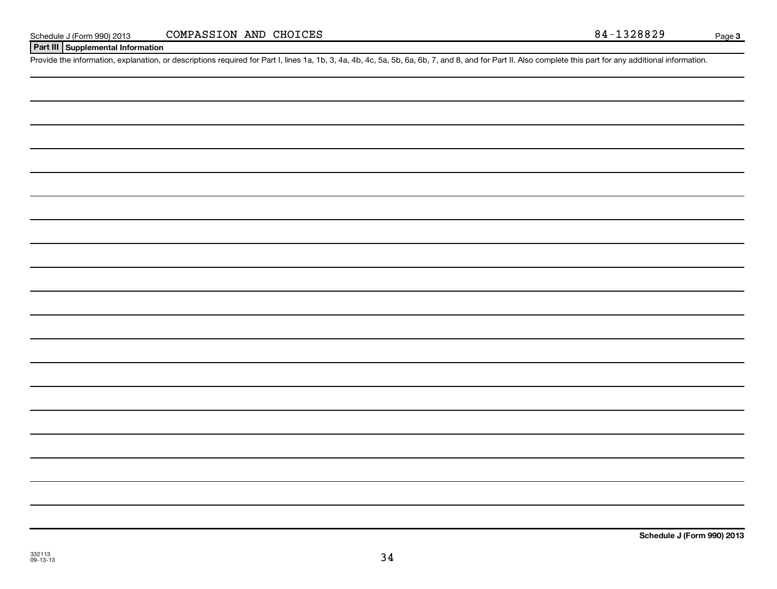| Schedule J (Form 990) 2013 |  |
|----------------------------|--|
|                            |  |

**Page 3** 

# **Part III Supplemental Information**

Provide the information, explanation, or descriptions required for Part I, lines 1a, 1b, 3, 4a, 4b, 4c, 5a, 5b, 6a, 6b, 7, and 8, and for Part II. Also complete this part for any additional information.

**Schedule J (Form 990) 2013**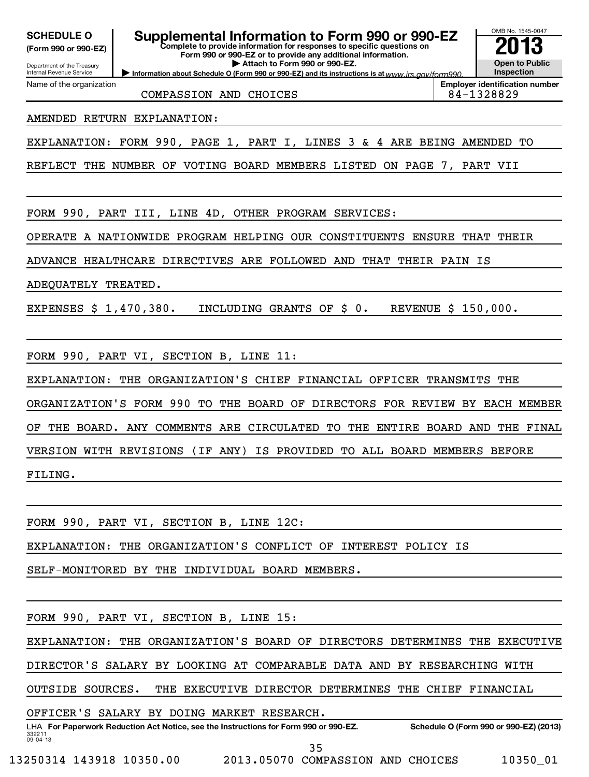Department of the Treasury **(Form 990 or 990-EZ)**

**Complete to provide information for responses to specific questions on Form 990 or 990-EZ or to provide any additional information. SCHEDULE O Supplemental Information to Form 990 or 990-EZ 2013**

**Information about Schedule O (Form 990 or 990-EZ) and its instructions is at www.irs.gov/form990. | Attach to Form 990 or 990-EZ.**

Internal Revenue Service Name of the organization

COMPASSION AND CHOICES 84-1328829

**Open to Public Inspection Employer identification number**

OMB No. 1545-0047

AMENDED RETURN EXPLANATION:

EXPLANATION: FORM 990, PAGE 1, PART I, LINES 3 & 4 ARE BEING AMENDED TO

REFLECT THE NUMBER OF VOTING BOARD MEMBERS LISTED ON PAGE 7, PART VII

FORM 990, PART III, LINE 4D, OTHER PROGRAM SERVICES:

OPERATE A NATIONWIDE PROGRAM HELPING OUR CONSTITUENTS ENSURE THAT THEIR

ADVANCE HEALTHCARE DIRECTIVES ARE FOLLOWED AND THAT THEIR PAIN IS

ADEQUATELY TREATED.

EXPENSES \$ 1,470,380. INCLUDING GRANTS OF \$ 0. REVENUE \$ 150,000.

FORM 990, PART VI, SECTION B, LINE 11:

EXPLANATION: THE ORGANIZATION'S CHIEF FINANCIAL OFFICER TRANSMITS THE ORGANIZATION'S FORM 990 TO THE BOARD OF DIRECTORS FOR REVIEW BY EACH MEMBER OF THE BOARD. ANY COMMENTS ARE CIRCULATED TO THE ENTIRE BOARD AND THE FINAL VERSION WITH REVISIONS (IF ANY) IS PROVIDED TO ALL BOARD MEMBERS BEFORE

FILING.

FORM 990, PART VI, SECTION B, LINE 12C:

EXPLANATION: THE ORGANIZATION'S CONFLICT OF INTEREST POLICY IS

SELF-MONITORED BY THE INDIVIDUAL BOARD MEMBERS.

FORM 990, PART VI, SECTION B, LINE 15:

EXPLANATION: THE ORGANIZATION'S BOARD OF DIRECTORS DETERMINES THE EXECUTIVE

DIRECTOR'S SALARY BY LOOKING AT COMPARABLE DATA AND BY RESEARCHING WITH

OUTSIDE SOURCES. THE EXECUTIVE DIRECTOR DETERMINES THE CHIEF FINANCIAL

OFFICER'S SALARY BY DOING MARKET RESEARCH.

332211 09-04-13 LHA For Paperwork Reduction Act Notice, see the Instructions for Form 990 or 990-EZ. Schedule O (Form 990 or 990-EZ) (2013) 35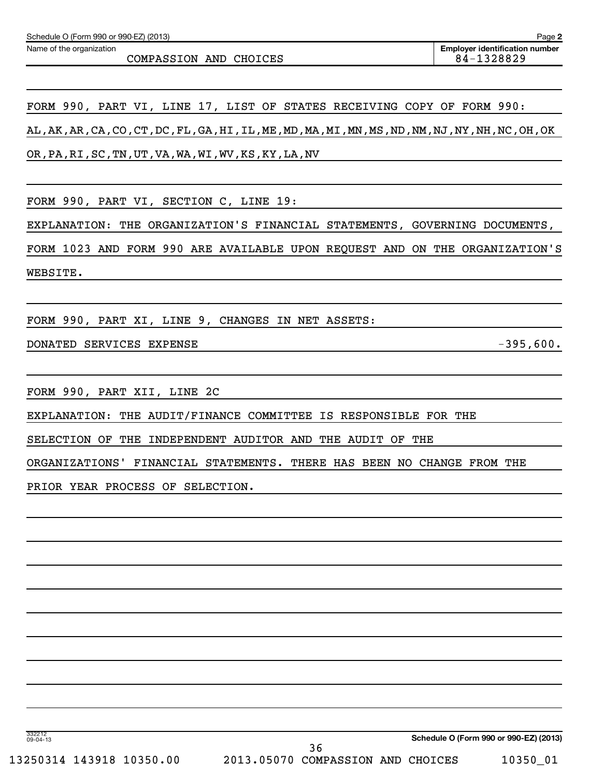Name of the organization

COMPASSION AND CHOICES 84-1328829

**2**

FORM 990, PART VI, LINE 17, LIST OF STATES RECEIVING COPY OF FORM 990: AL,AK,AR,CA,CO,CT,DC,FL,GA,HI,IL,ME,MD,MA,MI,MN,MS,ND,NM,NJ,NY,NH,NC,OH,OK OR,PA,RI,SC,TN,UT,VA,WA,WI,WV,KS,KY,LA,NV

FORM 990, PART VI, SECTION C, LINE 19:

EXPLANATION: THE ORGANIZATION'S FINANCIAL STATEMENTS, GOVERNING DOCUMENTS,

FORM 1023 AND FORM 990 ARE AVAILABLE UPON REQUEST AND ON THE ORGANIZATION'S WEBSITE.

FORM 990, PART XI, LINE 9, CHANGES IN NET ASSETS:

DONATED SERVICES EXPENSE -395,600.

FORM 990, PART XII, LINE 2C

EXPLANATION: THE AUDIT/FINANCE COMMITTEE IS RESPONSIBLE FOR THE

SELECTION OF THE INDEPENDENT AUDITOR AND THE AUDIT OF THE

ORGANIZATIONS' FINANCIAL STATEMENTS. THERE HAS BEEN NO CHANGE FROM THE

PRIOR YEAR PROCESS OF SELECTION.

332212 09-04-13

**Schedule O (Form 990 or 990-EZ) (2013)**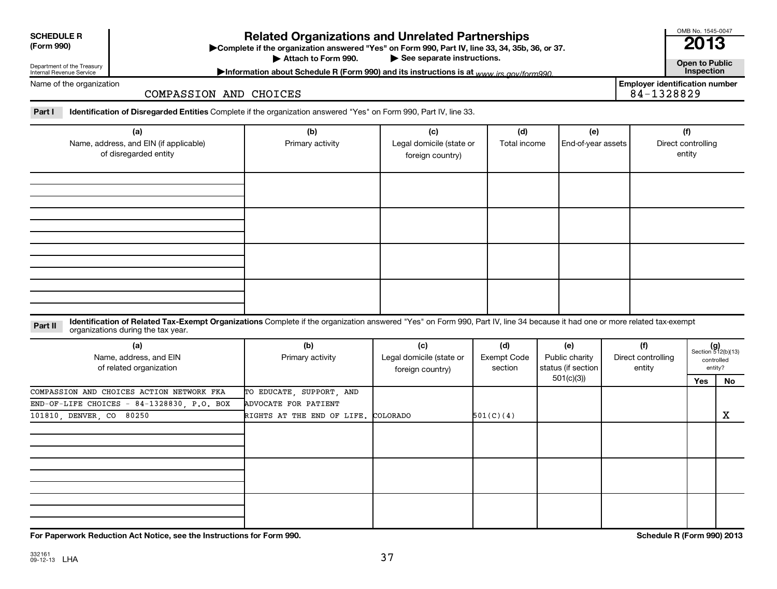| <b>SCHEDULE R</b> |  |
|-------------------|--|
| $(T - 0.00)$      |  |

**(Form 990) Complete if the organizations and Unrelated Partnerships**<br> **Related Organization answered "Yes" on Form 990, Part IV, line 33, 34, 35b, 36, or 37.**<br>
■ 2013 Attach to Form 990.

**Employer identification number**

OMB No. 1545-0047

▶ See separate instructions.<br> **Attachment instructions is at unusuite and form 990. Contract instructions is at unusuite and form 990. Contract inspection** Information about Schedule R (Form 990) and its instructions is at <sub>www</sub> irs.gov/form990.

Name of the organization

Department of the Treasury Internal Revenue Service

COMPASSION AND CHOICES

Part I lentification of Disregarded Entities Complete if the organization answered "Yes" on Form 990, Part IV, line 33.

| (a)<br>Name, address, and EIN (if applicable)<br>of disregarded entity | (b)<br>Primary activity | (c)<br>Legal domicile (state or<br>foreign country) | (d)<br>Total income | (e)<br>End-of-year assets | (f)<br>Direct controlling<br>entity |
|------------------------------------------------------------------------|-------------------------|-----------------------------------------------------|---------------------|---------------------------|-------------------------------------|
|                                                                        |                         |                                                     |                     |                           |                                     |
|                                                                        |                         |                                                     |                     |                           |                                     |
|                                                                        |                         |                                                     |                     |                           |                                     |
|                                                                        |                         |                                                     |                     |                           |                                     |

Part II ldentification of Related Tax-Exempt Organizations Complete if the organization answered "Yes" on Form 990, Part IV, line 34 because it had one or more related tax-exempt<br>Complete it is a seminary way were presente organizations during the tax year.

| (a)<br>Name, address, and EIN<br>of related organization | (b)<br>Primary activity             | (c)<br>Legal domicile (state or<br>foreign country) | (d)<br>Exempt Code<br>section | (e)<br>Public charity<br>status (if section | (f)<br>Direct controlling<br>entity |     | $(g)$<br>Section 512(b)(13)<br>controlled<br>entity? |
|----------------------------------------------------------|-------------------------------------|-----------------------------------------------------|-------------------------------|---------------------------------------------|-------------------------------------|-----|------------------------------------------------------|
|                                                          |                                     |                                                     |                               | 501(c)(3))                                  |                                     | Yes | No                                                   |
| COMPASSION AND CHOICES ACTION NETWORK FKA                | TO EDUCATE, SUPPORT, AND            |                                                     |                               |                                             |                                     |     |                                                      |
| END-OF-LIFE CHOICES - $84-1328830$ , P.O. BOX            | ADVOCATE FOR PATIENT                |                                                     |                               |                                             |                                     |     |                                                      |
| 101810, DENVER, CO 80250                                 | RIGHTS AT THE END OF LIFE. COLORADO |                                                     | 501(C)(4)                     |                                             |                                     |     | x                                                    |
|                                                          |                                     |                                                     |                               |                                             |                                     |     |                                                      |
|                                                          |                                     |                                                     |                               |                                             |                                     |     |                                                      |
|                                                          |                                     |                                                     |                               |                                             |                                     |     |                                                      |
|                                                          |                                     |                                                     |                               |                                             |                                     |     |                                                      |
|                                                          |                                     |                                                     |                               |                                             |                                     |     |                                                      |
|                                                          |                                     |                                                     |                               |                                             |                                     |     |                                                      |
|                                                          |                                     |                                                     |                               |                                             |                                     |     |                                                      |
|                                                          |                                     |                                                     |                               |                                             |                                     |     |                                                      |
|                                                          |                                     |                                                     |                               |                                             |                                     |     |                                                      |

**For Paperwork Reduction Act Notice, see the Instructions for Form 990. Schedule R (Form 990) 2013**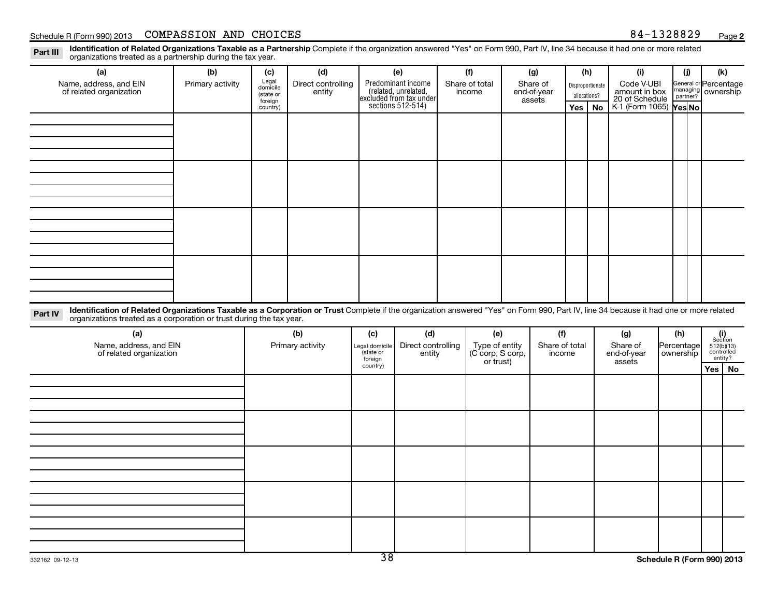Part III Identification of Related Organizations Taxable as a Partnership Complete if the organization answered "Yes" on Form 990, Part IV, line 34 because it had one or more related<br>Read to consistions tracted as a partne organizations treated as a partnership during the tax year.

| (a)                                                                                                                                                                                               | (b)              | (c)                  | (d)                                     |                             | (e)                                                                                        |                                    | (f)            |          | (g)                      | (h)                   |           | (i)                                                                                                           |                         | (i)                                      | (k)     |    |  |  |  |  |                  |                             |  |  |                                                         |  |
|---------------------------------------------------------------------------------------------------------------------------------------------------------------------------------------------------|------------------|----------------------|-----------------------------------------|-----------------------------|--------------------------------------------------------------------------------------------|------------------------------------|----------------|----------|--------------------------|-----------------------|-----------|---------------------------------------------------------------------------------------------------------------|-------------------------|------------------------------------------|---------|----|--|--|--|--|------------------|-----------------------------|--|--|---------------------------------------------------------|--|
| Name, address, and EIN<br>of related organization                                                                                                                                                 | Primary activity | Legal<br>domicile    | Direct controlling                      |                             | Predominant income<br>(related, unrelated,<br>excluded from tax under<br>sections 512-514) |                                    | Share of total | Share of |                          |                       |           |                                                                                                               |                         |                                          |         |    |  |  |  |  | Disproportionate | Code V-UBI<br>amount in box |  |  | General or Percentage<br>managing ownership<br>partner? |  |
|                                                                                                                                                                                                   |                  | (state or<br>foreign | entity                                  |                             |                                                                                            | income                             |                |          |                          | end-of-year<br>assets |           | allocations?                                                                                                  |                         | 20 of Schedule<br>K-1 (Form 1065) Yes No |         |    |  |  |  |  |                  |                             |  |  |                                                         |  |
|                                                                                                                                                                                                   |                  | country)             |                                         |                             |                                                                                            |                                    |                |          |                          | Yes                   | <b>No</b> |                                                                                                               |                         |                                          |         |    |  |  |  |  |                  |                             |  |  |                                                         |  |
|                                                                                                                                                                                                   |                  |                      |                                         |                             |                                                                                            |                                    |                |          |                          |                       |           |                                                                                                               |                         |                                          |         |    |  |  |  |  |                  |                             |  |  |                                                         |  |
|                                                                                                                                                                                                   |                  |                      |                                         |                             |                                                                                            |                                    |                |          |                          |                       |           |                                                                                                               |                         |                                          |         |    |  |  |  |  |                  |                             |  |  |                                                         |  |
|                                                                                                                                                                                                   |                  |                      |                                         |                             |                                                                                            |                                    |                |          |                          |                       |           |                                                                                                               |                         |                                          |         |    |  |  |  |  |                  |                             |  |  |                                                         |  |
|                                                                                                                                                                                                   |                  |                      |                                         |                             |                                                                                            |                                    |                |          |                          |                       |           |                                                                                                               |                         |                                          |         |    |  |  |  |  |                  |                             |  |  |                                                         |  |
|                                                                                                                                                                                                   |                  |                      |                                         |                             |                                                                                            |                                    |                |          |                          |                       |           |                                                                                                               |                         |                                          |         |    |  |  |  |  |                  |                             |  |  |                                                         |  |
|                                                                                                                                                                                                   |                  |                      |                                         |                             |                                                                                            |                                    |                |          |                          |                       |           |                                                                                                               |                         |                                          |         |    |  |  |  |  |                  |                             |  |  |                                                         |  |
|                                                                                                                                                                                                   |                  |                      |                                         |                             |                                                                                            |                                    |                |          |                          |                       |           |                                                                                                               |                         |                                          |         |    |  |  |  |  |                  |                             |  |  |                                                         |  |
|                                                                                                                                                                                                   |                  |                      |                                         |                             |                                                                                            |                                    |                |          |                          |                       |           |                                                                                                               |                         |                                          |         |    |  |  |  |  |                  |                             |  |  |                                                         |  |
|                                                                                                                                                                                                   |                  |                      |                                         |                             |                                                                                            |                                    |                |          |                          |                       |           |                                                                                                               |                         |                                          |         |    |  |  |  |  |                  |                             |  |  |                                                         |  |
|                                                                                                                                                                                                   |                  |                      |                                         |                             |                                                                                            |                                    |                |          |                          |                       |           |                                                                                                               |                         |                                          |         |    |  |  |  |  |                  |                             |  |  |                                                         |  |
|                                                                                                                                                                                                   |                  |                      |                                         |                             |                                                                                            |                                    |                |          |                          |                       |           |                                                                                                               |                         |                                          |         |    |  |  |  |  |                  |                             |  |  |                                                         |  |
|                                                                                                                                                                                                   |                  |                      |                                         |                             |                                                                                            |                                    |                |          |                          |                       |           |                                                                                                               |                         |                                          |         |    |  |  |  |  |                  |                             |  |  |                                                         |  |
|                                                                                                                                                                                                   |                  |                      |                                         |                             |                                                                                            |                                    |                |          |                          |                       |           |                                                                                                               |                         |                                          |         |    |  |  |  |  |                  |                             |  |  |                                                         |  |
|                                                                                                                                                                                                   |                  |                      |                                         |                             |                                                                                            |                                    |                |          |                          |                       |           |                                                                                                               |                         |                                          |         |    |  |  |  |  |                  |                             |  |  |                                                         |  |
| Identification of Related Organizations Taxable as a Corporation or Trust Complete if the organization answered "Yes" on Form 990, Part IV, line 34 because it had one or more related<br>Part IV |                  |                      |                                         |                             |                                                                                            |                                    |                |          |                          |                       |           |                                                                                                               |                         |                                          |         |    |  |  |  |  |                  |                             |  |  |                                                         |  |
| organizations treated as a corporation or trust during the tax year.                                                                                                                              |                  |                      |                                         |                             |                                                                                            |                                    |                |          |                          |                       |           |                                                                                                               |                         |                                          |         |    |  |  |  |  |                  |                             |  |  |                                                         |  |
| (a)                                                                                                                                                                                               |                  |                      | (b)<br>(d)<br>(c)<br>Direct controlling |                             | (e)<br>(f)                                                                                 |                                    |                |          | (g)                      | (h)                   |           | $\begin{array}{c} \textbf{(i)}\\ \text{Section}\\ 512 \text{(b)} \text{(13)}\\ \text{controlled} \end{array}$ |                         |                                          |         |    |  |  |  |  |                  |                             |  |  |                                                         |  |
| Name, address, and EIN<br>of related organization                                                                                                                                                 |                  |                      | Primary activity                        | Legal domicile<br>(state or | entity                                                                                     | Type of entity<br>(C corp, S corp, |                |          | Share of total<br>income |                       |           | Share of<br>end-of-year                                                                                       | Percentage<br>ownership |                                          | entity? |    |  |  |  |  |                  |                             |  |  |                                                         |  |
|                                                                                                                                                                                                   |                  |                      |                                         | foreign<br>country)         |                                                                                            |                                    | or trust)      |          |                          |                       |           | assets                                                                                                        |                         |                                          | Yes     | No |  |  |  |  |                  |                             |  |  |                                                         |  |
|                                                                                                                                                                                                   |                  |                      |                                         |                             |                                                                                            |                                    |                |          |                          |                       |           |                                                                                                               |                         |                                          |         |    |  |  |  |  |                  |                             |  |  |                                                         |  |
|                                                                                                                                                                                                   |                  |                      |                                         |                             |                                                                                            |                                    |                |          |                          |                       |           |                                                                                                               |                         |                                          |         |    |  |  |  |  |                  |                             |  |  |                                                         |  |
|                                                                                                                                                                                                   |                  |                      |                                         |                             |                                                                                            |                                    |                |          |                          |                       |           |                                                                                                               |                         |                                          |         |    |  |  |  |  |                  |                             |  |  |                                                         |  |
|                                                                                                                                                                                                   |                  |                      |                                         |                             |                                                                                            |                                    |                |          |                          |                       |           |                                                                                                               |                         |                                          |         |    |  |  |  |  |                  |                             |  |  |                                                         |  |
|                                                                                                                                                                                                   |                  |                      |                                         |                             |                                                                                            |                                    |                |          |                          |                       |           |                                                                                                               |                         |                                          |         |    |  |  |  |  |                  |                             |  |  |                                                         |  |
|                                                                                                                                                                                                   |                  |                      |                                         |                             |                                                                                            |                                    |                |          |                          |                       |           |                                                                                                               |                         |                                          |         |    |  |  |  |  |                  |                             |  |  |                                                         |  |
|                                                                                                                                                                                                   |                  |                      |                                         |                             |                                                                                            |                                    |                |          |                          |                       |           |                                                                                                               |                         |                                          |         |    |  |  |  |  |                  |                             |  |  |                                                         |  |
|                                                                                                                                                                                                   |                  |                      |                                         |                             |                                                                                            |                                    |                |          |                          |                       |           |                                                                                                               |                         |                                          |         |    |  |  |  |  |                  |                             |  |  |                                                         |  |
|                                                                                                                                                                                                   |                  |                      |                                         |                             |                                                                                            |                                    |                |          |                          |                       |           |                                                                                                               |                         |                                          |         |    |  |  |  |  |                  |                             |  |  |                                                         |  |
|                                                                                                                                                                                                   |                  |                      |                                         |                             |                                                                                            |                                    |                |          |                          |                       |           |                                                                                                               |                         |                                          |         |    |  |  |  |  |                  |                             |  |  |                                                         |  |
|                                                                                                                                                                                                   |                  |                      |                                         |                             |                                                                                            |                                    |                |          |                          |                       |           |                                                                                                               |                         |                                          |         |    |  |  |  |  |                  |                             |  |  |                                                         |  |
|                                                                                                                                                                                                   |                  |                      |                                         |                             |                                                                                            |                                    |                |          |                          |                       |           |                                                                                                               |                         |                                          |         |    |  |  |  |  |                  |                             |  |  |                                                         |  |
|                                                                                                                                                                                                   |                  |                      |                                         |                             |                                                                                            |                                    |                |          |                          |                       |           |                                                                                                               |                         |                                          |         |    |  |  |  |  |                  |                             |  |  |                                                         |  |
|                                                                                                                                                                                                   |                  |                      |                                         | ᠴᠣ                          |                                                                                            |                                    |                |          |                          |                       |           |                                                                                                               |                         |                                          |         |    |  |  |  |  |                  |                             |  |  |                                                         |  |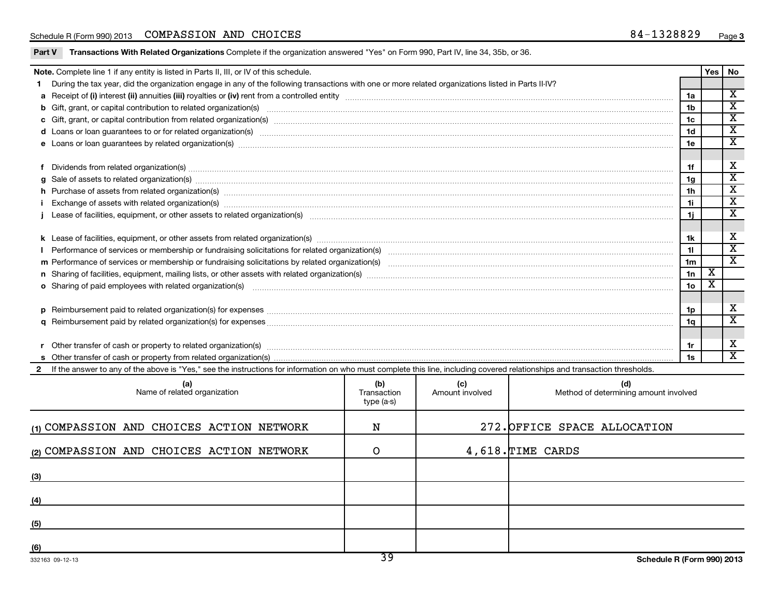|     | Note. Complete line 1 if any entity is listed in Parts II, III, or IV of this schedule.                                                                                                                                        |                            |                 |                                       |                      | <b>Yes</b>              | No                                   |  |  |
|-----|--------------------------------------------------------------------------------------------------------------------------------------------------------------------------------------------------------------------------------|----------------------------|-----------------|---------------------------------------|----------------------|-------------------------|--------------------------------------|--|--|
| 1.  | During the tax year, did the organization engage in any of the following transactions with one or more related organizations listed in Parts II-IV?                                                                            |                            |                 |                                       |                      |                         |                                      |  |  |
|     |                                                                                                                                                                                                                                |                            |                 |                                       | 1a                   |                         | $\overline{\mathbf{x}}$              |  |  |
|     |                                                                                                                                                                                                                                |                            |                 |                                       | 1 <sub>b</sub>       |                         | $\overline{\texttt{x}}$              |  |  |
|     |                                                                                                                                                                                                                                |                            |                 |                                       | 1c                   |                         | $\overline{\mathbf{x}}$              |  |  |
|     |                                                                                                                                                                                                                                |                            |                 |                                       | 1d                   |                         | $\overline{\mathbf{x}}$              |  |  |
|     |                                                                                                                                                                                                                                |                            |                 |                                       | 1e                   |                         | $\overline{\texttt{x}}$              |  |  |
|     |                                                                                                                                                                                                                                |                            |                 |                                       |                      |                         |                                      |  |  |
|     |                                                                                                                                                                                                                                |                            |                 |                                       | 1f<br>1g             |                         | $\mathbf X$<br>$\overline{\text{x}}$ |  |  |
|     |                                                                                                                                                                                                                                |                            |                 |                                       |                      |                         |                                      |  |  |
| h.  | Purchase of assets from related organization(s) www.assettion.com/www.assettion.com/www.assettion.com/www.assettion.com/www.assettion.com/www.assettion.com/www.assettion.com/www.assettion.com/www.assettion.com/www.assettio |                            |                 |                                       | 1 <sub>h</sub>       |                         | $\overline{\texttt{x}}$              |  |  |
|     | Exchange of assets with related organization(s) manufactured and content and content and content and content and content and content and content and content and content and content and content and content and content and c |                            |                 |                                       | 1i.                  |                         | $\overline{\textbf{x}}$              |  |  |
|     | Lease of facilities, equipment, or other assets to related organization(s) manufaction content and content and content and content and content and content and content and content and content and content and content and con |                            |                 |                                       | 1i.                  |                         | $\overline{\textbf{x}}$              |  |  |
|     |                                                                                                                                                                                                                                |                            |                 |                                       |                      |                         | X                                    |  |  |
|     |                                                                                                                                                                                                                                |                            |                 |                                       | 1k                   |                         | $\overline{\texttt{x}}$              |  |  |
|     |                                                                                                                                                                                                                                |                            |                 |                                       | 11<br>1 <sub>m</sub> |                         | $\overline{\mathbf{x}}$              |  |  |
|     |                                                                                                                                                                                                                                |                            |                 |                                       |                      |                         |                                      |  |  |
|     |                                                                                                                                                                                                                                |                            |                 |                                       |                      |                         |                                      |  |  |
|     | o Sharing of paid employees with related organization(s) manufaction contracts and an experimental contract or contract or contract or contract or contract or contract or contract or contract or contract or contract or con |                            |                 |                                       | 1o                   | $\overline{\textbf{x}}$ |                                      |  |  |
|     |                                                                                                                                                                                                                                |                            |                 |                                       | 1p                   |                         | $\boldsymbol{\mathrm{X}}$            |  |  |
|     |                                                                                                                                                                                                                                |                            |                 |                                       | 1q                   |                         | $\overline{\mathbf{x}}$              |  |  |
|     |                                                                                                                                                                                                                                |                            |                 |                                       |                      |                         |                                      |  |  |
|     |                                                                                                                                                                                                                                |                            |                 |                                       | 1r                   |                         | X                                    |  |  |
|     |                                                                                                                                                                                                                                |                            |                 |                                       | 1s                   |                         | $\overline{\texttt{x}}$              |  |  |
|     | 2 If the answer to any of the above is "Yes," see the instructions for information on who must complete this line, including covered relationships and transaction thresholds.                                                 |                            |                 |                                       |                      |                         |                                      |  |  |
|     | (a)                                                                                                                                                                                                                            | (b)                        | (c)             | (d)                                   |                      |                         |                                      |  |  |
|     | Name of related organization                                                                                                                                                                                                   | Transaction<br>$type(a-s)$ | Amount involved | Method of determining amount involved |                      |                         |                                      |  |  |
|     | (1) COMPASSION AND CHOICES ACTION NETWORK                                                                                                                                                                                      | N                          |                 | 272. OFFICE SPACE ALLOCATION          |                      |                         |                                      |  |  |
|     | (2) COMPASSION AND CHOICES ACTION NETWORK                                                                                                                                                                                      | O                          |                 | 4,618. TIME CARDS                     |                      |                         |                                      |  |  |
|     |                                                                                                                                                                                                                                |                            |                 |                                       |                      |                         |                                      |  |  |
| (3) |                                                                                                                                                                                                                                |                            |                 |                                       |                      |                         |                                      |  |  |
| (4) |                                                                                                                                                                                                                                |                            |                 |                                       |                      |                         |                                      |  |  |
| (5) |                                                                                                                                                                                                                                |                            |                 |                                       |                      |                         |                                      |  |  |
|     |                                                                                                                                                                                                                                |                            |                 |                                       |                      |                         |                                      |  |  |
| (6) |                                                                                                                                                                                                                                |                            |                 |                                       |                      |                         |                                      |  |  |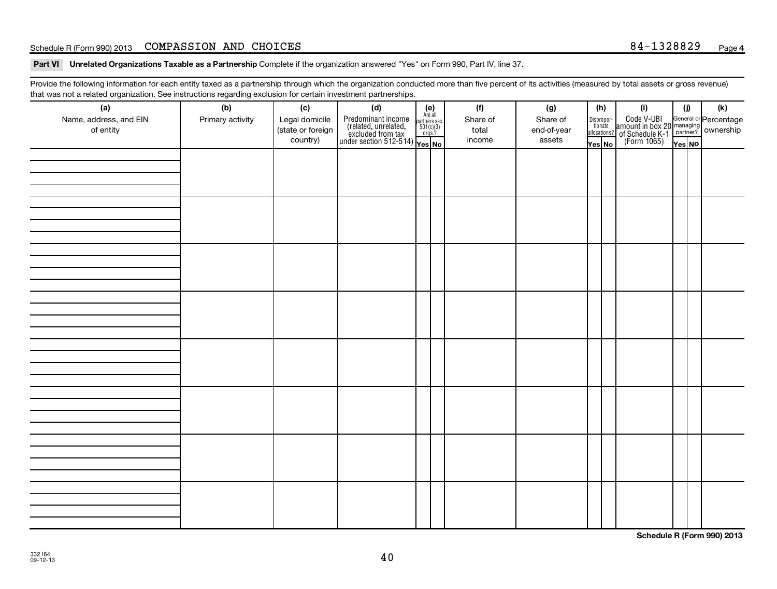#### Schedule R (Form 990) 2013 COMPASSION AND CHOICES Page 2014 1328829 Page 34-1328829 Page

Part VI Unrelated Organizations Taxable as a Partnership Complete if the organization answered "Yes" on Form 990, Part IV, line 37.

Provide the following information for each entity taxed as a partnership through which the organization conducted more than five percent of its activities (measured by total assets or gross revenue) that was not a related organization. See instructions regarding exclusion for certain investment partnerships.

| (a)<br>Name, address, and EIN<br>of entity | (b)<br>Primary activity | (c)<br>Legal domicile<br>(state or foreign<br>country) | (d)<br>$\begin{array}{ l l } \hline \text{Predominant income} & \text{Area} \\ \hline \text{(related, unrelated,} & \text{501(c)(3)} \\ \text{excluded from tax} & \text{501(c)(3)} \\ \text{under section 512-514)} & \text{Yes. No} \\\hline \end{array}$ | $(e)$<br>Are all<br>partners sec.<br>$501(c)(3)$<br>orgs.? | (f)<br>Share of<br>total<br>income | (g)<br>Share of<br>end-of-year<br>assets | (h) | Yes No | (i)<br>Dispropor-<br>Code V-UBI<br>dionate amount in box 20 managing<br>allocations? of Schedule K-1<br>Yes No (Form 1065)<br>Yes No | (i)<br>Yes NO | (k) |
|--------------------------------------------|-------------------------|--------------------------------------------------------|-------------------------------------------------------------------------------------------------------------------------------------------------------------------------------------------------------------------------------------------------------------|------------------------------------------------------------|------------------------------------|------------------------------------------|-----|--------|--------------------------------------------------------------------------------------------------------------------------------------|---------------|-----|
|                                            |                         |                                                        |                                                                                                                                                                                                                                                             |                                                            |                                    |                                          |     |        |                                                                                                                                      |               |     |
|                                            |                         |                                                        |                                                                                                                                                                                                                                                             |                                                            |                                    |                                          |     |        |                                                                                                                                      |               |     |
|                                            |                         |                                                        |                                                                                                                                                                                                                                                             |                                                            |                                    |                                          |     |        |                                                                                                                                      |               |     |
|                                            |                         |                                                        |                                                                                                                                                                                                                                                             |                                                            |                                    |                                          |     |        |                                                                                                                                      |               |     |
|                                            |                         |                                                        |                                                                                                                                                                                                                                                             |                                                            |                                    |                                          |     |        |                                                                                                                                      |               |     |
|                                            |                         |                                                        |                                                                                                                                                                                                                                                             |                                                            |                                    |                                          |     |        |                                                                                                                                      |               |     |
|                                            |                         |                                                        |                                                                                                                                                                                                                                                             |                                                            |                                    |                                          |     |        |                                                                                                                                      |               |     |
|                                            |                         |                                                        |                                                                                                                                                                                                                                                             |                                                            |                                    |                                          |     |        |                                                                                                                                      |               |     |

**Schedule R (Form 990) 2013**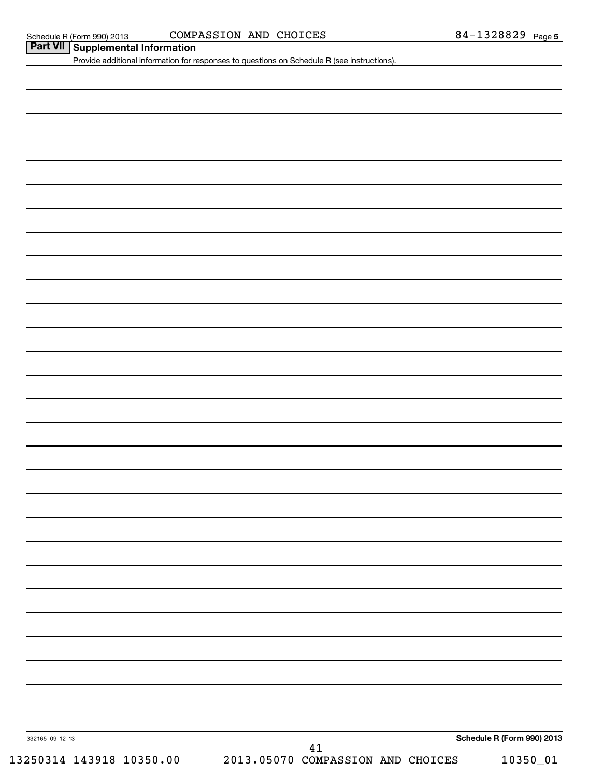# Schedule R (Form 990) 2013  $\,$  COMPASSION AND CHOICES  $\,$  84 - 1328829  $\,$  Page

| <b>Part VII</b> Supplemental Information |  | Provide additional information for responses to questions on Schedule R (see instructions). |    |  |                            |
|------------------------------------------|--|---------------------------------------------------------------------------------------------|----|--|----------------------------|
|                                          |  |                                                                                             |    |  |                            |
|                                          |  |                                                                                             |    |  |                            |
|                                          |  |                                                                                             |    |  |                            |
|                                          |  |                                                                                             |    |  |                            |
|                                          |  |                                                                                             |    |  |                            |
|                                          |  |                                                                                             |    |  |                            |
|                                          |  |                                                                                             |    |  |                            |
|                                          |  |                                                                                             |    |  |                            |
|                                          |  |                                                                                             |    |  |                            |
|                                          |  |                                                                                             |    |  |                            |
|                                          |  |                                                                                             |    |  |                            |
|                                          |  |                                                                                             |    |  |                            |
|                                          |  |                                                                                             |    |  |                            |
|                                          |  |                                                                                             |    |  |                            |
|                                          |  |                                                                                             |    |  |                            |
|                                          |  |                                                                                             |    |  |                            |
|                                          |  |                                                                                             |    |  |                            |
|                                          |  |                                                                                             |    |  |                            |
|                                          |  |                                                                                             |    |  |                            |
|                                          |  |                                                                                             |    |  |                            |
|                                          |  |                                                                                             |    |  |                            |
|                                          |  |                                                                                             |    |  |                            |
|                                          |  |                                                                                             |    |  |                            |
|                                          |  |                                                                                             |    |  |                            |
|                                          |  |                                                                                             |    |  |                            |
|                                          |  |                                                                                             |    |  |                            |
|                                          |  |                                                                                             |    |  |                            |
|                                          |  |                                                                                             |    |  |                            |
|                                          |  |                                                                                             |    |  |                            |
|                                          |  |                                                                                             |    |  |                            |
| 332165 09-12-13                          |  |                                                                                             | 41 |  | Schedule R (Form 990) 2013 |
|                                          |  | 13250314 143918 10350.00  2013.05070 COMPASSION AND CHOICES                                 |    |  | 10350_01                   |